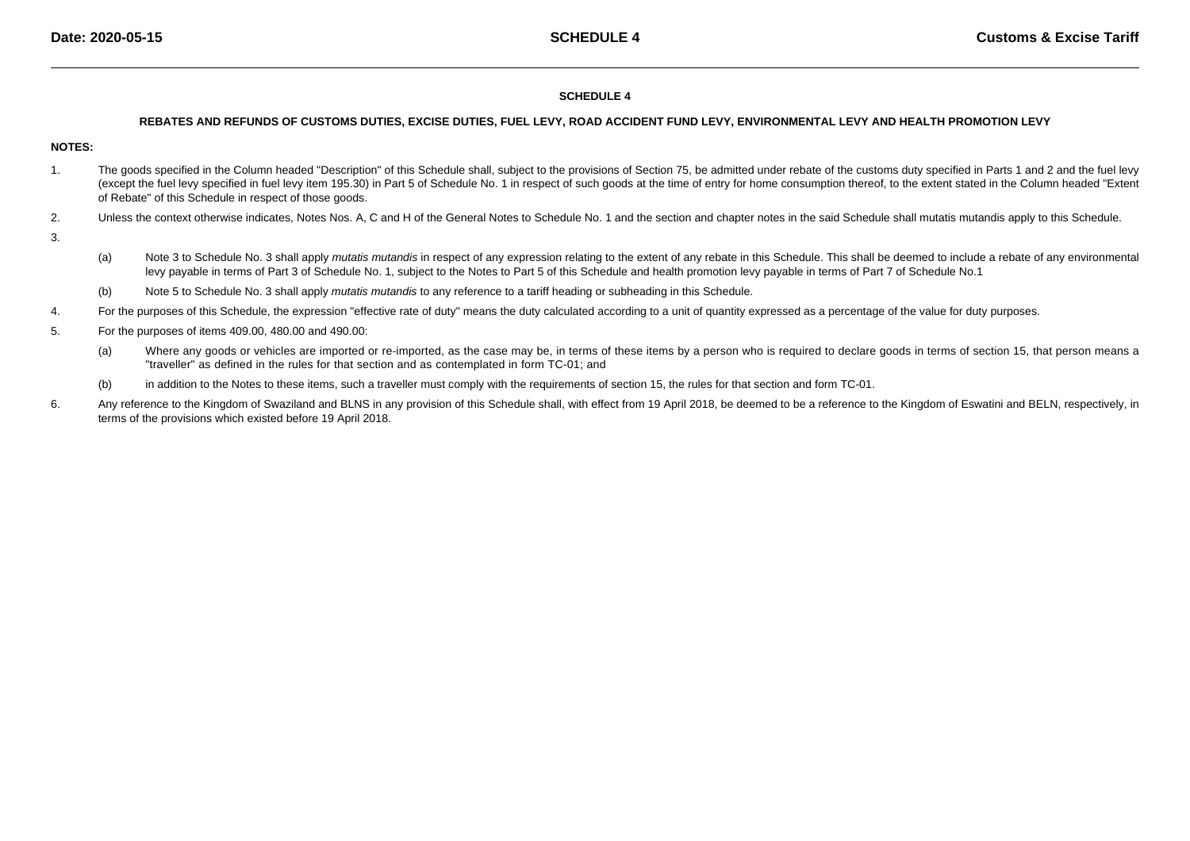### **SCHEDULE 4**

#### **REBATES AND REFUNDS OF CUSTOMS DUTIES, EXCISE DUTIES, FUEL LEVY, ROAD ACCIDENT FUND LEVY, ENVIRONMENTAL LEVY AND HEALTH PROMOTION LEVY**

## **NOTES:**

- 1.The goods specified in the Column headed "Description" of this Schedule shall, subject to the provisions of Section 75, be admitted under rebate of the customs duty specified in Parts 1 and 2 and the fuel levy (except the fuel levy specified in fuel levy item 195.30) in Part 5 of Schedule No. 1 in respect of such goods at the time of entry for home consumption thereof, to the extent stated in the Column headed "Extentof Rebate" of this Schedule in respect of those goods.
- 2.Unless the context otherwise indicates, Notes Nos. A, C and H of the General Notes to Schedule No. 1 and the section and chapter notes in the said Schedule shall mutatis mutandis apply to this Schedule.
- 3.
- (a)Note 3 to Schedule No. 3 shall apply mutatis mutandis in respect of any expression relating to the extent of any rebate in this Schedule. This shall be deemed to include a rebate of any environmental levy payable in terms of Part 3 of Schedule No. 1, subject to the Notes to Part 5 of this Schedule and health promotion levy payable in terms of Part 7 of Schedule No.1
- (b)Note 5 to Schedule No. 3 shall apply *mutatis mutandis* to any reference to a tariff heading or subheading in this Schedule.
- 4.For the purposes of this Schedule, the expression "effective rate of duty" means the duty calculated according to a unit of quantity expressed as a percentage of the value for duty purposes.
- 5. For the purposes of items 409.00, 480.00 and 490.00:
	- (a)Where any goods or vehicles are imported or re-imported, as the case may be, in terms of these items by a person who is required to declare goods in terms of section 15, that person means a "traveller" as defined in the rules for that section and as contemplated in form TC-01; and
	- (b)in addition to the Notes to these items, such a traveller must comply with the requirements of section 15, the rules for that section and form TC-01.
- 6.Any reference to the Kingdom of Swaziland and BLNS in any provision of this Schedule shall, with effect from 19 April 2018, be deemed to be a reference to the Kingdom of Eswatini and BELN, respectively, in terms of the provisions which existed before 19 April 2018.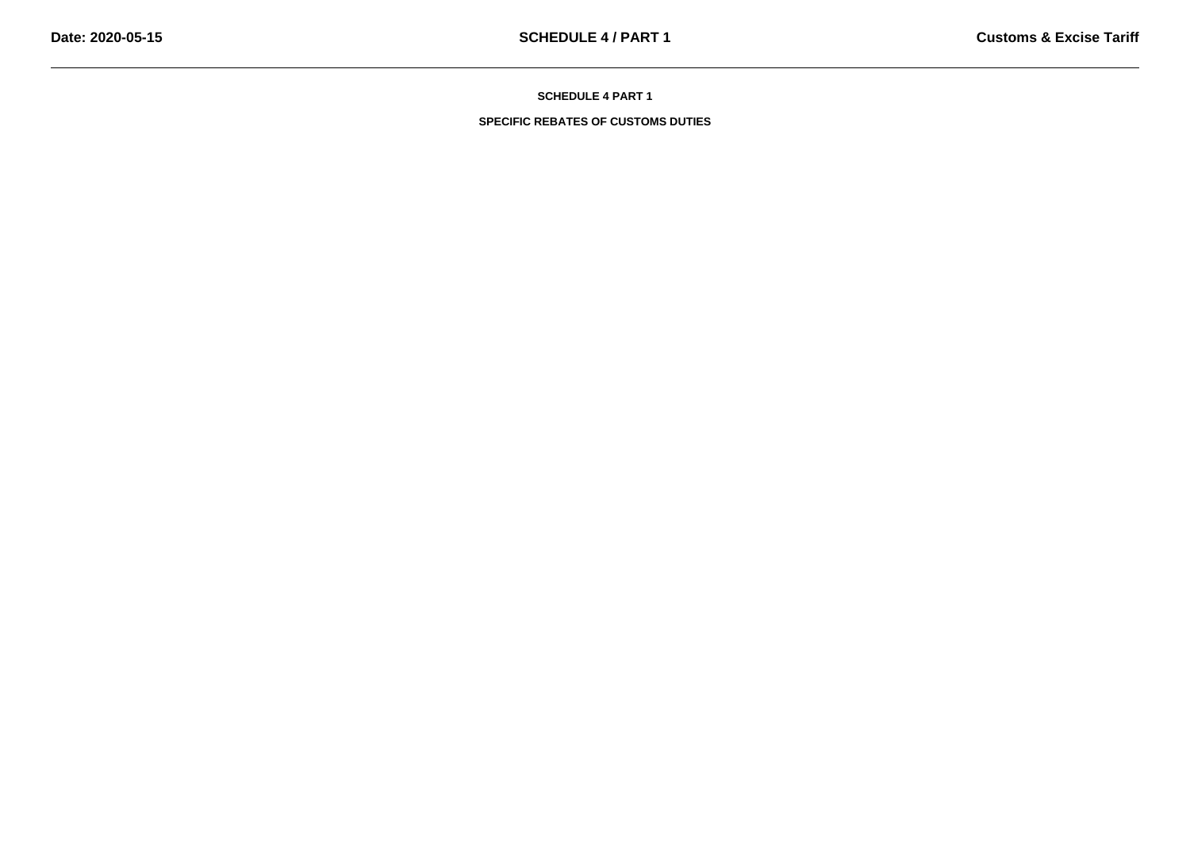**SPECIFIC REBATES OF CUSTOMS DUTIES**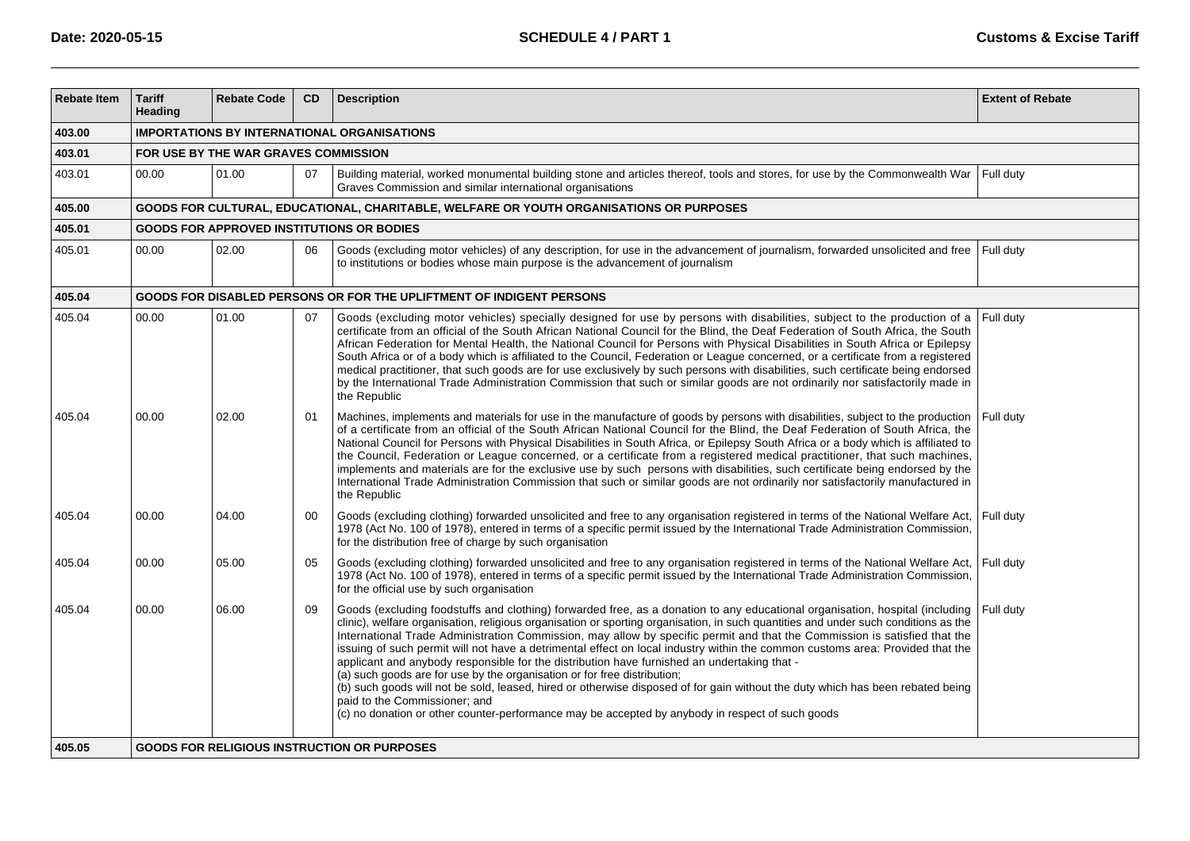| <b>Rebate Item</b> | <b>Tariff</b><br>Heading             | <b>Rebate Code</b>                                                                      | <b>CD</b> | <b>Description</b>                                                                                                                                                                                                                                                                                                                                                                                                                                                                                                                                                                                                                                                                                                                                                                                                                                                                                                                                                                  | <b>Extent of Rebate</b> |  |  |  |  |  |  |  |
|--------------------|--------------------------------------|-----------------------------------------------------------------------------------------|-----------|-------------------------------------------------------------------------------------------------------------------------------------------------------------------------------------------------------------------------------------------------------------------------------------------------------------------------------------------------------------------------------------------------------------------------------------------------------------------------------------------------------------------------------------------------------------------------------------------------------------------------------------------------------------------------------------------------------------------------------------------------------------------------------------------------------------------------------------------------------------------------------------------------------------------------------------------------------------------------------------|-------------------------|--|--|--|--|--|--|--|
| 403.00             |                                      | <b>IMPORTATIONS BY INTERNATIONAL ORGANISATIONS</b>                                      |           |                                                                                                                                                                                                                                                                                                                                                                                                                                                                                                                                                                                                                                                                                                                                                                                                                                                                                                                                                                                     |                         |  |  |  |  |  |  |  |
| 403.01             | FOR USE BY THE WAR GRAVES COMMISSION |                                                                                         |           |                                                                                                                                                                                                                                                                                                                                                                                                                                                                                                                                                                                                                                                                                                                                                                                                                                                                                                                                                                                     |                         |  |  |  |  |  |  |  |
| 403.01             | 00.00                                | 01.00                                                                                   | 07        | Building material, worked monumental building stone and articles thereof, tools and stores, for use by the Commonwealth War<br>Graves Commission and similar international organisations                                                                                                                                                                                                                                                                                                                                                                                                                                                                                                                                                                                                                                                                                                                                                                                            | Full duty               |  |  |  |  |  |  |  |
| 405.00             |                                      | GOODS FOR CULTURAL, EDUCATIONAL, CHARITABLE, WELFARE OR YOUTH ORGANISATIONS OR PURPOSES |           |                                                                                                                                                                                                                                                                                                                                                                                                                                                                                                                                                                                                                                                                                                                                                                                                                                                                                                                                                                                     |                         |  |  |  |  |  |  |  |
| 405.01             |                                      |                                                                                         |           | <b>GOODS FOR APPROVED INSTITUTIONS OR BODIES</b>                                                                                                                                                                                                                                                                                                                                                                                                                                                                                                                                                                                                                                                                                                                                                                                                                                                                                                                                    |                         |  |  |  |  |  |  |  |
| 405.01             | 00.00                                | 02.00                                                                                   | 06        | Goods (excluding motor vehicles) of any description, for use in the advancement of journalism, forwarded unsolicited and free<br>to institutions or bodies whose main purpose is the advancement of journalism                                                                                                                                                                                                                                                                                                                                                                                                                                                                                                                                                                                                                                                                                                                                                                      | Full duty               |  |  |  |  |  |  |  |
| 405.04             |                                      |                                                                                         |           | GOODS FOR DISABLED PERSONS OR FOR THE UPLIFTMENT OF INDIGENT PERSONS                                                                                                                                                                                                                                                                                                                                                                                                                                                                                                                                                                                                                                                                                                                                                                                                                                                                                                                |                         |  |  |  |  |  |  |  |
| 405.04             | 00.00                                | 01.00                                                                                   | 07        | Goods (excluding motor vehicles) specially designed for use by persons with disabilities, subject to the production of a<br>certificate from an official of the South African National Council for the Blind, the Deaf Federation of South Africa, the South<br>African Federation for Mental Health, the National Council for Persons with Physical Disabilities in South Africa or Epilepsy<br>South Africa or of a body which is affiliated to the Council, Federation or League concerned, or a certificate from a registered<br>medical practitioner, that such goods are for use exclusively by such persons with disabilities, such certificate being endorsed<br>by the International Trade Administration Commission that such or similar goods are not ordinarily nor satisfactorily made in<br>the Republic                                                                                                                                                              | Full duty               |  |  |  |  |  |  |  |
| 405.04             | 00.00                                | 02.00                                                                                   | 01        | Machines, implements and materials for use in the manufacture of goods by persons with disabilities, subject to the production<br>of a certificate from an official of the South African National Council for the Blind, the Deaf Federation of South Africa, the<br>National Council for Persons with Physical Disabilities in South Africa, or Epilepsy South Africa or a body which is affiliated to<br>the Council, Federation or League concerned, or a certificate from a registered medical practitioner, that such machines,<br>implements and materials are for the exclusive use by such persons with disabilities, such certificate being endorsed by the<br>International Trade Administration Commission that such or similar goods are not ordinarily nor satisfactorily manufactured in<br>the Republic                                                                                                                                                              | Full duty               |  |  |  |  |  |  |  |
| 405.04             | 00.00                                | 04.00                                                                                   | $00\,$    | Goods (excluding clothing) forwarded unsolicited and free to any organisation registered in terms of the National Welfare Act,<br>1978 (Act No. 100 of 1978), entered in terms of a specific permit issued by the International Trade Administration Commission,<br>for the distribution free of charge by such organisation                                                                                                                                                                                                                                                                                                                                                                                                                                                                                                                                                                                                                                                        | Full duty               |  |  |  |  |  |  |  |
| 405.04             | 00.00                                | 05.00                                                                                   | 05        | Goods (excluding clothing) forwarded unsolicited and free to any organisation registered in terms of the National Welfare Act,<br>1978 (Act No. 100 of 1978), entered in terms of a specific permit issued by the International Trade Administration Commission,<br>for the official use by such organisation                                                                                                                                                                                                                                                                                                                                                                                                                                                                                                                                                                                                                                                                       | Full duty               |  |  |  |  |  |  |  |
| 405.04             | 00.00                                | 06.00                                                                                   | 09        | Goods (excluding foodstuffs and clothing) forwarded free, as a donation to any educational organisation, hospital (including<br>clinic), welfare organisation, religious organisation or sporting organisation, in such quantities and under such conditions as the<br>International Trade Administration Commission, may allow by specific permit and that the Commission is satisfied that the<br>issuing of such permit will not have a detrimental effect on local industry within the common customs area: Provided that the<br>applicant and anybody responsible for the distribution have furnished an undertaking that -<br>(a) such goods are for use by the organisation or for free distribution;<br>(b) such goods will not be sold, leased, hired or otherwise disposed of for gain without the duty which has been rebated being<br>paid to the Commissioner; and<br>(c) no donation or other counter-performance may be accepted by anybody in respect of such goods | Full duty               |  |  |  |  |  |  |  |
| 405.05             |                                      |                                                                                         |           | <b>GOODS FOR RELIGIOUS INSTRUCTION OR PURPOSES</b>                                                                                                                                                                                                                                                                                                                                                                                                                                                                                                                                                                                                                                                                                                                                                                                                                                                                                                                                  |                         |  |  |  |  |  |  |  |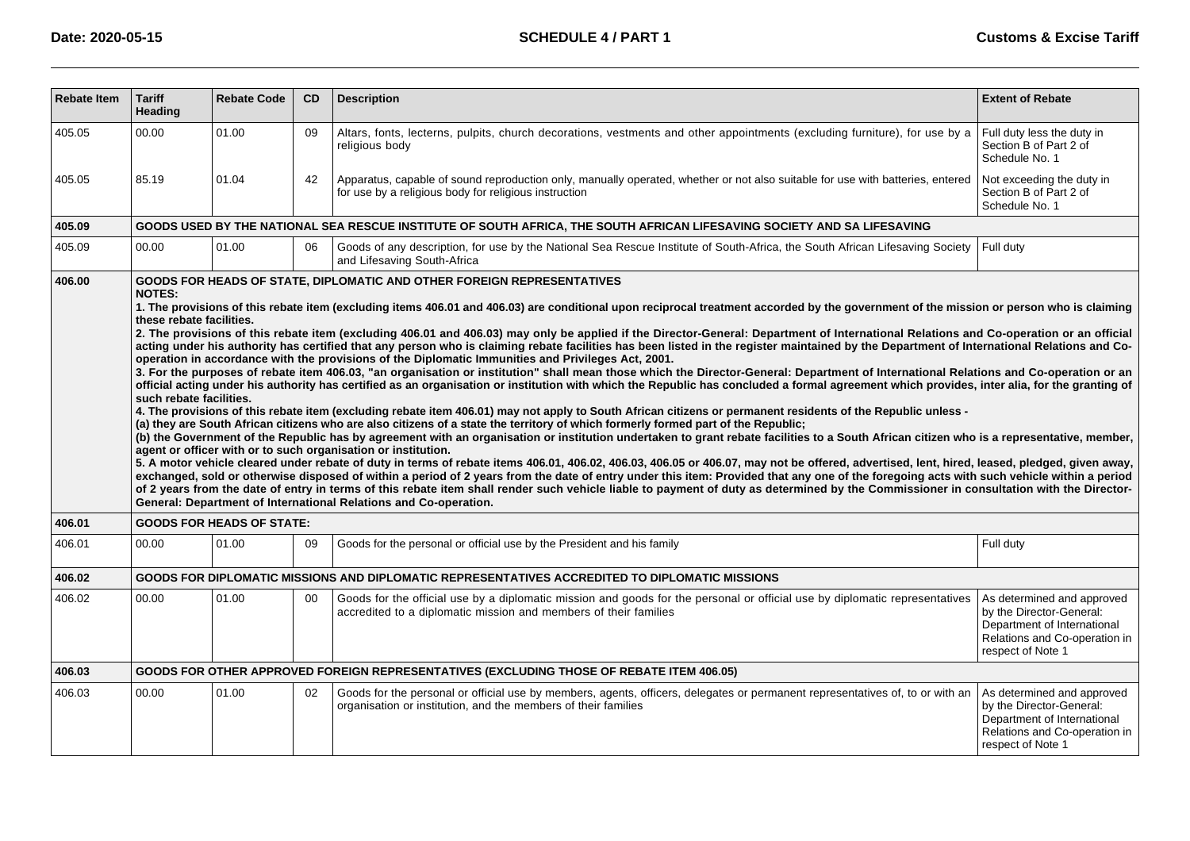| <b>Rebate Item</b> | <b>Tariff</b><br><b>Heading</b>                                                                                                                                                                                                                                                                                                                                                                                                                                                                                                                                                                                                                                                                                                                                                                                                                                                                                                                                                                                                                                                                                                                                                                                                                                                                                                                                                                                                                                                                                                                                                                                                                                                                                                                                                                                                                                                                                                                                                                                                                                                                                                                                                                                                                                                                                                                                                | <b>Rebate Code</b>               | <b>CD</b> | <b>Description</b>                                                                                                                                                                              | <b>Extent of Rebate</b>                                                                                                                     |  |  |  |  |  |
|--------------------|--------------------------------------------------------------------------------------------------------------------------------------------------------------------------------------------------------------------------------------------------------------------------------------------------------------------------------------------------------------------------------------------------------------------------------------------------------------------------------------------------------------------------------------------------------------------------------------------------------------------------------------------------------------------------------------------------------------------------------------------------------------------------------------------------------------------------------------------------------------------------------------------------------------------------------------------------------------------------------------------------------------------------------------------------------------------------------------------------------------------------------------------------------------------------------------------------------------------------------------------------------------------------------------------------------------------------------------------------------------------------------------------------------------------------------------------------------------------------------------------------------------------------------------------------------------------------------------------------------------------------------------------------------------------------------------------------------------------------------------------------------------------------------------------------------------------------------------------------------------------------------------------------------------------------------------------------------------------------------------------------------------------------------------------------------------------------------------------------------------------------------------------------------------------------------------------------------------------------------------------------------------------------------------------------------------------------------------------------------------------------------|----------------------------------|-----------|-------------------------------------------------------------------------------------------------------------------------------------------------------------------------------------------------|---------------------------------------------------------------------------------------------------------------------------------------------|--|--|--|--|--|
| 405.05             | 00.00                                                                                                                                                                                                                                                                                                                                                                                                                                                                                                                                                                                                                                                                                                                                                                                                                                                                                                                                                                                                                                                                                                                                                                                                                                                                                                                                                                                                                                                                                                                                                                                                                                                                                                                                                                                                                                                                                                                                                                                                                                                                                                                                                                                                                                                                                                                                                                          | 01.00                            | 09        | Altars, fonts, lecterns, pulpits, church decorations, vestments and other appointments (excluding furniture), for use by a<br>religious body                                                    | Full duty less the duty in<br>Section B of Part 2 of<br>Schedule No. 1                                                                      |  |  |  |  |  |
| 405.05             | 85.19                                                                                                                                                                                                                                                                                                                                                                                                                                                                                                                                                                                                                                                                                                                                                                                                                                                                                                                                                                                                                                                                                                                                                                                                                                                                                                                                                                                                                                                                                                                                                                                                                                                                                                                                                                                                                                                                                                                                                                                                                                                                                                                                                                                                                                                                                                                                                                          | 01.04                            | 42        | Apparatus, capable of sound reproduction only, manually operated, whether or not also suitable for use with batteries, entered<br>for use by a religious body for religious instruction         | Not exceeding the duty in<br>Section B of Part 2 of<br>Schedule No. 1                                                                       |  |  |  |  |  |
| 405.09             | GOODS USED BY THE NATIONAL SEA RESCUE INSTITUTE OF SOUTH AFRICA, THE SOUTH AFRICAN LIFESAVING SOCIETY AND SA LIFESAVING                                                                                                                                                                                                                                                                                                                                                                                                                                                                                                                                                                                                                                                                                                                                                                                                                                                                                                                                                                                                                                                                                                                                                                                                                                                                                                                                                                                                                                                                                                                                                                                                                                                                                                                                                                                                                                                                                                                                                                                                                                                                                                                                                                                                                                                        |                                  |           |                                                                                                                                                                                                 |                                                                                                                                             |  |  |  |  |  |
| 405.09             | 00.00                                                                                                                                                                                                                                                                                                                                                                                                                                                                                                                                                                                                                                                                                                                                                                                                                                                                                                                                                                                                                                                                                                                                                                                                                                                                                                                                                                                                                                                                                                                                                                                                                                                                                                                                                                                                                                                                                                                                                                                                                                                                                                                                                                                                                                                                                                                                                                          | 01.00                            | 06        | Goods of any description, for use by the National Sea Rescue Institute of South-Africa, the South African Lifesaving Society<br>and Lifesaving South-Africa                                     | Full duty                                                                                                                                   |  |  |  |  |  |
|                    | NOTES:<br>1. The provisions of this rebate item (excluding items 406.01 and 406.03) are conditional upon reciprocal treatment accorded by the government of the mission or person who is claiming<br>these rebate facilities.<br>2. The provisions of this rebate item (excluding 406.01 and 406.03) may only be applied if the Director-General: Department of International Relations and Co-operation or an official<br>acting under his authority has certified that any person who is claiming rebate facilities has been listed in the register maintained by the Department of International Relations and Co-<br>operation in accordance with the provisions of the Diplomatic Immunities and Privileges Act, 2001.<br>3. For the purposes of rebate item 406.03, "an organisation or institution" shall mean those which the Director-General: Department of International Relations and Co-operation or an<br>official acting under his authority has certified as an organisation or institution with which the Republic has concluded a formal agreement which provides, inter alia, for the granting of<br>such rebate facilities.<br>4. The provisions of this rebate item (excluding rebate item 406.01) may not apply to South African citizens or permanent residents of the Republic unless -<br>(a) they are South African citizens who are also citizens of a state the territory of which formerly formed part of the Republic;<br>(b) the Government of the Republic has by agreement with an organisation or institution undertaken to grant rebate facilities to a South African citizen who is a representative, member,<br>agent or officer with or to such organisation or institution.<br>5. A motor vehicle cleared under rebate of duty in terms of rebate items 406.01, 406.02, 406.03, 406.05 or 406.07, may not be offered, advertised, lent, hired, leased, pledged, given away,<br>exchanged, sold or otherwise disposed of within a period of 2 years from the date of entry under this item: Provided that any one of the foregoing acts with such vehicle within a period<br>of 2 years from the date of entry in terms of this rebate item shall render such vehicle liable to payment of duty as determined by the Commissioner in consultation with the Director-<br>General: Department of International Relations and Co-operation. |                                  |           |                                                                                                                                                                                                 |                                                                                                                                             |  |  |  |  |  |
| 406.01             |                                                                                                                                                                                                                                                                                                                                                                                                                                                                                                                                                                                                                                                                                                                                                                                                                                                                                                                                                                                                                                                                                                                                                                                                                                                                                                                                                                                                                                                                                                                                                                                                                                                                                                                                                                                                                                                                                                                                                                                                                                                                                                                                                                                                                                                                                                                                                                                | <b>GOODS FOR HEADS OF STATE:</b> |           |                                                                                                                                                                                                 |                                                                                                                                             |  |  |  |  |  |
| 406.01             | 00.00                                                                                                                                                                                                                                                                                                                                                                                                                                                                                                                                                                                                                                                                                                                                                                                                                                                                                                                                                                                                                                                                                                                                                                                                                                                                                                                                                                                                                                                                                                                                                                                                                                                                                                                                                                                                                                                                                                                                                                                                                                                                                                                                                                                                                                                                                                                                                                          | 01.00                            | 09        | Goods for the personal or official use by the President and his family                                                                                                                          | Full duty                                                                                                                                   |  |  |  |  |  |
| 406.02             |                                                                                                                                                                                                                                                                                                                                                                                                                                                                                                                                                                                                                                                                                                                                                                                                                                                                                                                                                                                                                                                                                                                                                                                                                                                                                                                                                                                                                                                                                                                                                                                                                                                                                                                                                                                                                                                                                                                                                                                                                                                                                                                                                                                                                                                                                                                                                                                |                                  |           | GOODS FOR DIPLOMATIC MISSIONS AND DIPLOMATIC REPRESENTATIVES ACCREDITED TO DIPLOMATIC MISSIONS                                                                                                  |                                                                                                                                             |  |  |  |  |  |
| 406.02             | 00.00                                                                                                                                                                                                                                                                                                                                                                                                                                                                                                                                                                                                                                                                                                                                                                                                                                                                                                                                                                                                                                                                                                                                                                                                                                                                                                                                                                                                                                                                                                                                                                                                                                                                                                                                                                                                                                                                                                                                                                                                                                                                                                                                                                                                                                                                                                                                                                          | 01.00                            | 00        | Goods for the official use by a diplomatic mission and goods for the personal or official use by diplomatic representatives<br>accredited to a diplomatic mission and members of their families | As determined and approved<br>by the Director-General:<br>Department of International<br>Relations and Co-operation in<br>respect of Note 1 |  |  |  |  |  |
| 406.03             |                                                                                                                                                                                                                                                                                                                                                                                                                                                                                                                                                                                                                                                                                                                                                                                                                                                                                                                                                                                                                                                                                                                                                                                                                                                                                                                                                                                                                                                                                                                                                                                                                                                                                                                                                                                                                                                                                                                                                                                                                                                                                                                                                                                                                                                                                                                                                                                |                                  |           | <b>GOODS FOR OTHER APPROVED FOREIGN REPRESENTATIVES (EXCLUDING THOSE OF REBATE ITEM 406.05)</b>                                                                                                 |                                                                                                                                             |  |  |  |  |  |
| 406.03             | 00.00                                                                                                                                                                                                                                                                                                                                                                                                                                                                                                                                                                                                                                                                                                                                                                                                                                                                                                                                                                                                                                                                                                                                                                                                                                                                                                                                                                                                                                                                                                                                                                                                                                                                                                                                                                                                                                                                                                                                                                                                                                                                                                                                                                                                                                                                                                                                                                          | 01.00                            | 02        | Goods for the personal or official use by members, agents, officers, delegates or permanent representatives of, to or with an<br>organisation or institution, and the members of their families | As determined and approved<br>by the Director-General:<br>Department of International<br>Relations and Co-operation in<br>respect of Note 1 |  |  |  |  |  |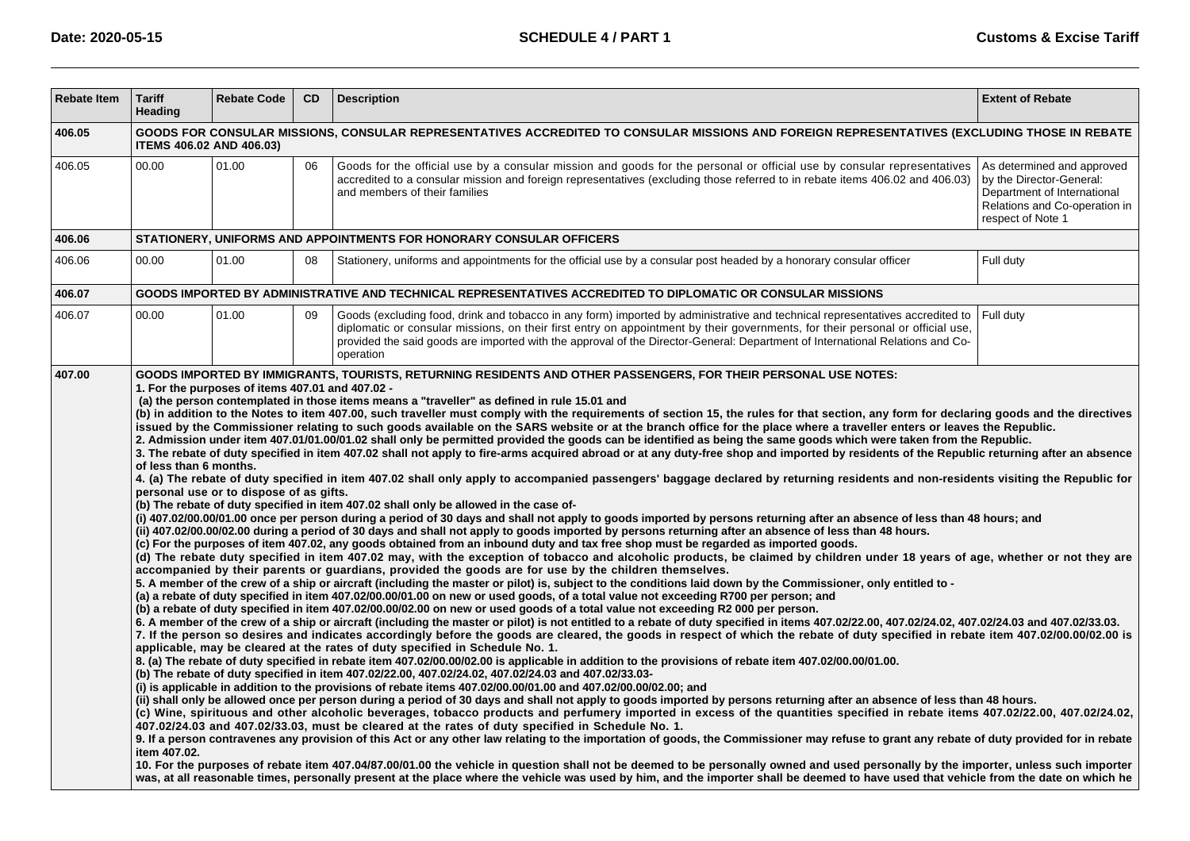| <b>Rebate Item</b> | <b>Tariff</b><br>Heading                                                                                                                                                        | <b>Rebate Code</b>                                                                          | <b>CD</b> | <b>Description</b>                                                                                                                                                                                                                                                                                                                                                                                                                                                                                                                                                                                                                                                                                                                                                                                                                                                                                                                                                                                                                                                                                                                                                                                                                                                                                                                                                                                                                                                                                                                                                                                                                                                                                                                                                                                                                                                                                                                                                                                                                                                                                                                                                                                                                                                                                                                                                                                                                                                                                                                                                                                                                                                                                                                                                                                                                                                                                                                                                                                                                                                                                                                                                                                                                                                                                                                                                                                                                                                                                                                                                                                                                                                                                                                                                                                                                                                                                                                                                                                                                                                                                                                                                                                                                              | <b>Extent of Rebate</b>                                                                                                                     |  |  |  |  |
|--------------------|---------------------------------------------------------------------------------------------------------------------------------------------------------------------------------|---------------------------------------------------------------------------------------------|-----------|-------------------------------------------------------------------------------------------------------------------------------------------------------------------------------------------------------------------------------------------------------------------------------------------------------------------------------------------------------------------------------------------------------------------------------------------------------------------------------------------------------------------------------------------------------------------------------------------------------------------------------------------------------------------------------------------------------------------------------------------------------------------------------------------------------------------------------------------------------------------------------------------------------------------------------------------------------------------------------------------------------------------------------------------------------------------------------------------------------------------------------------------------------------------------------------------------------------------------------------------------------------------------------------------------------------------------------------------------------------------------------------------------------------------------------------------------------------------------------------------------------------------------------------------------------------------------------------------------------------------------------------------------------------------------------------------------------------------------------------------------------------------------------------------------------------------------------------------------------------------------------------------------------------------------------------------------------------------------------------------------------------------------------------------------------------------------------------------------------------------------------------------------------------------------------------------------------------------------------------------------------------------------------------------------------------------------------------------------------------------------------------------------------------------------------------------------------------------------------------------------------------------------------------------------------------------------------------------------------------------------------------------------------------------------------------------------------------------------------------------------------------------------------------------------------------------------------------------------------------------------------------------------------------------------------------------------------------------------------------------------------------------------------------------------------------------------------------------------------------------------------------------------------------------------------------------------------------------------------------------------------------------------------------------------------------------------------------------------------------------------------------------------------------------------------------------------------------------------------------------------------------------------------------------------------------------------------------------------------------------------------------------------------------------------------------------------------------------------------------------------------------------------------------------------------------------------------------------------------------------------------------------------------------------------------------------------------------------------------------------------------------------------------------------------------------------------------------------------------------------------------------------------------------------------------------------------------------------------------------------------|---------------------------------------------------------------------------------------------------------------------------------------------|--|--|--|--|
| 406.05             | GOODS FOR CONSULAR MISSIONS, CONSULAR REPRESENTATIVES ACCREDITED TO CONSULAR MISSIONS AND FOREIGN REPRESENTATIVES (EXCLUDING THOSE IN REBATE<br><b>ITEMS 406.02 AND 406.03)</b> |                                                                                             |           |                                                                                                                                                                                                                                                                                                                                                                                                                                                                                                                                                                                                                                                                                                                                                                                                                                                                                                                                                                                                                                                                                                                                                                                                                                                                                                                                                                                                                                                                                                                                                                                                                                                                                                                                                                                                                                                                                                                                                                                                                                                                                                                                                                                                                                                                                                                                                                                                                                                                                                                                                                                                                                                                                                                                                                                                                                                                                                                                                                                                                                                                                                                                                                                                                                                                                                                                                                                                                                                                                                                                                                                                                                                                                                                                                                                                                                                                                                                                                                                                                                                                                                                                                                                                                                                 |                                                                                                                                             |  |  |  |  |
| 406.05             | 00.00                                                                                                                                                                           | 01.00                                                                                       | 06        | Goods for the official use by a consular mission and goods for the personal or official use by consular representatives<br>accredited to a consular mission and foreign representatives (excluding those referred to in rebate items 406.02 and 406.03)<br>and members of their families                                                                                                                                                                                                                                                                                                                                                                                                                                                                                                                                                                                                                                                                                                                                                                                                                                                                                                                                                                                                                                                                                                                                                                                                                                                                                                                                                                                                                                                                                                                                                                                                                                                                                                                                                                                                                                                                                                                                                                                                                                                                                                                                                                                                                                                                                                                                                                                                                                                                                                                                                                                                                                                                                                                                                                                                                                                                                                                                                                                                                                                                                                                                                                                                                                                                                                                                                                                                                                                                                                                                                                                                                                                                                                                                                                                                                                                                                                                                                        | As determined and approved<br>by the Director-General:<br>Department of International<br>Relations and Co-operation in<br>respect of Note 1 |  |  |  |  |
| 406.06             |                                                                                                                                                                                 |                                                                                             |           | STATIONERY, UNIFORMS AND APPOINTMENTS FOR HONORARY CONSULAR OFFICERS                                                                                                                                                                                                                                                                                                                                                                                                                                                                                                                                                                                                                                                                                                                                                                                                                                                                                                                                                                                                                                                                                                                                                                                                                                                                                                                                                                                                                                                                                                                                                                                                                                                                                                                                                                                                                                                                                                                                                                                                                                                                                                                                                                                                                                                                                                                                                                                                                                                                                                                                                                                                                                                                                                                                                                                                                                                                                                                                                                                                                                                                                                                                                                                                                                                                                                                                                                                                                                                                                                                                                                                                                                                                                                                                                                                                                                                                                                                                                                                                                                                                                                                                                                            |                                                                                                                                             |  |  |  |  |
| 406.06             | 00.00                                                                                                                                                                           | 01.00                                                                                       | 08        | Stationery, uniforms and appointments for the official use by a consular post headed by a honorary consular officer                                                                                                                                                                                                                                                                                                                                                                                                                                                                                                                                                                                                                                                                                                                                                                                                                                                                                                                                                                                                                                                                                                                                                                                                                                                                                                                                                                                                                                                                                                                                                                                                                                                                                                                                                                                                                                                                                                                                                                                                                                                                                                                                                                                                                                                                                                                                                                                                                                                                                                                                                                                                                                                                                                                                                                                                                                                                                                                                                                                                                                                                                                                                                                                                                                                                                                                                                                                                                                                                                                                                                                                                                                                                                                                                                                                                                                                                                                                                                                                                                                                                                                                             | Full duty                                                                                                                                   |  |  |  |  |
| 406.07             |                                                                                                                                                                                 |                                                                                             |           | GOODS IMPORTED BY ADMINISTRATIVE AND TECHNICAL REPRESENTATIVES ACCREDITED TO DIPLOMATIC OR CONSULAR MISSIONS                                                                                                                                                                                                                                                                                                                                                                                                                                                                                                                                                                                                                                                                                                                                                                                                                                                                                                                                                                                                                                                                                                                                                                                                                                                                                                                                                                                                                                                                                                                                                                                                                                                                                                                                                                                                                                                                                                                                                                                                                                                                                                                                                                                                                                                                                                                                                                                                                                                                                                                                                                                                                                                                                                                                                                                                                                                                                                                                                                                                                                                                                                                                                                                                                                                                                                                                                                                                                                                                                                                                                                                                                                                                                                                                                                                                                                                                                                                                                                                                                                                                                                                                    |                                                                                                                                             |  |  |  |  |
| 406.07             | 00.00                                                                                                                                                                           | 01.00                                                                                       | 09        | Goods (excluding food, drink and tobacco in any form) imported by administrative and technical representatives accredited to<br>diplomatic or consular missions, on their first entry on appointment by their governments, for their personal or official use,<br>provided the said goods are imported with the approval of the Director-General: Department of International Relations and Co-<br>operation                                                                                                                                                                                                                                                                                                                                                                                                                                                                                                                                                                                                                                                                                                                                                                                                                                                                                                                                                                                                                                                                                                                                                                                                                                                                                                                                                                                                                                                                                                                                                                                                                                                                                                                                                                                                                                                                                                                                                                                                                                                                                                                                                                                                                                                                                                                                                                                                                                                                                                                                                                                                                                                                                                                                                                                                                                                                                                                                                                                                                                                                                                                                                                                                                                                                                                                                                                                                                                                                                                                                                                                                                                                                                                                                                                                                                                    | Full duty                                                                                                                                   |  |  |  |  |
|                    | of less than 6 months.<br>item 407.02.                                                                                                                                          | 1. For the purposes of items 407.01 and 407.02 -<br>personal use or to dispose of as gifts. |           | (a) the person contemplated in those items means a "traveller" as defined in rule 15.01 and<br>(b) in addition to the Notes to item 407.00, such traveller must comply with the requirements of section 15, the rules for that section, any form for declaring goods and the directives<br>issued by the Commissioner relating to such goods available on the SARS website or at the branch office for the place where a traveller enters or leaves the Republic.<br>2. Admission under item 407.01/01.00/01.02 shall only be permitted provided the goods can be identified as being the same goods which were taken from the Republic.<br>3. The rebate of duty specified in item 407.02 shall not apply to fire-arms acquired abroad or at any duty-free shop and imported by residents of the Republic returning after an absence<br>4. (a) The rebate of duty specified in item 407.02 shall only apply to accompanied passengers' baggage declared by returning residents and non-residents visiting the Republic for<br>(b) The rebate of duty specified in item 407.02 shall only be allowed in the case of-<br>(i) 407.02/00.00/01.00 once per person during a period of 30 days and shall not apply to goods imported by persons returning after an absence of less than 48 hours; and<br>(ii) 407.02/00.00/02.00 during a period of 30 days and shall not apply to goods imported by persons returning after an absence of less than 48 hours.<br>(c) For the purposes of item 407.02, any goods obtained from an inbound duty and tax free shop must be regarded as imported goods.<br>(d) The rebate duty specified in item 407.02 may, with the exception of tobacco and alcoholic products, be claimed by children under 18 years of age, whether or not they are<br>accompanied by their parents or guardians, provided the goods are for use by the children themselves.<br>5. A member of the crew of a ship or aircraft (including the master or pilot) is, subject to the conditions laid down by the Commissioner, only entitled to -<br>(a) a rebate of duty specified in item 407.02/00.00/01.00 on new or used goods, of a total value not exceeding R700 per person; and<br>(b) a rebate of duty specified in item 407.02/00.00/02.00 on new or used goods of a total value not exceeding R2 000 per person.<br>6. A member of the crew of a ship or aircraft (including the master or pilot) is not entitled to a rebate of duty specified in items 407.02/22.00, 407.02/24.02, 407.02/24.03 and 407.02/33.03.<br>7. If the person so desires and indicates accordingly before the goods are cleared, the goods in respect of which the rebate of duty specified in rebate item 407.02/00.00/02.00 is<br>applicable, may be cleared at the rates of duty specified in Schedule No. 1.<br>8. (a) The rebate of duty specified in rebate item 407.02/00.00/02.00 is applicable in addition to the provisions of rebate item 407.02/00.00/01.00.<br>(b) The rebate of duty specified in item 407.02/22.00, 407.02/24.02, 407.02/24.03 and 407.02/33.03-<br>(i) is applicable in addition to the provisions of rebate items 407.02/00.00/01.00 and 407.02/00.00/02.00; and<br>(ii) shall only be allowed once per person during a period of 30 days and shall not apply to goods imported by persons returning after an absence of less than 48 hours.<br>(c) Wine, spirituous and other alcoholic beverages, tobacco products and perfumery imported in excess of the quantities specified in rebate items 407.02/22.00, 407.02/24.02,<br>407.02/24.03 and 407.02/33.03, must be cleared at the rates of duty specified in Schedule No. 1.<br>9. If a person contravenes any provision of this Act or any other law relating to the importation of goods, the Commissioner may refuse to grant any rebate of duty provided for in rebate<br>10. For the purposes of rebate item 407.04/87.00/01.00 the vehicle in question shall not be deemed to be personally owned and used personally by the importer, unless such importer<br>was, at all reasonable times, personally present at the place where the vehicle was used by him, and the importer shall be deemed to have used that vehicle from the date on which he |                                                                                                                                             |  |  |  |  |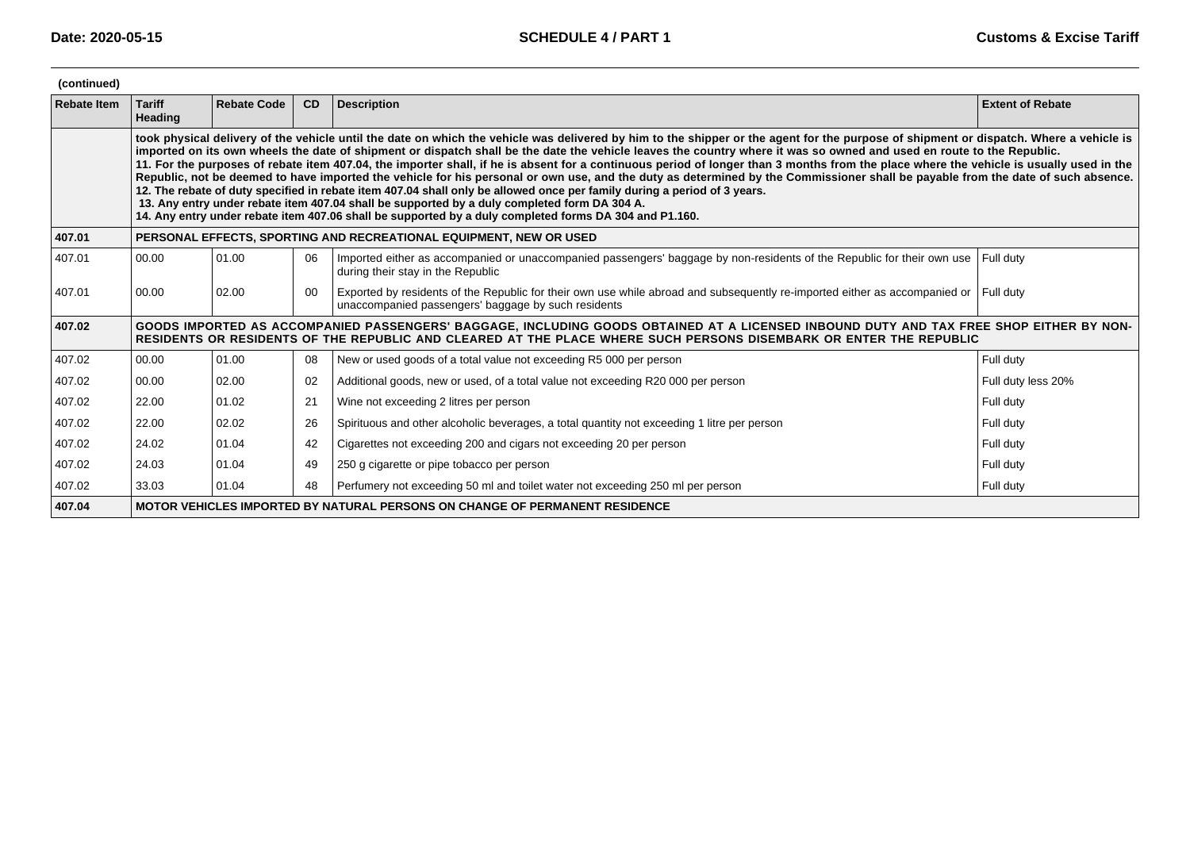| (continued)        |                                                                                                                                                                                                                                                                                                                                                                                                                                                                                                                                                                                                                                                                                                                                                                                                                                                                                                                                                                                                                                                                                      |                    |    |                                                                                                                                                                                                                                                               |                         |  |  |  |  |  |
|--------------------|--------------------------------------------------------------------------------------------------------------------------------------------------------------------------------------------------------------------------------------------------------------------------------------------------------------------------------------------------------------------------------------------------------------------------------------------------------------------------------------------------------------------------------------------------------------------------------------------------------------------------------------------------------------------------------------------------------------------------------------------------------------------------------------------------------------------------------------------------------------------------------------------------------------------------------------------------------------------------------------------------------------------------------------------------------------------------------------|--------------------|----|---------------------------------------------------------------------------------------------------------------------------------------------------------------------------------------------------------------------------------------------------------------|-------------------------|--|--|--|--|--|
| <b>Rebate Item</b> | <b>Tariff</b><br>Heading                                                                                                                                                                                                                                                                                                                                                                                                                                                                                                                                                                                                                                                                                                                                                                                                                                                                                                                                                                                                                                                             | <b>Rebate Code</b> | CD | <b>Description</b>                                                                                                                                                                                                                                            | <b>Extent of Rebate</b> |  |  |  |  |  |
|                    | took physical delivery of the vehicle until the date on which the vehicle was delivered by him to the shipper or the agent for the purpose of shipment or dispatch. Where a vehicle is<br>imported on its own wheels the date of shipment or dispatch shall be the date the vehicle leaves the country where it was so owned and used en route to the Republic.<br>11. For the purposes of rebate item 407.04, the importer shall, if he is absent for a continuous period of longer than 3 months from the place where the vehicle is usually used in the<br>Republic, not be deemed to have imported the vehicle for his personal or own use, and the duty as determined by the Commissioner shall be payable from the date of such absence.<br>12. The rebate of duty specified in rebate item 407.04 shall only be allowed once per family during a period of 3 years.<br>13. Any entry under rebate item 407.04 shall be supported by a duly completed form DA 304 A.<br>14. Any entry under rebate item 407.06 shall be supported by a duly completed forms DA 304 and P1.160. |                    |    |                                                                                                                                                                                                                                                               |                         |  |  |  |  |  |
| 407.01             | PERSONAL EFFECTS, SPORTING AND RECREATIONAL EQUIPMENT, NEW OR USED                                                                                                                                                                                                                                                                                                                                                                                                                                                                                                                                                                                                                                                                                                                                                                                                                                                                                                                                                                                                                   |                    |    |                                                                                                                                                                                                                                                               |                         |  |  |  |  |  |
| 407.01             | 00.00                                                                                                                                                                                                                                                                                                                                                                                                                                                                                                                                                                                                                                                                                                                                                                                                                                                                                                                                                                                                                                                                                | 01.00              | 06 | Imported either as accompanied or unaccompanied passengers' baggage by non-residents of the Republic for their own use<br>during their stay in the Republic                                                                                                   | Full duty               |  |  |  |  |  |
| 407.01             | 00.00                                                                                                                                                                                                                                                                                                                                                                                                                                                                                                                                                                                                                                                                                                                                                                                                                                                                                                                                                                                                                                                                                | 02.00              | 00 | Exported by residents of the Republic for their own use while abroad and subsequently re-imported either as accompanied or Full duty<br>unaccompanied passengers' baggage by such residents                                                                   |                         |  |  |  |  |  |
| 407.02             |                                                                                                                                                                                                                                                                                                                                                                                                                                                                                                                                                                                                                                                                                                                                                                                                                                                                                                                                                                                                                                                                                      |                    |    | GOODS IMPORTED AS ACCOMPANIED PASSENGERS' BAGGAGE, INCLUDING GOODS OBTAINED AT A LICENSED INBOUND DUTY AND TAX FREE SHOP EITHER BY NON-<br>RESIDENTS OR RESIDENTS OF THE REPUBLIC AND CLEARED AT THE PLACE WHERE SUCH PERSONS DISEMBARK OR ENTER THE REPUBLIC |                         |  |  |  |  |  |
| 407.02             | 00.00                                                                                                                                                                                                                                                                                                                                                                                                                                                                                                                                                                                                                                                                                                                                                                                                                                                                                                                                                                                                                                                                                | 01.00              | 08 | New or used goods of a total value not exceeding R5 000 per person                                                                                                                                                                                            | Full duty               |  |  |  |  |  |
| 407.02             | 00.00                                                                                                                                                                                                                                                                                                                                                                                                                                                                                                                                                                                                                                                                                                                                                                                                                                                                                                                                                                                                                                                                                | 02.00              | 02 | Additional goods, new or used, of a total value not exceeding R20 000 per person                                                                                                                                                                              | Full duty less 20%      |  |  |  |  |  |
| 407.02             | 22.00                                                                                                                                                                                                                                                                                                                                                                                                                                                                                                                                                                                                                                                                                                                                                                                                                                                                                                                                                                                                                                                                                | 01.02              | 21 | Wine not exceeding 2 litres per person                                                                                                                                                                                                                        | Full duty               |  |  |  |  |  |
| 407.02             | 22.00                                                                                                                                                                                                                                                                                                                                                                                                                                                                                                                                                                                                                                                                                                                                                                                                                                                                                                                                                                                                                                                                                | 02.02              | 26 | Spirituous and other alcoholic beverages, a total quantity not exceeding 1 litre per person                                                                                                                                                                   | Full duty               |  |  |  |  |  |
| 407.02             | 24.02                                                                                                                                                                                                                                                                                                                                                                                                                                                                                                                                                                                                                                                                                                                                                                                                                                                                                                                                                                                                                                                                                | 01.04              | 42 | Cigarettes not exceeding 200 and cigars not exceeding 20 per person                                                                                                                                                                                           | Full duty               |  |  |  |  |  |
| 407.02             | 24.03                                                                                                                                                                                                                                                                                                                                                                                                                                                                                                                                                                                                                                                                                                                                                                                                                                                                                                                                                                                                                                                                                | 01.04              | 49 | 250 g cigarette or pipe tobacco per person                                                                                                                                                                                                                    | Full duty               |  |  |  |  |  |
| 407.02             | 33.03                                                                                                                                                                                                                                                                                                                                                                                                                                                                                                                                                                                                                                                                                                                                                                                                                                                                                                                                                                                                                                                                                | 01.04              | 48 | Perfumery not exceeding 50 ml and toilet water not exceeding 250 ml per person                                                                                                                                                                                | Full duty               |  |  |  |  |  |
| 407.04             | <b>MOTOR VEHICLES IMPORTED BY NATURAL PERSONS ON CHANGE OF PERMANENT RESIDENCE</b>                                                                                                                                                                                                                                                                                                                                                                                                                                                                                                                                                                                                                                                                                                                                                                                                                                                                                                                                                                                                   |                    |    |                                                                                                                                                                                                                                                               |                         |  |  |  |  |  |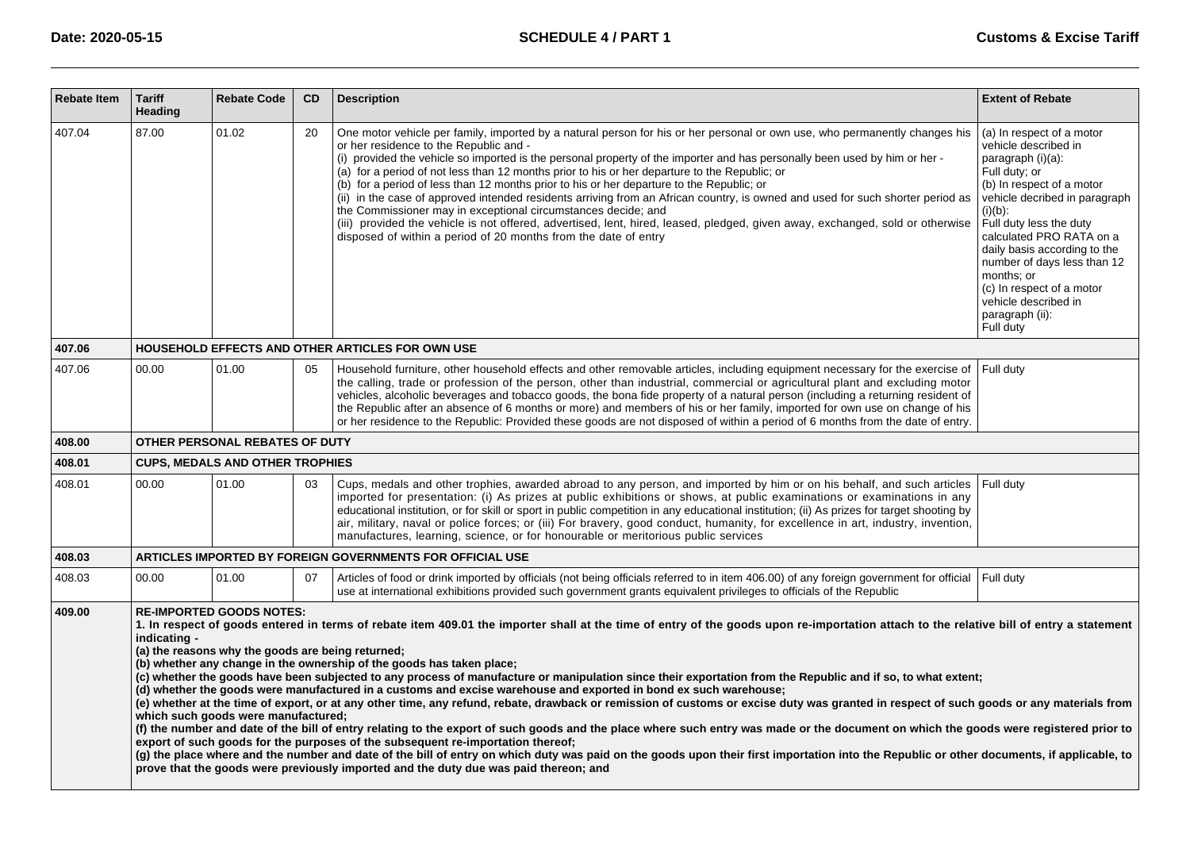| <b>Rebate Item</b> | <b>Tariff</b><br><b>Heading</b>                                                                                                                                                                                                                                                                                                                                                                                                                                                                                                                                                                                                                                                                                                                                                                                                                                                                                                                                                                                                                                                                                                                                                                                                                                                                                                                                                                                                                                  | <b>Rebate Code</b>                     | CD | <b>Description</b>                                                                                                                                                                                                                                                                                                                                                                                                                                                                                                                                                                                                                                                                                                                                                                                                                                                                                      | <b>Extent of Rebate</b>                                                                                                                                                                                                                                                                                                                                                                      |  |  |  |
|--------------------|------------------------------------------------------------------------------------------------------------------------------------------------------------------------------------------------------------------------------------------------------------------------------------------------------------------------------------------------------------------------------------------------------------------------------------------------------------------------------------------------------------------------------------------------------------------------------------------------------------------------------------------------------------------------------------------------------------------------------------------------------------------------------------------------------------------------------------------------------------------------------------------------------------------------------------------------------------------------------------------------------------------------------------------------------------------------------------------------------------------------------------------------------------------------------------------------------------------------------------------------------------------------------------------------------------------------------------------------------------------------------------------------------------------------------------------------------------------|----------------------------------------|----|---------------------------------------------------------------------------------------------------------------------------------------------------------------------------------------------------------------------------------------------------------------------------------------------------------------------------------------------------------------------------------------------------------------------------------------------------------------------------------------------------------------------------------------------------------------------------------------------------------------------------------------------------------------------------------------------------------------------------------------------------------------------------------------------------------------------------------------------------------------------------------------------------------|----------------------------------------------------------------------------------------------------------------------------------------------------------------------------------------------------------------------------------------------------------------------------------------------------------------------------------------------------------------------------------------------|--|--|--|
| 407.04             | 87.00                                                                                                                                                                                                                                                                                                                                                                                                                                                                                                                                                                                                                                                                                                                                                                                                                                                                                                                                                                                                                                                                                                                                                                                                                                                                                                                                                                                                                                                            | 01.02                                  | 20 | One motor vehicle per family, imported by a natural person for his or her personal or own use, who permanently changes his<br>or her residence to the Republic and -<br>(i) provided the vehicle so imported is the personal property of the importer and has personally been used by him or her -<br>(a) for a period of not less than 12 months prior to his or her departure to the Republic; or<br>(b) for a period of less than 12 months prior to his or her departure to the Republic; or<br>(ii) in the case of approved intended residents arriving from an African country, is owned and used for such shorter period as<br>the Commissioner may in exceptional circumstances decide; and<br>(iii) provided the vehicle is not offered, advertised, lent, hired, leased, pledged, given away, exchanged, sold or otherwise<br>disposed of within a period of 20 months from the date of entry | (a) In respect of a motor<br>vehicle described in<br>paragraph (i)(a):<br>Full duty; or<br>(b) In respect of a motor<br>vehicle decribed in paragraph<br>$(i)(b)$ :<br>Full duty less the duty<br>calculated PRO RATA on a<br>daily basis according to the<br>number of days less than 12<br>months; or<br>(c) In respect of a motor<br>vehicle described in<br>paragraph (ii):<br>Full duty |  |  |  |
| 407.06             |                                                                                                                                                                                                                                                                                                                                                                                                                                                                                                                                                                                                                                                                                                                                                                                                                                                                                                                                                                                                                                                                                                                                                                                                                                                                                                                                                                                                                                                                  |                                        |    | HOUSEHOLD EFFECTS AND OTHER ARTICLES FOR OWN USE                                                                                                                                                                                                                                                                                                                                                                                                                                                                                                                                                                                                                                                                                                                                                                                                                                                        |                                                                                                                                                                                                                                                                                                                                                                                              |  |  |  |
| 407.06             | 00.00                                                                                                                                                                                                                                                                                                                                                                                                                                                                                                                                                                                                                                                                                                                                                                                                                                                                                                                                                                                                                                                                                                                                                                                                                                                                                                                                                                                                                                                            | 01.00                                  | 05 | Household furniture, other household effects and other removable articles, including equipment necessary for the exercise of<br>the calling, trade or profession of the person, other than industrial, commercial or agricultural plant and excluding motor<br>vehicles, alcoholic beverages and tobacco goods, the bona fide property of a natural person (including a returning resident of<br>the Republic after an absence of 6 months or more) and members of his or her family, imported for own use on change of his<br>or her residence to the Republic: Provided these goods are not disposed of within a period of 6 months from the date of entry.                                                                                                                                                                                                                                           | Full duty                                                                                                                                                                                                                                                                                                                                                                                    |  |  |  |
| 408.00             |                                                                                                                                                                                                                                                                                                                                                                                                                                                                                                                                                                                                                                                                                                                                                                                                                                                                                                                                                                                                                                                                                                                                                                                                                                                                                                                                                                                                                                                                  | <b>OTHER PERSONAL REBATES OF DUTY</b>  |    |                                                                                                                                                                                                                                                                                                                                                                                                                                                                                                                                                                                                                                                                                                                                                                                                                                                                                                         |                                                                                                                                                                                                                                                                                                                                                                                              |  |  |  |
| 408.01             |                                                                                                                                                                                                                                                                                                                                                                                                                                                                                                                                                                                                                                                                                                                                                                                                                                                                                                                                                                                                                                                                                                                                                                                                                                                                                                                                                                                                                                                                  | <b>CUPS, MEDALS AND OTHER TROPHIES</b> |    |                                                                                                                                                                                                                                                                                                                                                                                                                                                                                                                                                                                                                                                                                                                                                                                                                                                                                                         |                                                                                                                                                                                                                                                                                                                                                                                              |  |  |  |
| 408.01             | 00.00                                                                                                                                                                                                                                                                                                                                                                                                                                                                                                                                                                                                                                                                                                                                                                                                                                                                                                                                                                                                                                                                                                                                                                                                                                                                                                                                                                                                                                                            | 01.00                                  | 03 | Cups, medals and other trophies, awarded abroad to any person, and imported by him or on his behalf, and such articles<br>imported for presentation: (i) As prizes at public exhibitions or shows, at public examinations or examinations in any<br>educational institution, or for skill or sport in public competition in any educational institution; (ii) As prizes for target shooting by<br>air, military, naval or police forces; or (iii) For bravery, good conduct, humanity, for excellence in art, industry, invention,<br>manufactures, learning, science, or for honourable or meritorious public services                                                                                                                                                                                                                                                                                 | Full duty                                                                                                                                                                                                                                                                                                                                                                                    |  |  |  |
| 408.03             |                                                                                                                                                                                                                                                                                                                                                                                                                                                                                                                                                                                                                                                                                                                                                                                                                                                                                                                                                                                                                                                                                                                                                                                                                                                                                                                                                                                                                                                                  |                                        |    | ARTICLES IMPORTED BY FOREIGN GOVERNMENTS FOR OFFICIAL USE                                                                                                                                                                                                                                                                                                                                                                                                                                                                                                                                                                                                                                                                                                                                                                                                                                               |                                                                                                                                                                                                                                                                                                                                                                                              |  |  |  |
| 408.03             | 00.00                                                                                                                                                                                                                                                                                                                                                                                                                                                                                                                                                                                                                                                                                                                                                                                                                                                                                                                                                                                                                                                                                                                                                                                                                                                                                                                                                                                                                                                            | 01.00                                  | 07 | Articles of food or drink imported by officials (not being officials referred to in item 406.00) of any foreign government for official<br>use at international exhibitions provided such government grants equivalent privileges to officials of the Republic                                                                                                                                                                                                                                                                                                                                                                                                                                                                                                                                                                                                                                          | Full duty                                                                                                                                                                                                                                                                                                                                                                                    |  |  |  |
| 409.00             | <b>RE-IMPORTED GOODS NOTES:</b><br>1. In respect of goods entered in terms of rebate item 409.01 the importer shall at the time of entry of the goods upon re-importation attach to the relative bill of entry a statement<br>indicating -<br>(a) the reasons why the goods are being returned;<br>(b) whether any change in the ownership of the goods has taken place;<br>(c) whether the goods have been subjected to any process of manufacture or manipulation since their exportation from the Republic and if so, to what extent;<br>(d) whether the goods were manufactured in a customs and excise warehouse and exported in bond ex such warehouse;<br>(e) whether at the time of export, or at any other time, any refund, rebate, drawback or remission of customs or excise duty was granted in respect of such goods or any materials from<br>which such goods were manufactured;<br>(f) the number and date of the bill of entry relating to the export of such goods and the place where such entry was made or the document on which the goods were registered prior to<br>export of such goods for the purposes of the subsequent re-importation thereof;<br>(g) the place where and the number and date of the bill of entry on which duty was paid on the goods upon their first importation into the Republic or other documents, if applicable, to<br>prove that the goods were previously imported and the duty due was paid thereon; and |                                        |    |                                                                                                                                                                                                                                                                                                                                                                                                                                                                                                                                                                                                                                                                                                                                                                                                                                                                                                         |                                                                                                                                                                                                                                                                                                                                                                                              |  |  |  |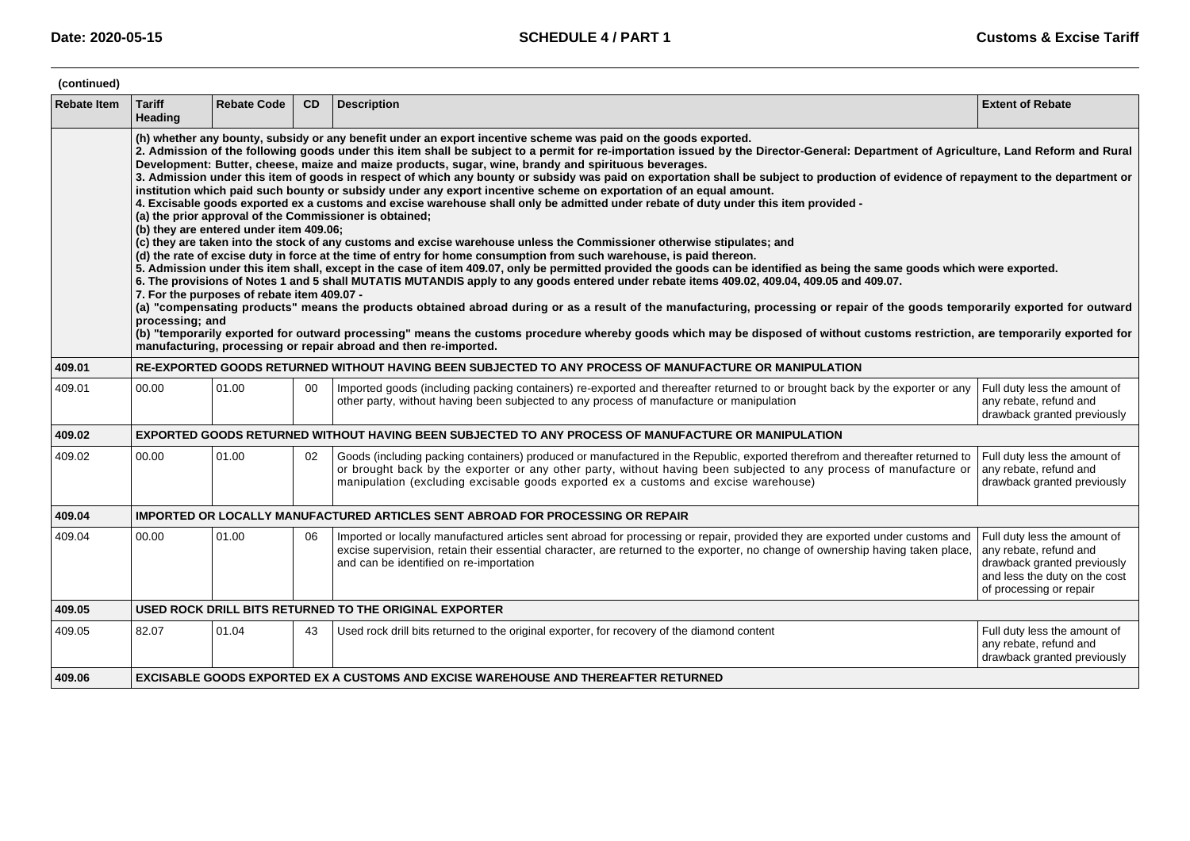| (continued)        |                                                                                                                                                                                                                                                                                                                                                                                                                                                                                                                                                                                                                                                                                                                                                                                                                                                                                                                                                                                                                                                                                                                                                                                                                                                                                                                                                                                                                                                                                                                                                                                                                                                                                                                                                                                                                                                                                                                                                                                                                                                                     |                    |    |                                                                                                                                                                                                                                                                                                                                           |                                                                                                                                                   |  |  |  |  |
|--------------------|---------------------------------------------------------------------------------------------------------------------------------------------------------------------------------------------------------------------------------------------------------------------------------------------------------------------------------------------------------------------------------------------------------------------------------------------------------------------------------------------------------------------------------------------------------------------------------------------------------------------------------------------------------------------------------------------------------------------------------------------------------------------------------------------------------------------------------------------------------------------------------------------------------------------------------------------------------------------------------------------------------------------------------------------------------------------------------------------------------------------------------------------------------------------------------------------------------------------------------------------------------------------------------------------------------------------------------------------------------------------------------------------------------------------------------------------------------------------------------------------------------------------------------------------------------------------------------------------------------------------------------------------------------------------------------------------------------------------------------------------------------------------------------------------------------------------------------------------------------------------------------------------------------------------------------------------------------------------------------------------------------------------------------------------------------------------|--------------------|----|-------------------------------------------------------------------------------------------------------------------------------------------------------------------------------------------------------------------------------------------------------------------------------------------------------------------------------------------|---------------------------------------------------------------------------------------------------------------------------------------------------|--|--|--|--|
| <b>Rebate Item</b> | <b>Tariff</b><br>Heading                                                                                                                                                                                                                                                                                                                                                                                                                                                                                                                                                                                                                                                                                                                                                                                                                                                                                                                                                                                                                                                                                                                                                                                                                                                                                                                                                                                                                                                                                                                                                                                                                                                                                                                                                                                                                                                                                                                                                                                                                                            | <b>Rebate Code</b> | CD | <b>Description</b>                                                                                                                                                                                                                                                                                                                        | <b>Extent of Rebate</b>                                                                                                                           |  |  |  |  |
|                    | (h) whether any bounty, subsidy or any benefit under an export incentive scheme was paid on the goods exported.<br>2. Admission of the following goods under this item shall be subject to a permit for re-importation issued by the Director-General: Department of Agriculture, Land Reform and Rural<br>Development: Butter, cheese, maize and maize products, sugar, wine, brandy and spirituous beverages.<br>3. Admission under this item of goods in respect of which any bounty or subsidy was paid on exportation shall be subject to production of evidence of repayment to the department or<br>institution which paid such bounty or subsidy under any export incentive scheme on exportation of an equal amount.<br>4. Excisable goods exported ex a customs and excise warehouse shall only be admitted under rebate of duty under this item provided -<br>(a) the prior approval of the Commissioner is obtained;<br>(b) they are entered under item 409.06;<br>(c) they are taken into the stock of any customs and excise warehouse unless the Commissioner otherwise stipulates; and<br>(d) the rate of excise duty in force at the time of entry for home consumption from such warehouse, is paid thereon.<br>5. Admission under this item shall, except in the case of item 409.07, only be permitted provided the goods can be identified as being the same goods which were exported.<br>6. The provisions of Notes 1 and 5 shall MUTATIS MUTANDIS apply to any goods entered under rebate items 409.02, 409.04, 409.05 and 409.07.<br>7. For the purposes of rebate item 409.07 -<br>(a) "compensating products" means the products obtained abroad during or as a result of the manufacturing, processing or repair of the goods temporarily exported for outward<br>processing; and<br>(b) "temporarily exported for outward processing" means the customs procedure whereby goods which may be disposed of without customs restriction, are temporarily exported for<br>manufacturing, processing or repair abroad and then re-imported. |                    |    |                                                                                                                                                                                                                                                                                                                                           |                                                                                                                                                   |  |  |  |  |
| 409.01             |                                                                                                                                                                                                                                                                                                                                                                                                                                                                                                                                                                                                                                                                                                                                                                                                                                                                                                                                                                                                                                                                                                                                                                                                                                                                                                                                                                                                                                                                                                                                                                                                                                                                                                                                                                                                                                                                                                                                                                                                                                                                     |                    |    | RE-EXPORTED GOODS RETURNED WITHOUT HAVING BEEN SUBJECTED TO ANY PROCESS OF MANUFACTURE OR MANIPULATION                                                                                                                                                                                                                                    |                                                                                                                                                   |  |  |  |  |
| 409.01             | 00.00                                                                                                                                                                                                                                                                                                                                                                                                                                                                                                                                                                                                                                                                                                                                                                                                                                                                                                                                                                                                                                                                                                                                                                                                                                                                                                                                                                                                                                                                                                                                                                                                                                                                                                                                                                                                                                                                                                                                                                                                                                                               | 01.00              | 00 | Imported goods (including packing containers) re-exported and thereafter returned to or brought back by the exporter or any<br>other party, without having been subjected to any process of manufacture or manipulation                                                                                                                   | Full duty less the amount of<br>any rebate, refund and<br>drawback granted previously                                                             |  |  |  |  |
| 409.02             |                                                                                                                                                                                                                                                                                                                                                                                                                                                                                                                                                                                                                                                                                                                                                                                                                                                                                                                                                                                                                                                                                                                                                                                                                                                                                                                                                                                                                                                                                                                                                                                                                                                                                                                                                                                                                                                                                                                                                                                                                                                                     |                    |    | EXPORTED GOODS RETURNED WITHOUT HAVING BEEN SUBJECTED TO ANY PROCESS OF MANUFACTURE OR MANIPULATION                                                                                                                                                                                                                                       |                                                                                                                                                   |  |  |  |  |
| 409.02             | 00.00                                                                                                                                                                                                                                                                                                                                                                                                                                                                                                                                                                                                                                                                                                                                                                                                                                                                                                                                                                                                                                                                                                                                                                                                                                                                                                                                                                                                                                                                                                                                                                                                                                                                                                                                                                                                                                                                                                                                                                                                                                                               | 01.00              | 02 | Goods (including packing containers) produced or manufactured in the Republic, exported therefrom and thereafter returned to<br>or brought back by the exporter or any other party, without having been subjected to any process of manufacture or<br>manipulation (excluding excisable goods exported ex a customs and excise warehouse) | Full duty less the amount of<br>any rebate, refund and<br>drawback granted previously                                                             |  |  |  |  |
| 409.04             |                                                                                                                                                                                                                                                                                                                                                                                                                                                                                                                                                                                                                                                                                                                                                                                                                                                                                                                                                                                                                                                                                                                                                                                                                                                                                                                                                                                                                                                                                                                                                                                                                                                                                                                                                                                                                                                                                                                                                                                                                                                                     |                    |    | <b>IMPORTED OR LOCALLY MANUFACTURED ARTICLES SENT ABROAD FOR PROCESSING OR REPAIR</b>                                                                                                                                                                                                                                                     |                                                                                                                                                   |  |  |  |  |
| 409.04             | 00.00                                                                                                                                                                                                                                                                                                                                                                                                                                                                                                                                                                                                                                                                                                                                                                                                                                                                                                                                                                                                                                                                                                                                                                                                                                                                                                                                                                                                                                                                                                                                                                                                                                                                                                                                                                                                                                                                                                                                                                                                                                                               | 01.00              | 06 | Imported or locally manufactured articles sent abroad for processing or repair, provided they are exported under customs and<br>excise supervision, retain their essential character, are returned to the exporter, no change of ownership having taken place,<br>and can be identified on re-importation                                 | Full duty less the amount of<br>any rebate, refund and<br>drawback granted previously<br>and less the duty on the cost<br>of processing or repair |  |  |  |  |
| 409.05             |                                                                                                                                                                                                                                                                                                                                                                                                                                                                                                                                                                                                                                                                                                                                                                                                                                                                                                                                                                                                                                                                                                                                                                                                                                                                                                                                                                                                                                                                                                                                                                                                                                                                                                                                                                                                                                                                                                                                                                                                                                                                     |                    |    | USED ROCK DRILL BITS RETURNED TO THE ORIGINAL EXPORTER                                                                                                                                                                                                                                                                                    |                                                                                                                                                   |  |  |  |  |
| 409.05             | 82.07                                                                                                                                                                                                                                                                                                                                                                                                                                                                                                                                                                                                                                                                                                                                                                                                                                                                                                                                                                                                                                                                                                                                                                                                                                                                                                                                                                                                                                                                                                                                                                                                                                                                                                                                                                                                                                                                                                                                                                                                                                                               | 01.04              | 43 | Used rock drill bits returned to the original exporter, for recovery of the diamond content                                                                                                                                                                                                                                               | Full duty less the amount of<br>any rebate, refund and<br>drawback granted previously                                                             |  |  |  |  |
| 409.06             | EXCISABLE GOODS EXPORTED EX A CUSTOMS AND EXCISE WAREHOUSE AND THEREAFTER RETURNED                                                                                                                                                                                                                                                                                                                                                                                                                                                                                                                                                                                                                                                                                                                                                                                                                                                                                                                                                                                                                                                                                                                                                                                                                                                                                                                                                                                                                                                                                                                                                                                                                                                                                                                                                                                                                                                                                                                                                                                  |                    |    |                                                                                                                                                                                                                                                                                                                                           |                                                                                                                                                   |  |  |  |  |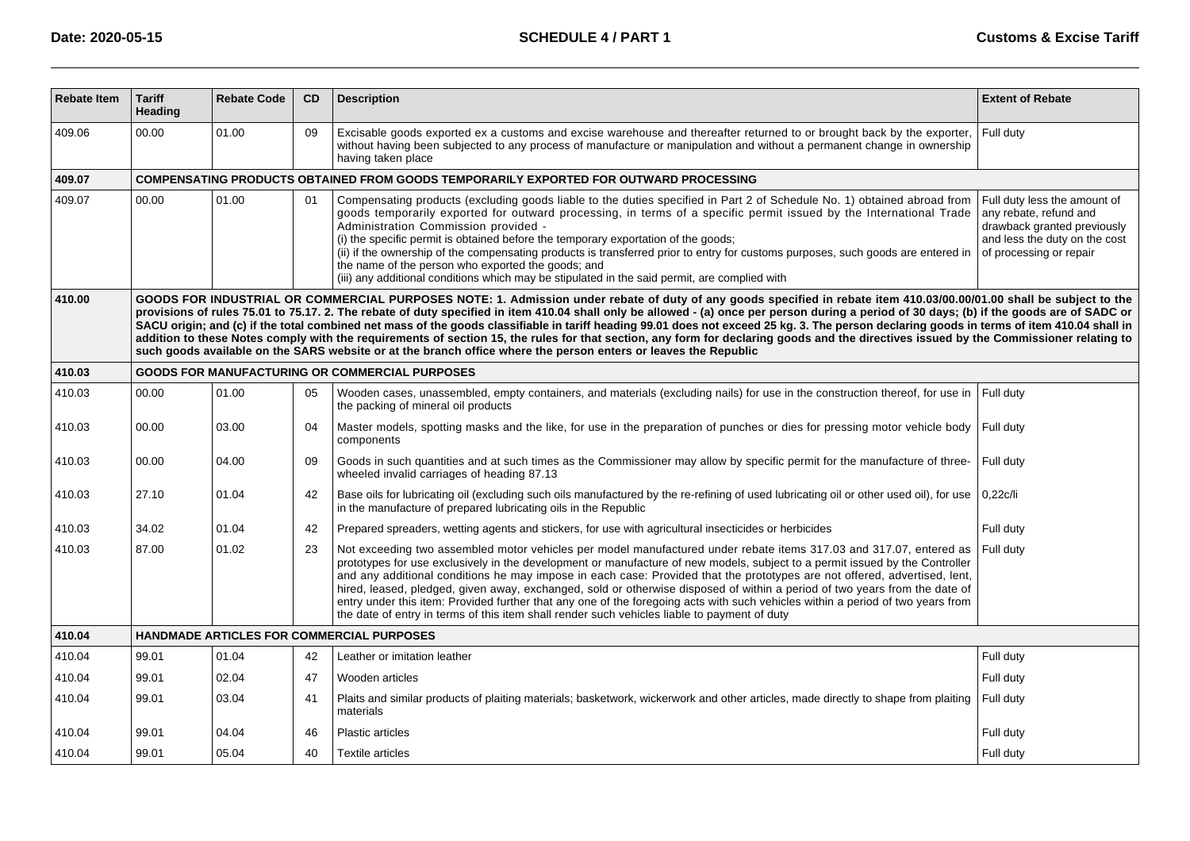| <b>Rebate Item</b> | <b>Tariff</b><br>Heading                                                                                                                                                                                                                                                                                                                                                                                                                                                                                                                                                                                                                                                                                                                                                                                                                                                       | <b>Rebate Code</b> | CD | <b>Description</b>                                                                                                                                                                                                                                                                                                                                                                                                                                                                                                                                                                                                                                                                                                                               | <b>Extent of Rebate</b>                                                                                                                           |  |  |  |  |  |  |
|--------------------|--------------------------------------------------------------------------------------------------------------------------------------------------------------------------------------------------------------------------------------------------------------------------------------------------------------------------------------------------------------------------------------------------------------------------------------------------------------------------------------------------------------------------------------------------------------------------------------------------------------------------------------------------------------------------------------------------------------------------------------------------------------------------------------------------------------------------------------------------------------------------------|--------------------|----|--------------------------------------------------------------------------------------------------------------------------------------------------------------------------------------------------------------------------------------------------------------------------------------------------------------------------------------------------------------------------------------------------------------------------------------------------------------------------------------------------------------------------------------------------------------------------------------------------------------------------------------------------------------------------------------------------------------------------------------------------|---------------------------------------------------------------------------------------------------------------------------------------------------|--|--|--|--|--|--|
| 409.06             | 00.00                                                                                                                                                                                                                                                                                                                                                                                                                                                                                                                                                                                                                                                                                                                                                                                                                                                                          | 01.00              | 09 | Excisable goods exported ex a customs and excise warehouse and thereafter returned to or brought back by the exporter,<br>without having been subjected to any process of manufacture or manipulation and without a permanent change in ownership<br>having taken place                                                                                                                                                                                                                                                                                                                                                                                                                                                                          | Full duty                                                                                                                                         |  |  |  |  |  |  |
| 409.07             | COMPENSATING PRODUCTS OBTAINED FROM GOODS TEMPORARILY EXPORTED FOR OUTWARD PROCESSING                                                                                                                                                                                                                                                                                                                                                                                                                                                                                                                                                                                                                                                                                                                                                                                          |                    |    |                                                                                                                                                                                                                                                                                                                                                                                                                                                                                                                                                                                                                                                                                                                                                  |                                                                                                                                                   |  |  |  |  |  |  |
| 409.07             | 00.00                                                                                                                                                                                                                                                                                                                                                                                                                                                                                                                                                                                                                                                                                                                                                                                                                                                                          | 01.00              | 01 | Compensating products (excluding goods liable to the duties specified in Part 2 of Schedule No. 1) obtained abroad from<br>goods temporarily exported for outward processing, in terms of a specific permit issued by the International Trade<br>Administration Commission provided -<br>(i) the specific permit is obtained before the temporary exportation of the goods;<br>(ii) if the ownership of the compensating products is transferred prior to entry for customs purposes, such goods are entered in<br>the name of the person who exported the goods; and<br>(iii) any additional conditions which may be stipulated in the said permit, are complied with                                                                           | Full duty less the amount of<br>any rebate, refund and<br>drawback granted previously<br>and less the duty on the cost<br>of processing or repair |  |  |  |  |  |  |
| 410.00             | GOODS FOR INDUSTRIAL OR COMMERCIAL PURPOSES NOTE: 1. Admission under rebate of duty of any goods specified in rebate item 410.03/00.00/01.00 shall be subject to the<br>provisions of rules 75.01 to 75.17. 2. The rebate of duty specified in item 410.04 shall only be allowed - (a) once per person during a period of 30 days; (b) if the goods are of SADC or<br>SACU origin; and (c) if the total combined net mass of the goods classifiable in tariff heading 99.01 does not exceed 25 kg. 3. The person declaring goods in terms of item 410.04 shall in<br>addition to these Notes comply with the requirements of section 15, the rules for that section, any form for declaring goods and the directives issued by the Commissioner relating to<br>such goods available on the SARS website or at the branch office where the person enters or leaves the Republic |                    |    |                                                                                                                                                                                                                                                                                                                                                                                                                                                                                                                                                                                                                                                                                                                                                  |                                                                                                                                                   |  |  |  |  |  |  |
| 410.03             |                                                                                                                                                                                                                                                                                                                                                                                                                                                                                                                                                                                                                                                                                                                                                                                                                                                                                |                    |    | <b>GOODS FOR MANUFACTURING OR COMMERCIAL PURPOSES</b>                                                                                                                                                                                                                                                                                                                                                                                                                                                                                                                                                                                                                                                                                            |                                                                                                                                                   |  |  |  |  |  |  |
| 410.03             | 00.00                                                                                                                                                                                                                                                                                                                                                                                                                                                                                                                                                                                                                                                                                                                                                                                                                                                                          | 01.00              | 05 | Wooden cases, unassembled, empty containers, and materials (excluding nails) for use in the construction thereof, for use in<br>the packing of mineral oil products                                                                                                                                                                                                                                                                                                                                                                                                                                                                                                                                                                              | Full duty                                                                                                                                         |  |  |  |  |  |  |
| 410.03             | 00.00                                                                                                                                                                                                                                                                                                                                                                                                                                                                                                                                                                                                                                                                                                                                                                                                                                                                          | 03.00              | 04 | Master models, spotting masks and the like, for use in the preparation of punches or dies for pressing motor vehicle body<br>components                                                                                                                                                                                                                                                                                                                                                                                                                                                                                                                                                                                                          | Full duty                                                                                                                                         |  |  |  |  |  |  |
| 410.03             | 00.00                                                                                                                                                                                                                                                                                                                                                                                                                                                                                                                                                                                                                                                                                                                                                                                                                                                                          | 04.00              | 09 | Goods in such quantities and at such times as the Commissioner may allow by specific permit for the manufacture of three-<br>wheeled invalid carriages of heading 87.13                                                                                                                                                                                                                                                                                                                                                                                                                                                                                                                                                                          | Full duty                                                                                                                                         |  |  |  |  |  |  |
| 410.03             | 27.10                                                                                                                                                                                                                                                                                                                                                                                                                                                                                                                                                                                                                                                                                                                                                                                                                                                                          | 01.04              | 42 | Base oils for lubricating oil (excluding such oils manufactured by the re-refining of used lubricating oil or other used oil), for use<br>in the manufacture of prepared lubricating oils in the Republic                                                                                                                                                                                                                                                                                                                                                                                                                                                                                                                                        | 0.22c/li                                                                                                                                          |  |  |  |  |  |  |
| 410.03             | 34.02                                                                                                                                                                                                                                                                                                                                                                                                                                                                                                                                                                                                                                                                                                                                                                                                                                                                          | 01.04              | 42 | Prepared spreaders, wetting agents and stickers, for use with agricultural insecticides or herbicides                                                                                                                                                                                                                                                                                                                                                                                                                                                                                                                                                                                                                                            | Full duty                                                                                                                                         |  |  |  |  |  |  |
| 410.03             | 87.00                                                                                                                                                                                                                                                                                                                                                                                                                                                                                                                                                                                                                                                                                                                                                                                                                                                                          | 01.02              | 23 | Not exceeding two assembled motor vehicles per model manufactured under rebate items 317.03 and 317.07, entered as<br>prototypes for use exclusively in the development or manufacture of new models, subject to a permit issued by the Controller<br>and any additional conditions he may impose in each case: Provided that the prototypes are not offered, advertised, lent,<br>hired, leased, pledged, given away, exchanged, sold or otherwise disposed of within a period of two years from the date of<br>entry under this item: Provided further that any one of the foregoing acts with such vehicles within a period of two years from<br>the date of entry in terms of this item shall render such vehicles liable to payment of duty | Full duty                                                                                                                                         |  |  |  |  |  |  |
| 410.04             |                                                                                                                                                                                                                                                                                                                                                                                                                                                                                                                                                                                                                                                                                                                                                                                                                                                                                |                    |    | HANDMADE ARTICLES FOR COMMERCIAL PURPOSES                                                                                                                                                                                                                                                                                                                                                                                                                                                                                                                                                                                                                                                                                                        |                                                                                                                                                   |  |  |  |  |  |  |
| 410.04             | 99.01                                                                                                                                                                                                                                                                                                                                                                                                                                                                                                                                                                                                                                                                                                                                                                                                                                                                          | 01.04              | 42 | Leather or imitation leather                                                                                                                                                                                                                                                                                                                                                                                                                                                                                                                                                                                                                                                                                                                     | Full duty                                                                                                                                         |  |  |  |  |  |  |
| 410.04             | 99.01                                                                                                                                                                                                                                                                                                                                                                                                                                                                                                                                                                                                                                                                                                                                                                                                                                                                          | 02.04              | 47 | Wooden articles                                                                                                                                                                                                                                                                                                                                                                                                                                                                                                                                                                                                                                                                                                                                  | Full duty                                                                                                                                         |  |  |  |  |  |  |
| 410.04             | 99.01                                                                                                                                                                                                                                                                                                                                                                                                                                                                                                                                                                                                                                                                                                                                                                                                                                                                          | 03.04              | 41 | Plaits and similar products of plaiting materials; basketwork, wickerwork and other articles, made directly to shape from plaiting<br>materials                                                                                                                                                                                                                                                                                                                                                                                                                                                                                                                                                                                                  | Full duty                                                                                                                                         |  |  |  |  |  |  |
| 410.04             | 99.01                                                                                                                                                                                                                                                                                                                                                                                                                                                                                                                                                                                                                                                                                                                                                                                                                                                                          | 04.04              | 46 | <b>Plastic articles</b>                                                                                                                                                                                                                                                                                                                                                                                                                                                                                                                                                                                                                                                                                                                          | Full duty                                                                                                                                         |  |  |  |  |  |  |
| 410.04             | 99.01                                                                                                                                                                                                                                                                                                                                                                                                                                                                                                                                                                                                                                                                                                                                                                                                                                                                          | 05.04              | 40 | <b>Textile articles</b>                                                                                                                                                                                                                                                                                                                                                                                                                                                                                                                                                                                                                                                                                                                          | Full duty                                                                                                                                         |  |  |  |  |  |  |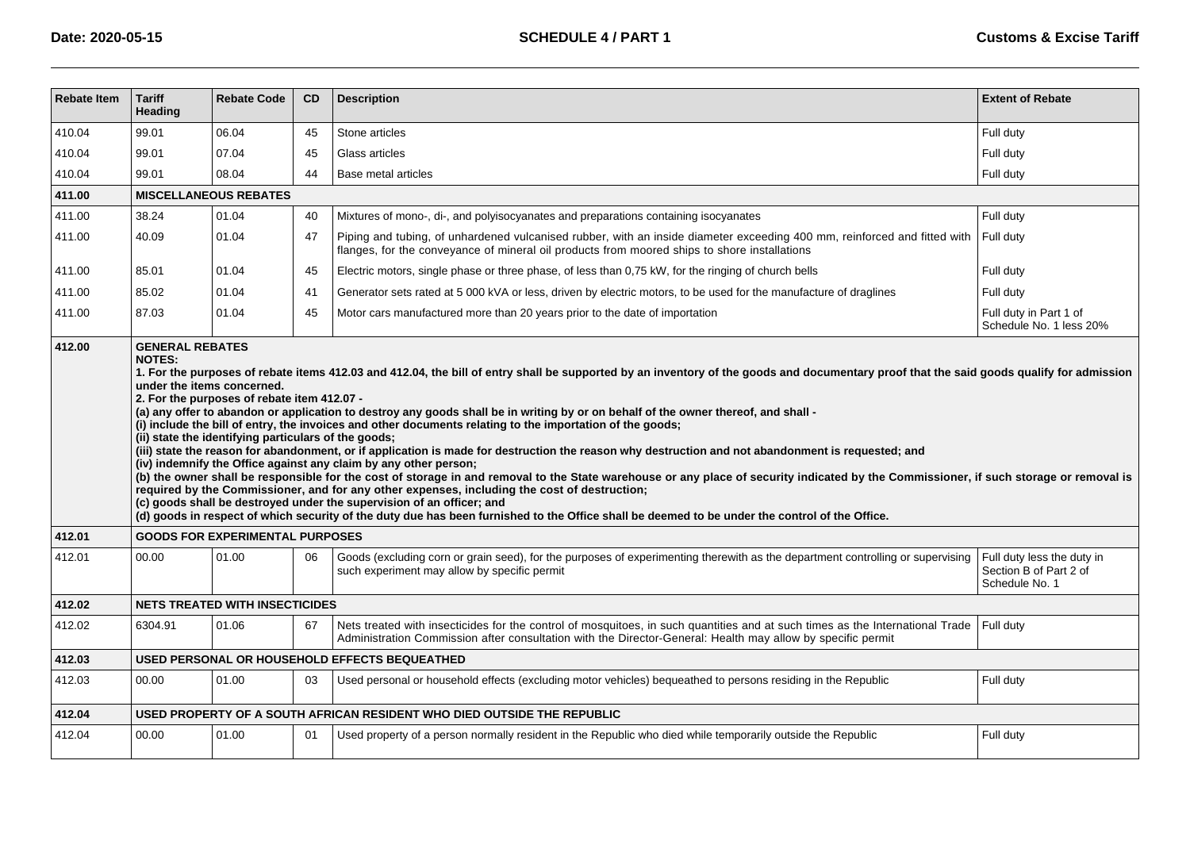| <b>Rebate Item</b> | <b>Tariff</b><br>Heading                                                                                                                                                                                                                                                                                                                                                                                                                                                                                                                                                                                                                                                                                                                                                                                                                                                                                                                                                                                                                                                                                                                                                                                                                                                                                                        | <b>Rebate Code</b>                     | <b>CD</b> | <b>Description</b>                                                                                                                                                                                                                           | <b>Extent of Rebate</b>                                                |  |  |  |  |  |
|--------------------|---------------------------------------------------------------------------------------------------------------------------------------------------------------------------------------------------------------------------------------------------------------------------------------------------------------------------------------------------------------------------------------------------------------------------------------------------------------------------------------------------------------------------------------------------------------------------------------------------------------------------------------------------------------------------------------------------------------------------------------------------------------------------------------------------------------------------------------------------------------------------------------------------------------------------------------------------------------------------------------------------------------------------------------------------------------------------------------------------------------------------------------------------------------------------------------------------------------------------------------------------------------------------------------------------------------------------------|----------------------------------------|-----------|----------------------------------------------------------------------------------------------------------------------------------------------------------------------------------------------------------------------------------------------|------------------------------------------------------------------------|--|--|--|--|--|
| 410.04             | 99.01                                                                                                                                                                                                                                                                                                                                                                                                                                                                                                                                                                                                                                                                                                                                                                                                                                                                                                                                                                                                                                                                                                                                                                                                                                                                                                                           | 06.04                                  | 45        | Stone articles                                                                                                                                                                                                                               | Full duty                                                              |  |  |  |  |  |
| 410.04             | 99.01                                                                                                                                                                                                                                                                                                                                                                                                                                                                                                                                                                                                                                                                                                                                                                                                                                                                                                                                                                                                                                                                                                                                                                                                                                                                                                                           | 07.04                                  | 45        | Glass articles                                                                                                                                                                                                                               | Full duty                                                              |  |  |  |  |  |
| 410.04             | 99.01                                                                                                                                                                                                                                                                                                                                                                                                                                                                                                                                                                                                                                                                                                                                                                                                                                                                                                                                                                                                                                                                                                                                                                                                                                                                                                                           | 08.04                                  | 44        | Base metal articles                                                                                                                                                                                                                          | Full duty                                                              |  |  |  |  |  |
| 411.00             | <b>MISCELLANEOUS REBATES</b>                                                                                                                                                                                                                                                                                                                                                                                                                                                                                                                                                                                                                                                                                                                                                                                                                                                                                                                                                                                                                                                                                                                                                                                                                                                                                                    |                                        |           |                                                                                                                                                                                                                                              |                                                                        |  |  |  |  |  |
| 411.00             | 38.24                                                                                                                                                                                                                                                                                                                                                                                                                                                                                                                                                                                                                                                                                                                                                                                                                                                                                                                                                                                                                                                                                                                                                                                                                                                                                                                           | 01.04                                  | 40        | Mixtures of mono-, di-, and polyisocyanates and preparations containing isocyanates                                                                                                                                                          | Full duty                                                              |  |  |  |  |  |
| 411.00             | 40.09                                                                                                                                                                                                                                                                                                                                                                                                                                                                                                                                                                                                                                                                                                                                                                                                                                                                                                                                                                                                                                                                                                                                                                                                                                                                                                                           | 01.04                                  | 47        | Piping and tubing, of unhardened vulcanised rubber, with an inside diameter exceeding 400 mm, reinforced and fitted with<br>flanges, for the conveyance of mineral oil products from moored ships to shore installations                     | Full duty                                                              |  |  |  |  |  |
| 411.00             | 85.01                                                                                                                                                                                                                                                                                                                                                                                                                                                                                                                                                                                                                                                                                                                                                                                                                                                                                                                                                                                                                                                                                                                                                                                                                                                                                                                           | 01.04                                  | 45        | Electric motors, single phase or three phase, of less than 0,75 kW, for the ringing of church bells                                                                                                                                          | Full duty                                                              |  |  |  |  |  |
| 411.00             | 85.02                                                                                                                                                                                                                                                                                                                                                                                                                                                                                                                                                                                                                                                                                                                                                                                                                                                                                                                                                                                                                                                                                                                                                                                                                                                                                                                           | 01.04                                  | 41        | Generator sets rated at 5 000 kVA or less, driven by electric motors, to be used for the manufacture of draglines                                                                                                                            | Full duty                                                              |  |  |  |  |  |
| 411.00             | 87.03                                                                                                                                                                                                                                                                                                                                                                                                                                                                                                                                                                                                                                                                                                                                                                                                                                                                                                                                                                                                                                                                                                                                                                                                                                                                                                                           | 01.04                                  | 45        | Motor cars manufactured more than 20 years prior to the date of importation                                                                                                                                                                  | Full duty in Part 1 of<br>Schedule No. 1 less 20%                      |  |  |  |  |  |
|                    | 1. For the purposes of rebate items 412.03 and 412.04, the bill of entry shall be supported by an inventory of the goods and documentary proof that the said goods qualify for admission<br>under the items concerned.<br>2. For the purposes of rebate item 412.07 -<br>(a) any offer to abandon or application to destroy any goods shall be in writing by or on behalf of the owner thereof, and shall -<br>(i) include the bill of entry, the invoices and other documents relating to the importation of the goods;<br>(ii) state the identifying particulars of the goods;<br>(iii) state the reason for abandonment, or if application is made for destruction the reason why destruction and not abandonment is requested; and<br>(iv) indemnify the Office against any claim by any other person;<br>(b) the owner shall be responsible for the cost of storage in and removal to the State warehouse or any place of security indicated by the Commissioner, if such storage or removal is<br>required by the Commissioner, and for any other expenses, including the cost of destruction;<br>(c) goods shall be destroyed under the supervision of an officer; and<br>(d) goods in respect of which security of the duty due has been furnished to the Office shall be deemed to be under the control of the Office. |                                        |           |                                                                                                                                                                                                                                              |                                                                        |  |  |  |  |  |
| 412.01             |                                                                                                                                                                                                                                                                                                                                                                                                                                                                                                                                                                                                                                                                                                                                                                                                                                                                                                                                                                                                                                                                                                                                                                                                                                                                                                                                 | <b>GOODS FOR EXPERIMENTAL PURPOSES</b> |           |                                                                                                                                                                                                                                              |                                                                        |  |  |  |  |  |
| 412.01             | 00.00                                                                                                                                                                                                                                                                                                                                                                                                                                                                                                                                                                                                                                                                                                                                                                                                                                                                                                                                                                                                                                                                                                                                                                                                                                                                                                                           | 01.00                                  | 06        | Goods (excluding corn or grain seed), for the purposes of experimenting therewith as the department controlling or supervising<br>such experiment may allow by specific permit                                                               | Full duty less the duty in<br>Section B of Part 2 of<br>Schedule No. 1 |  |  |  |  |  |
| 412.02             |                                                                                                                                                                                                                                                                                                                                                                                                                                                                                                                                                                                                                                                                                                                                                                                                                                                                                                                                                                                                                                                                                                                                                                                                                                                                                                                                 | <b>NETS TREATED WITH INSECTICIDES</b>  |           |                                                                                                                                                                                                                                              |                                                                        |  |  |  |  |  |
| 412.02             | 6304.91                                                                                                                                                                                                                                                                                                                                                                                                                                                                                                                                                                                                                                                                                                                                                                                                                                                                                                                                                                                                                                                                                                                                                                                                                                                                                                                         | 01.06                                  | 67        | Nets treated with insecticides for the control of mosquitoes, in such quantities and at such times as the International Trade<br>Administration Commission after consultation with the Director-General: Health may allow by specific permit | Full duty                                                              |  |  |  |  |  |
| 412.03             |                                                                                                                                                                                                                                                                                                                                                                                                                                                                                                                                                                                                                                                                                                                                                                                                                                                                                                                                                                                                                                                                                                                                                                                                                                                                                                                                 |                                        |           | USED PERSONAL OR HOUSEHOLD EFFECTS BEQUEATHED                                                                                                                                                                                                |                                                                        |  |  |  |  |  |
| 412.03             | 00.00                                                                                                                                                                                                                                                                                                                                                                                                                                                                                                                                                                                                                                                                                                                                                                                                                                                                                                                                                                                                                                                                                                                                                                                                                                                                                                                           | 01.00                                  | 03        | Used personal or household effects (excluding motor vehicles) bequeathed to persons residing in the Republic                                                                                                                                 | Full duty                                                              |  |  |  |  |  |
| 412.04             |                                                                                                                                                                                                                                                                                                                                                                                                                                                                                                                                                                                                                                                                                                                                                                                                                                                                                                                                                                                                                                                                                                                                                                                                                                                                                                                                 |                                        |           | USED PROPERTY OF A SOUTH AFRICAN RESIDENT WHO DIED OUTSIDE THE REPUBLIC                                                                                                                                                                      |                                                                        |  |  |  |  |  |
| 412.04             | 00.00                                                                                                                                                                                                                                                                                                                                                                                                                                                                                                                                                                                                                                                                                                                                                                                                                                                                                                                                                                                                                                                                                                                                                                                                                                                                                                                           | 01.00                                  | 01        | Used property of a person normally resident in the Republic who died while temporarily outside the Republic                                                                                                                                  | Full duty                                                              |  |  |  |  |  |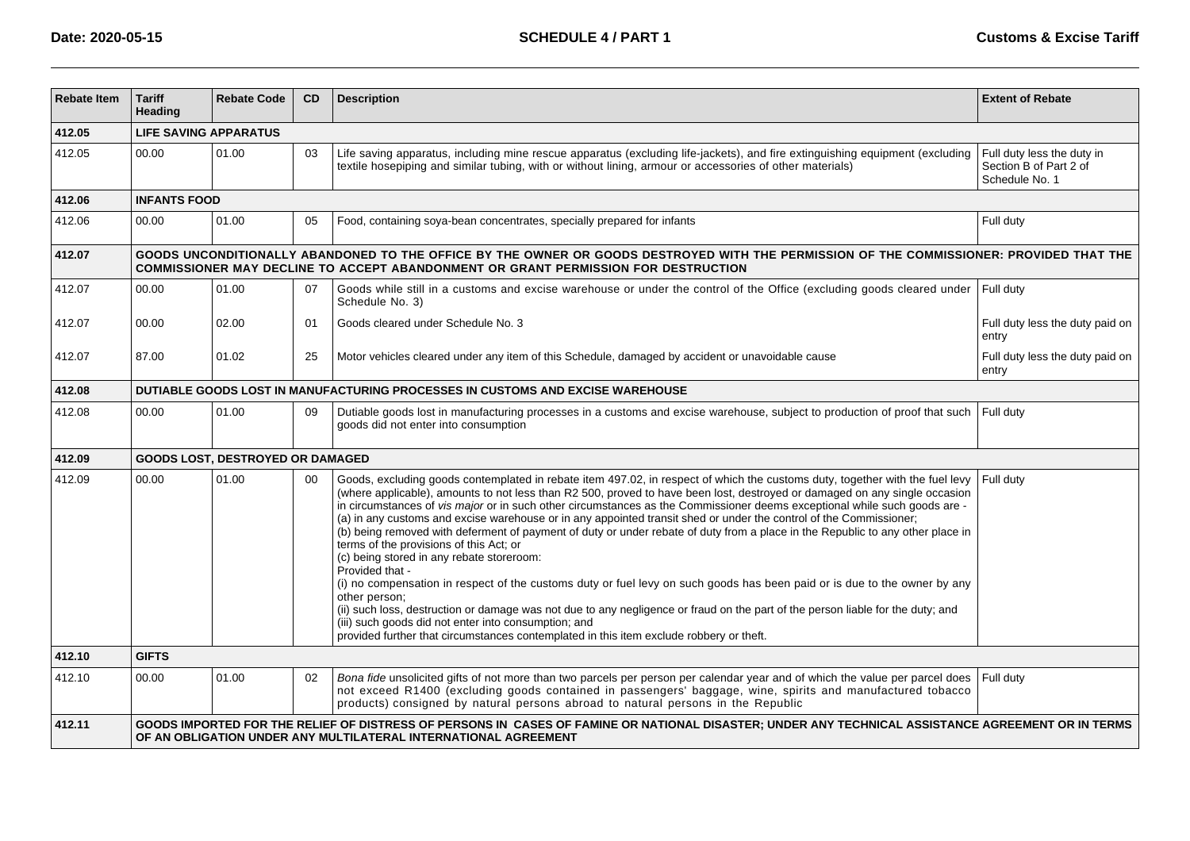| <b>Rebate Item</b> | <b>Tariff</b><br>Heading                                                       | <b>Rebate Code</b>               | CD | <b>Description</b>                                                                                                                                                                                                                                                                                                                                                                                                                                                                                                                                                                                                                                                                                                                                                                                                                                                                                                                                                                                                                                                                                                                                                                             | <b>Extent of Rebate</b>                                                |  |  |  |  |  |  |
|--------------------|--------------------------------------------------------------------------------|----------------------------------|----|------------------------------------------------------------------------------------------------------------------------------------------------------------------------------------------------------------------------------------------------------------------------------------------------------------------------------------------------------------------------------------------------------------------------------------------------------------------------------------------------------------------------------------------------------------------------------------------------------------------------------------------------------------------------------------------------------------------------------------------------------------------------------------------------------------------------------------------------------------------------------------------------------------------------------------------------------------------------------------------------------------------------------------------------------------------------------------------------------------------------------------------------------------------------------------------------|------------------------------------------------------------------------|--|--|--|--|--|--|
| 412.05             |                                                                                | <b>LIFE SAVING APPARATUS</b>     |    |                                                                                                                                                                                                                                                                                                                                                                                                                                                                                                                                                                                                                                                                                                                                                                                                                                                                                                                                                                                                                                                                                                                                                                                                |                                                                        |  |  |  |  |  |  |
| 412.05             | 00.00                                                                          | 01.00                            | 03 | Life saving apparatus, including mine rescue apparatus (excluding life-jackets), and fire extinguishing equipment (excluding<br>textile hosepiping and similar tubing, with or without lining, armour or accessories of other materials)                                                                                                                                                                                                                                                                                                                                                                                                                                                                                                                                                                                                                                                                                                                                                                                                                                                                                                                                                       | Full duty less the duty in<br>Section B of Part 2 of<br>Schedule No. 1 |  |  |  |  |  |  |
| 412.06             | <b>INFANTS FOOD</b>                                                            |                                  |    |                                                                                                                                                                                                                                                                                                                                                                                                                                                                                                                                                                                                                                                                                                                                                                                                                                                                                                                                                                                                                                                                                                                                                                                                |                                                                        |  |  |  |  |  |  |
| 412.06             | 00.00                                                                          | 01.00                            | 05 | Food, containing soya-bean concentrates, specially prepared for infants                                                                                                                                                                                                                                                                                                                                                                                                                                                                                                                                                                                                                                                                                                                                                                                                                                                                                                                                                                                                                                                                                                                        | Full duty                                                              |  |  |  |  |  |  |
| 412.07             |                                                                                |                                  |    | GOODS UNCONDITIONALLY ABANDONED TO THE OFFICE BY THE OWNER OR GOODS DESTROYED WITH THE PERMISSION OF THE COMMISSIONER: PROVIDED THAT THE<br>COMMISSIONER MAY DECLINE TO ACCEPT ABANDONMENT OR GRANT PERMISSION FOR DESTRUCTION                                                                                                                                                                                                                                                                                                                                                                                                                                                                                                                                                                                                                                                                                                                                                                                                                                                                                                                                                                 |                                                                        |  |  |  |  |  |  |
| 412.07             | 00.00                                                                          | 01.00                            | 07 | Goods while still in a customs and excise warehouse or under the control of the Office (excluding goods cleared under Full duty<br>Schedule No. 3)                                                                                                                                                                                                                                                                                                                                                                                                                                                                                                                                                                                                                                                                                                                                                                                                                                                                                                                                                                                                                                             |                                                                        |  |  |  |  |  |  |
| 412.07             | 00.00                                                                          | 02.00                            | 01 | Goods cleared under Schedule No. 3                                                                                                                                                                                                                                                                                                                                                                                                                                                                                                                                                                                                                                                                                                                                                                                                                                                                                                                                                                                                                                                                                                                                                             | Full duty less the duty paid on<br>entry                               |  |  |  |  |  |  |
| 412.07             | 87.00                                                                          | 01.02                            | 25 | Motor vehicles cleared under any item of this Schedule, damaged by accident or unavoidable cause                                                                                                                                                                                                                                                                                                                                                                                                                                                                                                                                                                                                                                                                                                                                                                                                                                                                                                                                                                                                                                                                                               | Full duty less the duty paid on<br>entry                               |  |  |  |  |  |  |
| 412.08             | DUTIABLE GOODS LOST IN MANUFACTURING PROCESSES IN CUSTOMS AND EXCISE WAREHOUSE |                                  |    |                                                                                                                                                                                                                                                                                                                                                                                                                                                                                                                                                                                                                                                                                                                                                                                                                                                                                                                                                                                                                                                                                                                                                                                                |                                                                        |  |  |  |  |  |  |
| 412.08             | 00.00                                                                          | 01.00                            | 09 | Dutiable goods lost in manufacturing processes in a customs and excise warehouse, subject to production of proof that such<br>goods did not enter into consumption                                                                                                                                                                                                                                                                                                                                                                                                                                                                                                                                                                                                                                                                                                                                                                                                                                                                                                                                                                                                                             | Full duty                                                              |  |  |  |  |  |  |
| 412.09             |                                                                                | GOODS LOST, DESTROYED OR DAMAGED |    |                                                                                                                                                                                                                                                                                                                                                                                                                                                                                                                                                                                                                                                                                                                                                                                                                                                                                                                                                                                                                                                                                                                                                                                                |                                                                        |  |  |  |  |  |  |
| 412.09             | 00.00                                                                          | 01.00                            | 00 | Goods, excluding goods contemplated in rebate item 497.02, in respect of which the customs duty, together with the fuel levy<br>(where applicable), amounts to not less than R2 500, proved to have been lost, destroyed or damaged on any single occasion<br>in circumstances of vis major or in such other circumstances as the Commissioner deems exceptional while such goods are -<br>(a) in any customs and excise warehouse or in any appointed transit shed or under the control of the Commissioner;<br>(b) being removed with deferment of payment of duty or under rebate of duty from a place in the Republic to any other place in<br>terms of the provisions of this Act; or<br>(c) being stored in any rebate storeroom:<br>Provided that -<br>(i) no compensation in respect of the customs duty or fuel levy on such goods has been paid or is due to the owner by any<br>other person:<br>(ii) such loss, destruction or damage was not due to any negligence or fraud on the part of the person liable for the duty; and<br>(iii) such goods did not enter into consumption; and<br>provided further that circumstances contemplated in this item exclude robbery or theft. | Full dutv                                                              |  |  |  |  |  |  |
| 412.10             | <b>GIFTS</b>                                                                   |                                  |    |                                                                                                                                                                                                                                                                                                                                                                                                                                                                                                                                                                                                                                                                                                                                                                                                                                                                                                                                                                                                                                                                                                                                                                                                |                                                                        |  |  |  |  |  |  |
| 412.10             | 00.00                                                                          | 01.00                            | 02 | Bona fide unsolicited gifts of not more than two parcels per person per calendar year and of which the value per parcel does<br>not exceed R1400 (excluding goods contained in passengers' baggage, wine, spirits and manufactured tobacco<br>products) consigned by natural persons abroad to natural persons in the Republic                                                                                                                                                                                                                                                                                                                                                                                                                                                                                                                                                                                                                                                                                                                                                                                                                                                                 | Full duty                                                              |  |  |  |  |  |  |
| 412.11             |                                                                                |                                  |    | GOODS IMPORTED FOR THE RELIEF OF DISTRESS OF PERSONS IN CASES OF FAMINE OR NATIONAL DISASTER; UNDER ANY TECHNICAL ASSISTANCE AGREEMENT OR IN TERMS<br>OF AN OBLIGATION UNDER ANY MULTILATERAL INTERNATIONAL AGREEMENT                                                                                                                                                                                                                                                                                                                                                                                                                                                                                                                                                                                                                                                                                                                                                                                                                                                                                                                                                                          |                                                                        |  |  |  |  |  |  |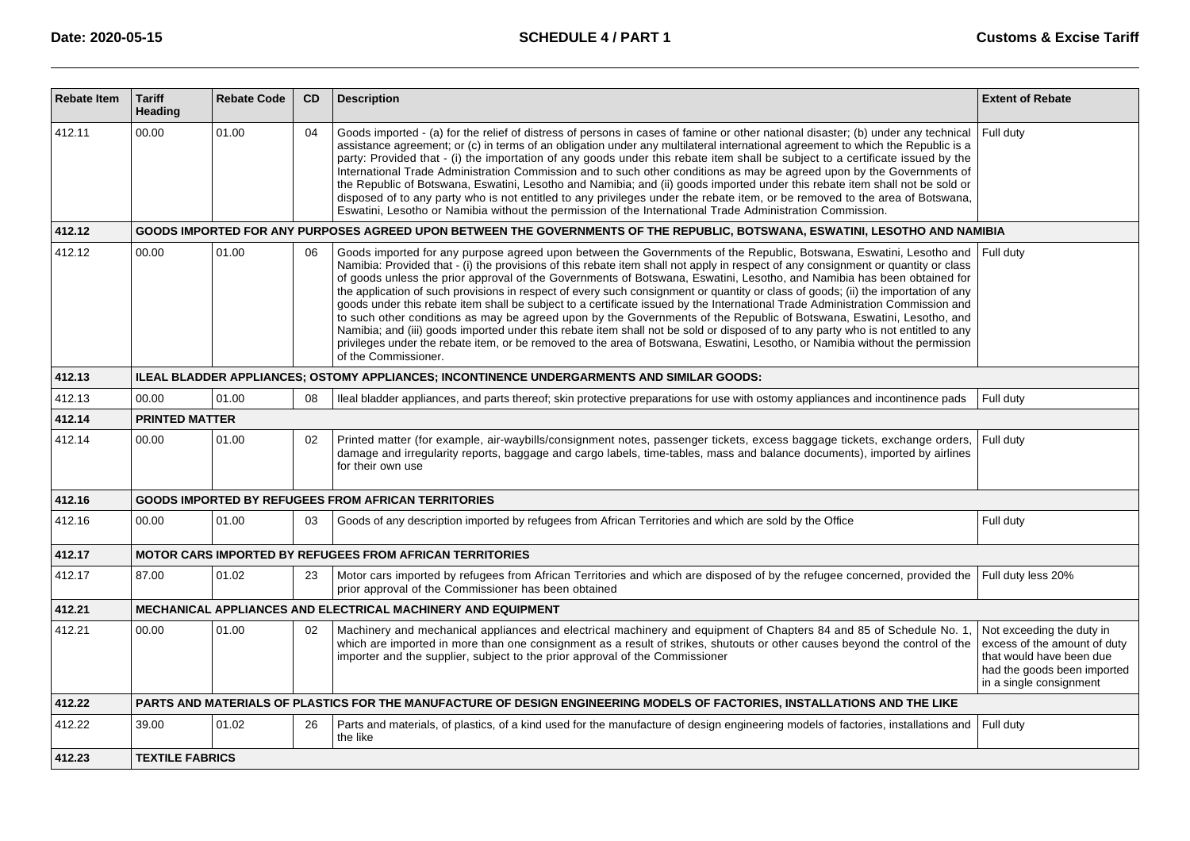| <b>Rebate Item</b> | <b>Tariff</b><br>Heading                                                                   | <b>Rebate Code</b> | <b>CD</b> | <b>Description</b>                                                                                                                                                                                                                                                                                                                                                                                                                                                                                                                                                                                                                                                                                                                                                                                                                                                                                                                                                                                                                                                                  | <b>Extent of Rebate</b>                                                                                                                         |  |  |  |
|--------------------|--------------------------------------------------------------------------------------------|--------------------|-----------|-------------------------------------------------------------------------------------------------------------------------------------------------------------------------------------------------------------------------------------------------------------------------------------------------------------------------------------------------------------------------------------------------------------------------------------------------------------------------------------------------------------------------------------------------------------------------------------------------------------------------------------------------------------------------------------------------------------------------------------------------------------------------------------------------------------------------------------------------------------------------------------------------------------------------------------------------------------------------------------------------------------------------------------------------------------------------------------|-------------------------------------------------------------------------------------------------------------------------------------------------|--|--|--|
| 412.11             | 00.00                                                                                      | 01.00              | 04        | Goods imported - (a) for the relief of distress of persons in cases of famine or other national disaster; (b) under any technical<br>assistance agreement; or (c) in terms of an obligation under any multilateral international agreement to which the Republic is a<br>party: Provided that - (i) the importation of any goods under this rebate item shall be subject to a certificate issued by the<br>International Trade Administration Commission and to such other conditions as may be agreed upon by the Governments of<br>the Republic of Botswana, Eswatini, Lesotho and Namibia; and (ii) goods imported under this rebate item shall not be sold or<br>disposed of to any party who is not entitled to any privileges under the rebate item, or be removed to the area of Botswana,<br>Eswatini, Lesotho or Namibia without the permission of the International Trade Administration Commission.                                                                                                                                                                      | Full duty                                                                                                                                       |  |  |  |
| 412.12             |                                                                                            |                    |           | GOODS IMPORTED FOR ANY PURPOSES AGREED UPON BETWEEN THE GOVERNMENTS OF THE REPUBLIC, BOTSWANA, ESWATINI, LESOTHO AND NAMIBIA                                                                                                                                                                                                                                                                                                                                                                                                                                                                                                                                                                                                                                                                                                                                                                                                                                                                                                                                                        |                                                                                                                                                 |  |  |  |
| 412.12             | 00.00                                                                                      | 01.00              | 06        | Goods imported for any purpose agreed upon between the Governments of the Republic, Botswana, Eswatini, Lesotho and<br>Namibia: Provided that - (i) the provisions of this rebate item shall not apply in respect of any consignment or quantity or class<br>of goods unless the prior approval of the Governments of Botswana, Eswatini, Lesotho, and Namibia has been obtained for<br>the application of such provisions in respect of every such consignment or quantity or class of goods; (ii) the importation of any<br>goods under this rebate item shall be subject to a certificate issued by the International Trade Administration Commission and<br>to such other conditions as may be agreed upon by the Governments of the Republic of Botswana, Eswatini, Lesotho, and<br>Namibia; and (iii) goods imported under this rebate item shall not be sold or disposed of to any party who is not entitled to any<br>privileges under the rebate item, or be removed to the area of Botswana, Eswatini, Lesotho, or Namibia without the permission<br>of the Commissioner. | Full duty                                                                                                                                       |  |  |  |
| 412.13             | ILEAL BLADDER APPLIANCES; OSTOMY APPLIANCES; INCONTINENCE UNDERGARMENTS AND SIMILAR GOODS: |                    |           |                                                                                                                                                                                                                                                                                                                                                                                                                                                                                                                                                                                                                                                                                                                                                                                                                                                                                                                                                                                                                                                                                     |                                                                                                                                                 |  |  |  |
| 412.13             | 00.00                                                                                      | 01.00              | 08        | Ileal bladder appliances, and parts thereof; skin protective preparations for use with ostomy appliances and incontinence pads                                                                                                                                                                                                                                                                                                                                                                                                                                                                                                                                                                                                                                                                                                                                                                                                                                                                                                                                                      | Full duty                                                                                                                                       |  |  |  |
| 412.14             | <b>PRINTED MATTER</b>                                                                      |                    |           |                                                                                                                                                                                                                                                                                                                                                                                                                                                                                                                                                                                                                                                                                                                                                                                                                                                                                                                                                                                                                                                                                     |                                                                                                                                                 |  |  |  |
| 412.14             | 00.00                                                                                      | 01.00              | 02        | Printed matter (for example, air-waybills/consignment notes, passenger tickets, excess baggage tickets, exchange orders,<br>damage and irregularity reports, baggage and cargo labels, time-tables, mass and balance documents), imported by airlines<br>for their own use                                                                                                                                                                                                                                                                                                                                                                                                                                                                                                                                                                                                                                                                                                                                                                                                          | Full duty                                                                                                                                       |  |  |  |
| 412.16             |                                                                                            |                    |           | <b>GOODS IMPORTED BY REFUGEES FROM AFRICAN TERRITORIES</b>                                                                                                                                                                                                                                                                                                                                                                                                                                                                                                                                                                                                                                                                                                                                                                                                                                                                                                                                                                                                                          |                                                                                                                                                 |  |  |  |
| 412.16             | 00.00                                                                                      | 01.00              | 03        | Goods of any description imported by refugees from African Territories and which are sold by the Office                                                                                                                                                                                                                                                                                                                                                                                                                                                                                                                                                                                                                                                                                                                                                                                                                                                                                                                                                                             | Full duty                                                                                                                                       |  |  |  |
| 412.17             |                                                                                            |                    |           | <b>MOTOR CARS IMPORTED BY REFUGEES FROM AFRICAN TERRITORIES</b>                                                                                                                                                                                                                                                                                                                                                                                                                                                                                                                                                                                                                                                                                                                                                                                                                                                                                                                                                                                                                     |                                                                                                                                                 |  |  |  |
| 412.17             | 87.00                                                                                      | 01.02              | 23        | Motor cars imported by refugees from African Territories and which are disposed of by the refugee concerned, provided the<br>prior approval of the Commissioner has been obtained                                                                                                                                                                                                                                                                                                                                                                                                                                                                                                                                                                                                                                                                                                                                                                                                                                                                                                   | Full duty less 20%                                                                                                                              |  |  |  |
| 412.21             |                                                                                            |                    |           | <b>MECHANICAL APPLIANCES AND ELECTRICAL MACHINERY AND EQUIPMENT</b>                                                                                                                                                                                                                                                                                                                                                                                                                                                                                                                                                                                                                                                                                                                                                                                                                                                                                                                                                                                                                 |                                                                                                                                                 |  |  |  |
| 412.21             | 00.00                                                                                      | 01.00              | 02        | Machinery and mechanical appliances and electrical machinery and equipment of Chapters 84 and 85 of Schedule No. 1,<br>which are imported in more than one consignment as a result of strikes, shutouts or other causes beyond the control of the<br>importer and the supplier, subject to the prior approval of the Commissioner                                                                                                                                                                                                                                                                                                                                                                                                                                                                                                                                                                                                                                                                                                                                                   | Not exceeding the duty in<br>excess of the amount of duty<br>that would have been due<br>had the goods been imported<br>in a single consignment |  |  |  |
| 412.22             |                                                                                            |                    |           | PARTS AND MATERIALS OF PLASTICS FOR THE MANUFACTURE OF DESIGN ENGINEERING MODELS OF FACTORIES, INSTALLATIONS AND THE LIKE                                                                                                                                                                                                                                                                                                                                                                                                                                                                                                                                                                                                                                                                                                                                                                                                                                                                                                                                                           |                                                                                                                                                 |  |  |  |
| 412.22             | 39.00                                                                                      | 01.02              | 26        | Parts and materials, of plastics, of a kind used for the manufacture of design engineering models of factories, installations and<br>the like                                                                                                                                                                                                                                                                                                                                                                                                                                                                                                                                                                                                                                                                                                                                                                                                                                                                                                                                       | Full duty                                                                                                                                       |  |  |  |
| 412.23             | <b>TEXTILE FABRICS</b>                                                                     |                    |           |                                                                                                                                                                                                                                                                                                                                                                                                                                                                                                                                                                                                                                                                                                                                                                                                                                                                                                                                                                                                                                                                                     |                                                                                                                                                 |  |  |  |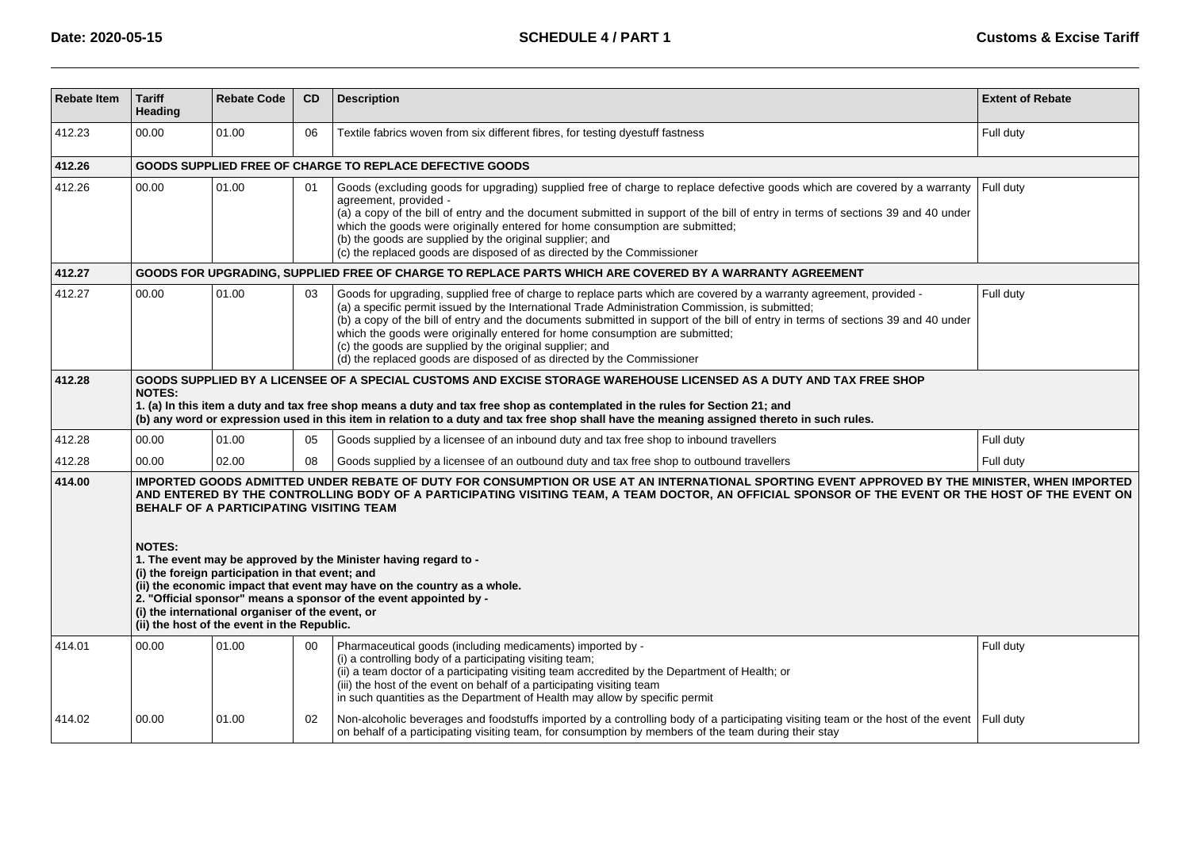| <b>Rebate Item</b> | <b>Tariff</b><br>Heading                                                                                                                                                                                                                                                                                                                                                                                                                                                                                                                                                                                                                                                                                                                         | <b>Rebate Code</b> | CD | <b>Description</b>                                                                                                                                                                                                                                                                                                                                                                                                                                                                                                                                                               | <b>Extent of Rebate</b> |  |  |  |  |  |
|--------------------|--------------------------------------------------------------------------------------------------------------------------------------------------------------------------------------------------------------------------------------------------------------------------------------------------------------------------------------------------------------------------------------------------------------------------------------------------------------------------------------------------------------------------------------------------------------------------------------------------------------------------------------------------------------------------------------------------------------------------------------------------|--------------------|----|----------------------------------------------------------------------------------------------------------------------------------------------------------------------------------------------------------------------------------------------------------------------------------------------------------------------------------------------------------------------------------------------------------------------------------------------------------------------------------------------------------------------------------------------------------------------------------|-------------------------|--|--|--|--|--|
| 412.23             | 00.00                                                                                                                                                                                                                                                                                                                                                                                                                                                                                                                                                                                                                                                                                                                                            | 01.00              | 06 | Textile fabrics woven from six different fibres, for testing dyestuff fastness                                                                                                                                                                                                                                                                                                                                                                                                                                                                                                   | Full duty               |  |  |  |  |  |
| 412.26             | <b>GOODS SUPPLIED FREE OF CHARGE TO REPLACE DEFECTIVE GOODS</b>                                                                                                                                                                                                                                                                                                                                                                                                                                                                                                                                                                                                                                                                                  |                    |    |                                                                                                                                                                                                                                                                                                                                                                                                                                                                                                                                                                                  |                         |  |  |  |  |  |
| 412.26             | 00.00                                                                                                                                                                                                                                                                                                                                                                                                                                                                                                                                                                                                                                                                                                                                            | 01.00              | 01 | Goods (excluding goods for upgrading) supplied free of charge to replace defective goods which are covered by a warranty<br>agreement, provided -<br>(a) a copy of the bill of entry and the document submitted in support of the bill of entry in terms of sections 39 and 40 under<br>which the goods were originally entered for home consumption are submitted;<br>(b) the goods are supplied by the original supplier; and<br>(c) the replaced goods are disposed of as directed by the Commissioner                                                                        | Full duty               |  |  |  |  |  |
| 412.27             |                                                                                                                                                                                                                                                                                                                                                                                                                                                                                                                                                                                                                                                                                                                                                  |                    |    | GOODS FOR UPGRADING, SUPPLIED FREE OF CHARGE TO REPLACE PARTS WHICH ARE COVERED BY A WARRANTY AGREEMENT                                                                                                                                                                                                                                                                                                                                                                                                                                                                          |                         |  |  |  |  |  |
| 412.27             | 00.00                                                                                                                                                                                                                                                                                                                                                                                                                                                                                                                                                                                                                                                                                                                                            | 01.00              | 03 | Goods for upgrading, supplied free of charge to replace parts which are covered by a warranty agreement, provided -<br>(a) a specific permit issued by the International Trade Administration Commission, is submitted;<br>(b) a copy of the bill of entry and the documents submitted in support of the bill of entry in terms of sections 39 and 40 under<br>which the goods were originally entered for home consumption are submitted;<br>(c) the goods are supplied by the original supplier; and<br>(d) the replaced goods are disposed of as directed by the Commissioner | Full duty               |  |  |  |  |  |
| 412.28             | GOODS SUPPLIED BY A LICENSEE OF A SPECIAL CUSTOMS AND EXCISE STORAGE WAREHOUSE LICENSED AS A DUTY AND TAX FREE SHOP<br><b>NOTES:</b><br>1. (a) In this item a duty and tax free shop means a duty and tax free shop as contemplated in the rules for Section 21; and<br>(b) any word or expression used in this item in relation to a duty and tax free shop shall have the meaning assigned thereto in such rules.                                                                                                                                                                                                                                                                                                                              |                    |    |                                                                                                                                                                                                                                                                                                                                                                                                                                                                                                                                                                                  |                         |  |  |  |  |  |
| 412.28             | 00.00                                                                                                                                                                                                                                                                                                                                                                                                                                                                                                                                                                                                                                                                                                                                            | 01.00              | 05 | Goods supplied by a licensee of an inbound duty and tax free shop to inbound travellers                                                                                                                                                                                                                                                                                                                                                                                                                                                                                          | Full duty               |  |  |  |  |  |
| 412.28             | 00.00                                                                                                                                                                                                                                                                                                                                                                                                                                                                                                                                                                                                                                                                                                                                            | 02.00              | 08 | Goods supplied by a licensee of an outbound duty and tax free shop to outbound travellers                                                                                                                                                                                                                                                                                                                                                                                                                                                                                        | Full duty               |  |  |  |  |  |
| 414.00             | IMPORTED GOODS ADMITTED UNDER REBATE OF DUTY FOR CONSUMPTION OR USE AT AN INTERNATIONAL SPORTING EVENT APPROVED BY THE MINISTER, WHEN IMPORTED<br>AND ENTERED BY THE CONTROLLING BODY OF A PARTICIPATING VISITING TEAM, A TEAM DOCTOR, AN OFFICIAL SPONSOR OF THE EVENT OR THE HOST OF THE EVENT ON<br><b>BEHALF OF A PARTICIPATING VISITING TEAM</b><br><b>NOTES:</b><br>1. The event may be approved by the Minister having regard to -<br>(i) the foreign participation in that event; and<br>(ii) the economic impact that event may have on the country as a whole.<br>2. "Official sponsor" means a sponsor of the event appointed by -<br>(i) the international organiser of the event, or<br>(ii) the host of the event in the Republic. |                    |    |                                                                                                                                                                                                                                                                                                                                                                                                                                                                                                                                                                                  |                         |  |  |  |  |  |
| 414.01             | 00.00                                                                                                                                                                                                                                                                                                                                                                                                                                                                                                                                                                                                                                                                                                                                            | 01.00              | 00 | Pharmaceutical goods (including medicaments) imported by -<br>(i) a controlling body of a participating visiting team;<br>(ii) a team doctor of a participating visiting team accredited by the Department of Health; or<br>(iii) the host of the event on behalf of a participating visiting team<br>in such quantities as the Department of Health may allow by specific permit                                                                                                                                                                                                | Full duty               |  |  |  |  |  |
| 414.02             | 00.00                                                                                                                                                                                                                                                                                                                                                                                                                                                                                                                                                                                                                                                                                                                                            | 01.00              | 02 | Non-alcoholic beverages and foodstuffs imported by a controlling body of a participating visiting team or the host of the event Full duty<br>on behalf of a participating visiting team, for consumption by members of the team during their stay                                                                                                                                                                                                                                                                                                                                |                         |  |  |  |  |  |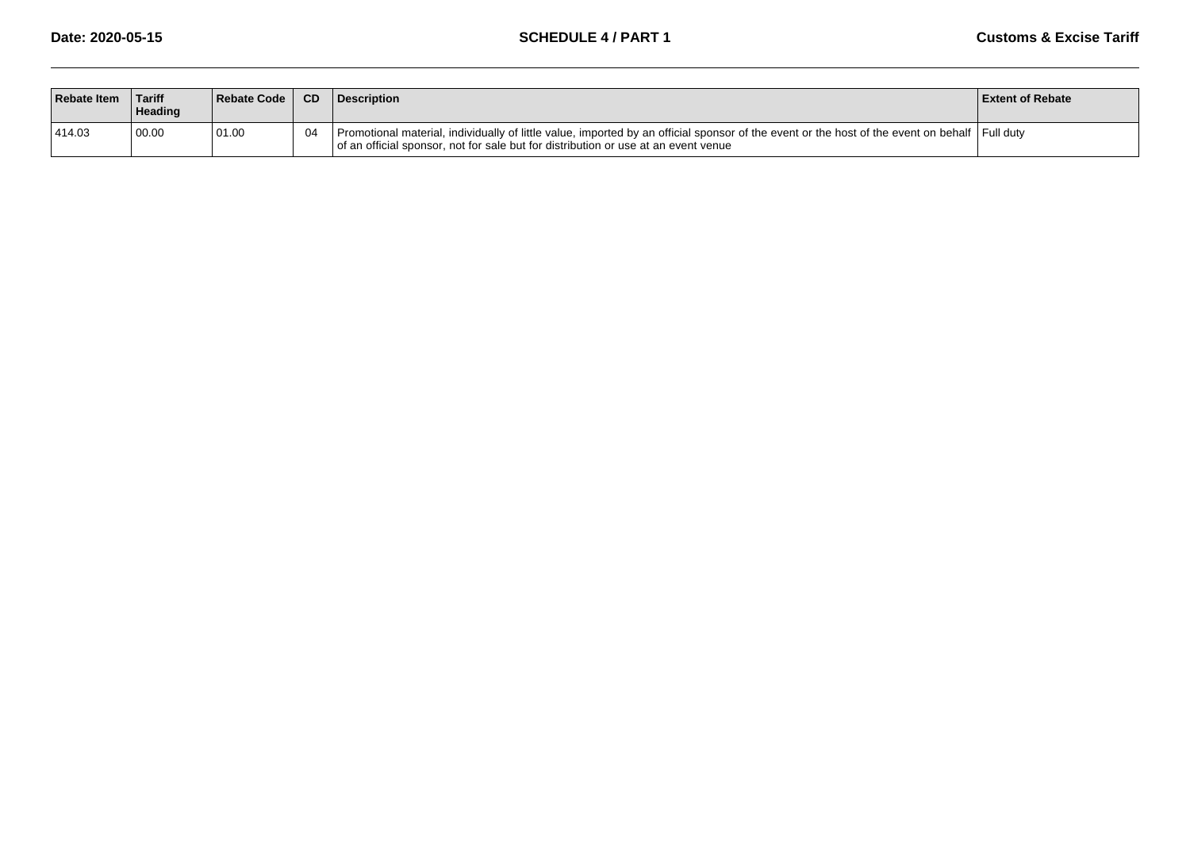| <b>Rebate Item</b> | <b>Tariff</b><br><b>Heading</b> | Rebate Code | CD. | <b>Description</b>                                                                                                                                                                                                                    | <b>Extent of Rebate</b> |
|--------------------|---------------------------------|-------------|-----|---------------------------------------------------------------------------------------------------------------------------------------------------------------------------------------------------------------------------------------|-------------------------|
| 414.03             | 00.00                           | 01.00       | 04  | Promotional material, individually of little value, imported by an official sponsor of the event or the host of the event on behalf   Full duty<br>of an official sponsor, not for sale but for distribution or use at an event venue |                         |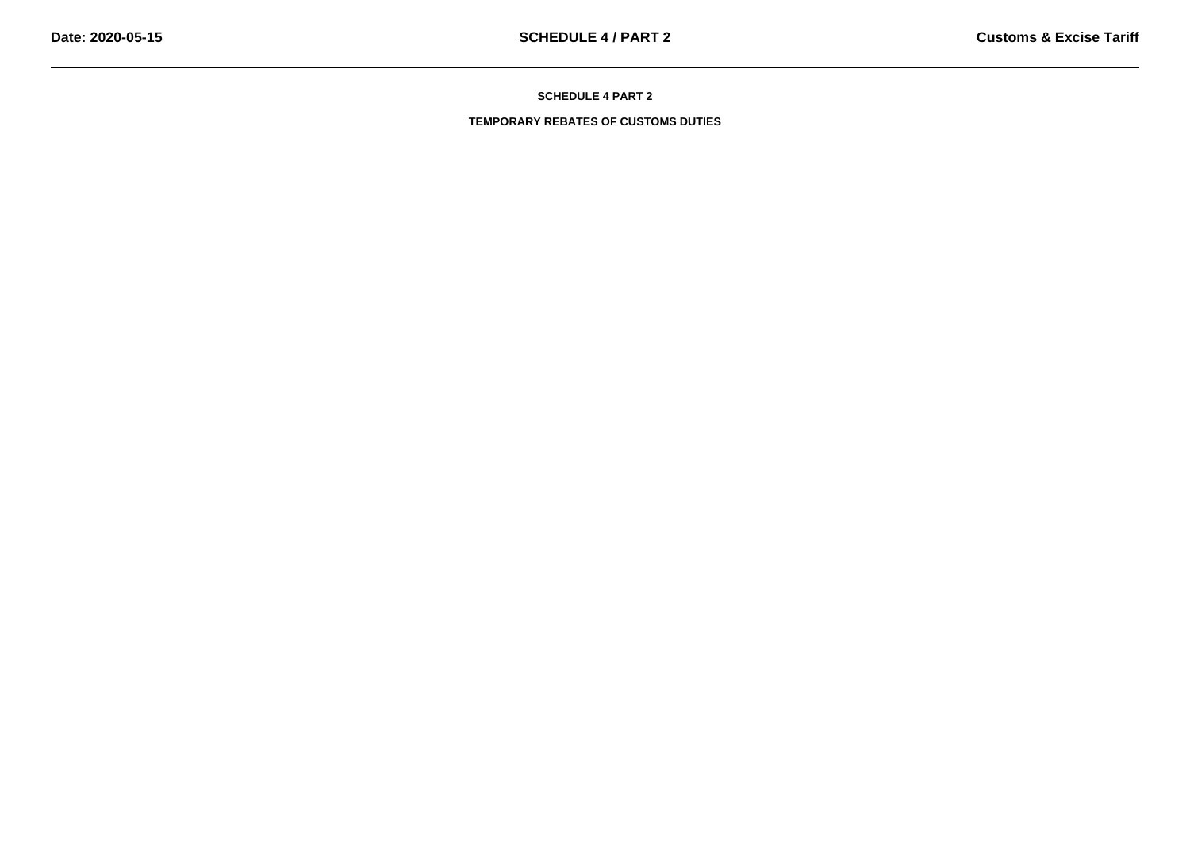**TEMPORARY REBATES OF CUSTOMS DUTIES**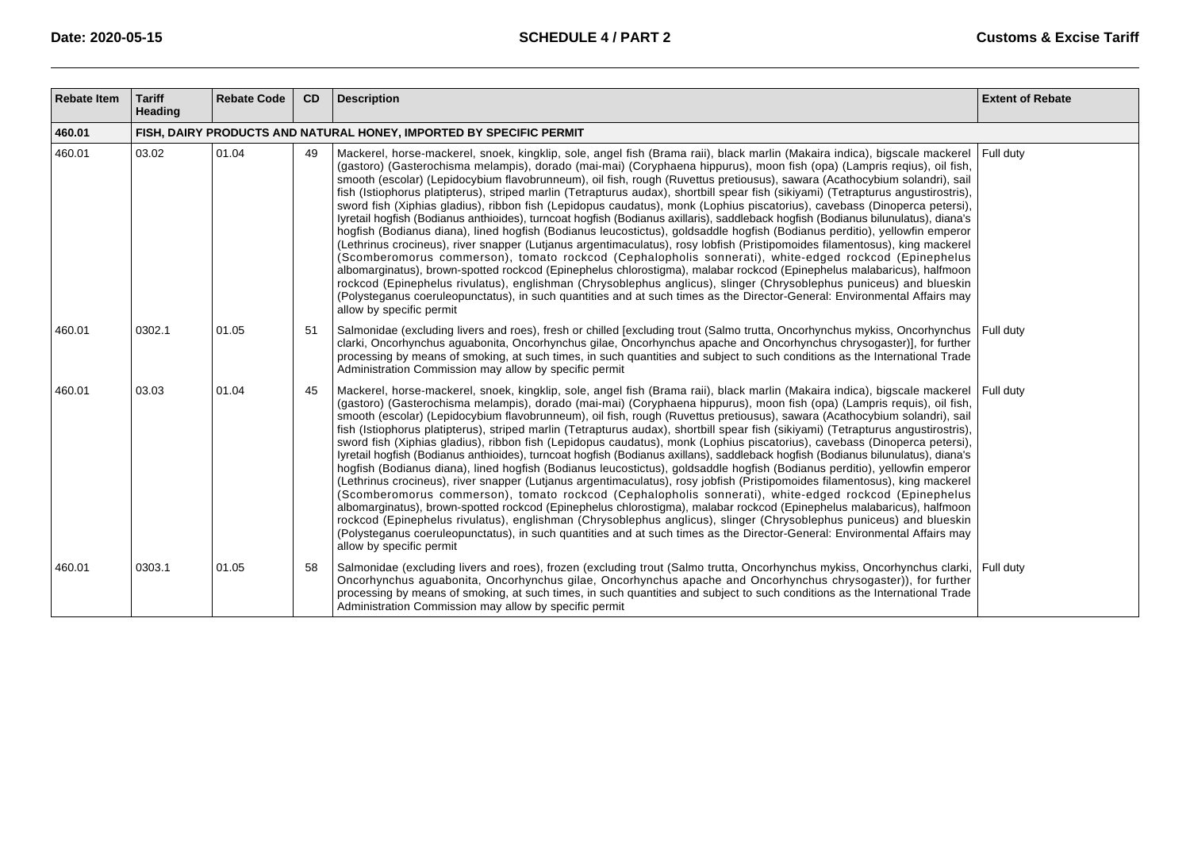| <b>Rebate Item</b> | <b>Tariff</b><br>Heading                                            | <b>Rebate Code</b> | <b>CD</b> | <b>Description</b>                                                                                                                                                                                                                                                                                                                                                                                                                                                                                                                                                                                                                                                                                                                                                                                                                                                                                                                                                                                                                                                                                                                                                                                                                                                                                                                                                                                                                                                                                                                                                                   | <b>Extent of Rebate</b> |  |  |
|--------------------|---------------------------------------------------------------------|--------------------|-----------|--------------------------------------------------------------------------------------------------------------------------------------------------------------------------------------------------------------------------------------------------------------------------------------------------------------------------------------------------------------------------------------------------------------------------------------------------------------------------------------------------------------------------------------------------------------------------------------------------------------------------------------------------------------------------------------------------------------------------------------------------------------------------------------------------------------------------------------------------------------------------------------------------------------------------------------------------------------------------------------------------------------------------------------------------------------------------------------------------------------------------------------------------------------------------------------------------------------------------------------------------------------------------------------------------------------------------------------------------------------------------------------------------------------------------------------------------------------------------------------------------------------------------------------------------------------------------------------|-------------------------|--|--|
| 460.01             | FISH, DAIRY PRODUCTS AND NATURAL HONEY, IMPORTED BY SPECIFIC PERMIT |                    |           |                                                                                                                                                                                                                                                                                                                                                                                                                                                                                                                                                                                                                                                                                                                                                                                                                                                                                                                                                                                                                                                                                                                                                                                                                                                                                                                                                                                                                                                                                                                                                                                      |                         |  |  |
| 460.01             | 03.02                                                               | 01.04              | 49        | Mackerel, horse-mackerel, snoek, kingklip, sole, angel fish (Brama raii), black marlin (Makaira indica), bigscale mackerel Full duty<br>(gastoro) (Gasterochisma melampis), dorado (mai-mai) (Coryphaena hippurus), moon fish (opa) (Lampris reqius), oil fish,<br>smooth (escolar) (Lepidocybium flavobrunneum), oil fish, rough (Ruvettus pretiousus), sawara (Acathocybium solandri), sail<br>fish (Istiophorus platipterus), striped marlin (Tetrapturus audax), shortbill spear fish (sikiyami) (Tetrapturus angustirostris),<br>sword fish (Xiphias gladius), ribbon fish (Lepidopus caudatus), monk (Lophius piscatorius), cavebass (Dinoperca petersi),<br>lyretail hogfish (Bodianus anthioides), turncoat hogfish (Bodianus axillaris), saddleback hogfish (Bodianus bilunulatus), diana's<br>hogfish (Bodianus diana), lined hogfish (Bodianus leucostictus), goldsaddle hogfish (Bodianus perditio), yellowfin emperor<br>(Lethrinus crocineus), river snapper (Lutjanus argentimaculatus), rosy lobfish (Pristipomoides filamentosus), king mackerel<br>(Scomberomorus commerson), tomato rockcod (Cephalopholis sonnerati), white-edged rockcod (Epinephelus<br>albomarginatus), brown-spotted rockcod (Epinephelus chlorostigma), malabar rockcod (Epinephelus malabaricus), halfmoon<br>rockcod (Epinephelus rivulatus), englishman (Chrysoblephus anglicus), slinger (Chrysoblephus puniceus) and blueskin<br>(Polysteganus coeruleopunctatus), in such quantities and at such times as the Director-General: Environmental Affairs may<br>allow by specific permit |                         |  |  |
| 460.01             | 0302.1                                                              | 01.05              | 51        | Salmonidae (excluding livers and roes), fresh or chilled [excluding trout (Salmo trutta, Oncorhynchus mykiss, Oncorhynchus   Full duty<br>clarki, Oncorhynchus aguabonita, Oncorhynchus gilae, Oncorhynchus apache and Oncorhynchus chrysogaster)], for further<br>processing by means of smoking, at such times, in such quantities and subject to such conditions as the International Trade<br>Administration Commission may allow by specific permit                                                                                                                                                                                                                                                                                                                                                                                                                                                                                                                                                                                                                                                                                                                                                                                                                                                                                                                                                                                                                                                                                                                             |                         |  |  |
| 460.01             | 03.03                                                               | 01.04              | 45        | Mackerel, horse-mackerel, snoek, kingklip, sole, angel fish (Brama raii), black marlin (Makaira indica), bigscale mackerel Full duty<br>(gastoro) (Gasterochisma melampis), dorado (mai-mai) (Coryphaena hippurus), moon fish (opa) (Lampris requis), oil fish,<br>smooth (escolar) (Lepidocybium flavobrunneum), oil fish, rough (Ruvettus pretiousus), sawara (Acathocybium solandri), sail<br>fish (Istiophorus platipterus), striped marlin (Tetrapturus audax), shortbill spear fish (sikiyami) (Tetrapturus angustirostris),<br>sword fish (Xiphias gladius), ribbon fish (Lepidopus caudatus), monk (Lophius piscatorius), cavebass (Dinoperca petersi),<br>lyretail hogfish (Bodianus anthioides), turncoat hogfish (Bodianus axillans), saddleback hogfish (Bodianus bilunulatus), diana's<br>hogfish (Bodianus diana), lined hogfish (Bodianus leucostictus), goldsaddle hogfish (Bodianus perditio), yellowfin emperor<br>(Lethrinus crocineus), river snapper (Lutjanus argentimaculatus), rosy jobfish (Pristipomoides filamentosus), king mackerel<br>(Scomberomorus commerson), tomato rockcod (Cephalopholis sonnerati), white-edged rockcod (Epinephelus<br>albomarginatus), brown-spotted rockcod (Epinephelus chlorostigma), malabar rockcod (Epinephelus malabaricus), halfmoon<br>rockcod (Epinephelus rivulatus), englishman (Chrysoblephus anglicus), slinger (Chrysoblephus puniceus) and blueskin<br>(Polysteganus coeruleopunctatus), in such quantities and at such times as the Director-General: Environmental Affairs may<br>allow by specific permit  |                         |  |  |
| 460.01             | 0303.1                                                              | 01.05              | 58        | Salmonidae (excluding livers and roes), frozen (excluding trout (Salmo trutta, Oncorhynchus mykiss, Oncorhynchus clarki, Full duty<br>Oncorhynchus aguabonita, Oncorhynchus gilae, Oncorhynchus apache and Oncorhynchus chrysogaster)), for further<br>processing by means of smoking, at such times, in such quantities and subject to such conditions as the International Trade<br>Administration Commission may allow by specific permit                                                                                                                                                                                                                                                                                                                                                                                                                                                                                                                                                                                                                                                                                                                                                                                                                                                                                                                                                                                                                                                                                                                                         |                         |  |  |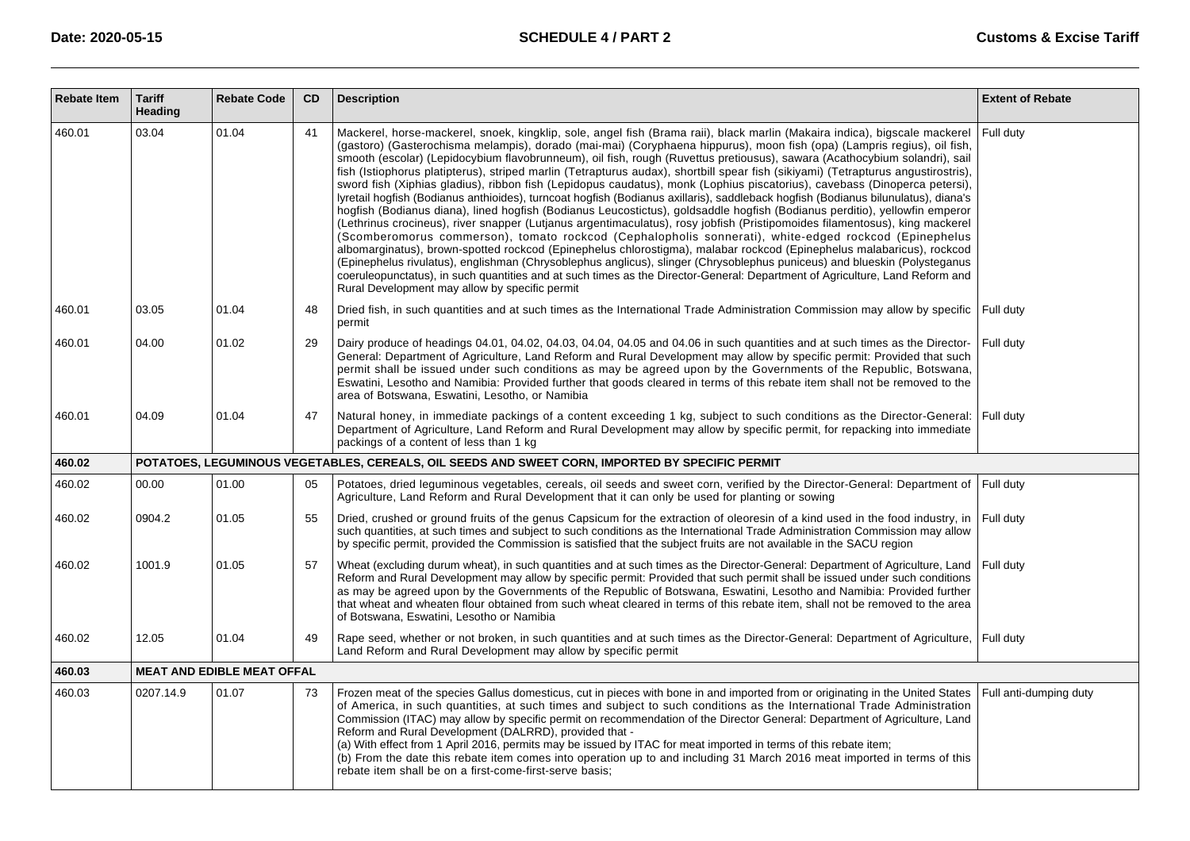| <b>Rebate Item</b> | <b>Tariff</b><br>Heading | <b>Rebate Code</b>                | CD | <b>Description</b>                                                                                                                                                                                                                                                                                                                                                                                                                                                                                                                                                                                                                                                                                                                                                                                                                                                                                                                                                                                                                                                                                                                                                                                                                                                                                                                                                                                                                                                                                                                                                                                       | <b>Extent of Rebate</b> |
|--------------------|--------------------------|-----------------------------------|----|----------------------------------------------------------------------------------------------------------------------------------------------------------------------------------------------------------------------------------------------------------------------------------------------------------------------------------------------------------------------------------------------------------------------------------------------------------------------------------------------------------------------------------------------------------------------------------------------------------------------------------------------------------------------------------------------------------------------------------------------------------------------------------------------------------------------------------------------------------------------------------------------------------------------------------------------------------------------------------------------------------------------------------------------------------------------------------------------------------------------------------------------------------------------------------------------------------------------------------------------------------------------------------------------------------------------------------------------------------------------------------------------------------------------------------------------------------------------------------------------------------------------------------------------------------------------------------------------------------|-------------------------|
| 460.01             | 03.04                    | 01.04                             | 41 | Mackerel, horse-mackerel, snoek, kingklip, sole, angel fish (Brama raii), black marlin (Makaira indica), bigscale mackerel<br>(gastoro) (Gasterochisma melampis), dorado (mai-mai) (Coryphaena hippurus), moon fish (opa) (Lampris regius), oil fish,<br>smooth (escolar) (Lepidocybium flavobrunneum), oil fish, rough (Ruvettus pretiousus), sawara (Acathocybium solandri), sail<br>fish (Istiophorus platipterus), striped marlin (Tetrapturus audax), shortbill spear fish (sikiyami) (Tetrapturus angustirostris),<br>sword fish (Xiphias gladius), ribbon fish (Lepidopus caudatus), monk (Lophius piscatorius), cavebass (Dinoperca petersi),<br>lyretail hogfish (Bodianus anthioides), turncoat hogfish (Bodianus axillaris), saddleback hogfish (Bodianus bilunulatus), diana's<br>hogfish (Bodianus diana), lined hogfish (Bodianus Leucostictus), goldsaddle hogfish (Bodianus perditio), yellowfin emperor<br>(Lethrinus crocineus), river snapper (Lutjanus argentimaculatus), rosy jobfish (Pristipomoides filamentosus), king mackerel<br>(Scomberomorus commerson), tomato rockcod (Cephalopholis sonnerati), white-edged rockcod (Epinephelus<br>albomarginatus), brown-spotted rockcod (Epinephelus chlorostigma), malabar rockcod (Epinephelus malabaricus), rockcod<br>(Epinephelus rivulatus), englishman (Chrysoblephus anglicus), slinger (Chrysoblephus puniceus) and blueskin (Polysteganus<br>coeruleopunctatus), in such quantities and at such times as the Director-General: Department of Agriculture, Land Reform and<br>Rural Development may allow by specific permit | Full duty               |
| 460.01             | 03.05                    | 01.04                             | 48 | Dried fish, in such quantities and at such times as the International Trade Administration Commission may allow by specific Full duty<br>permit                                                                                                                                                                                                                                                                                                                                                                                                                                                                                                                                                                                                                                                                                                                                                                                                                                                                                                                                                                                                                                                                                                                                                                                                                                                                                                                                                                                                                                                          |                         |
| 460.01             | 04.00                    | 01.02                             | 29 | Dairy produce of headings 04.01, 04.02, 04.03, 04.04, 04.05 and 04.06 in such quantities and at such times as the Director-<br>General: Department of Agriculture, Land Reform and Rural Development may allow by specific permit: Provided that such<br>permit shall be issued under such conditions as may be agreed upon by the Governments of the Republic, Botswana,<br>Eswatini, Lesotho and Namibia: Provided further that goods cleared in terms of this rebate item shall not be removed to the<br>area of Botswana, Eswatini, Lesotho, or Namibia                                                                                                                                                                                                                                                                                                                                                                                                                                                                                                                                                                                                                                                                                                                                                                                                                                                                                                                                                                                                                                              | Full duty               |
| 460.01             | 04.09                    | 01.04                             | 47 | Natural honey, in immediate packings of a content exceeding 1 kg, subject to such conditions as the Director-General: Full duty<br>Department of Agriculture, Land Reform and Rural Development may allow by specific permit, for repacking into immediate<br>packings of a content of less than 1 kg                                                                                                                                                                                                                                                                                                                                                                                                                                                                                                                                                                                                                                                                                                                                                                                                                                                                                                                                                                                                                                                                                                                                                                                                                                                                                                    |                         |
| 460.02             |                          |                                   |    | POTATOES, LEGUMINOUS VEGETABLES, CEREALS, OIL SEEDS AND SWEET CORN, IMPORTED BY SPECIFIC PERMIT                                                                                                                                                                                                                                                                                                                                                                                                                                                                                                                                                                                                                                                                                                                                                                                                                                                                                                                                                                                                                                                                                                                                                                                                                                                                                                                                                                                                                                                                                                          |                         |
| 460.02             | 00.00                    | 01.00                             | 05 | Potatoes, dried leguminous vegetables, cereals, oil seeds and sweet corn, verified by the Director-General: Department of Full duty<br>Agriculture, Land Reform and Rural Development that it can only be used for planting or sowing                                                                                                                                                                                                                                                                                                                                                                                                                                                                                                                                                                                                                                                                                                                                                                                                                                                                                                                                                                                                                                                                                                                                                                                                                                                                                                                                                                    |                         |
| 460.02             | 0904.2                   | 01.05                             | 55 | Dried, crushed or ground fruits of the genus Capsicum for the extraction of oleoresin of a kind used in the food industry, in<br>such quantities, at such times and subject to such conditions as the International Trade Administration Commission may allow<br>by specific permit, provided the Commission is satisfied that the subject fruits are not available in the SACU region                                                                                                                                                                                                                                                                                                                                                                                                                                                                                                                                                                                                                                                                                                                                                                                                                                                                                                                                                                                                                                                                                                                                                                                                                   | Full duty               |
| 460.02             | 1001.9                   | 01.05                             | 57 | Wheat (excluding durum wheat), in such quantities and at such times as the Director-General: Department of Agriculture, Land<br>Reform and Rural Development may allow by specific permit: Provided that such permit shall be issued under such conditions<br>as may be agreed upon by the Governments of the Republic of Botswana, Eswatini, Lesotho and Namibia: Provided further<br>that wheat and wheaten flour obtained from such wheat cleared in terms of this rebate item, shall not be removed to the area<br>of Botswana, Eswatini, Lesotho or Namibia                                                                                                                                                                                                                                                                                                                                                                                                                                                                                                                                                                                                                                                                                                                                                                                                                                                                                                                                                                                                                                         | Full duty               |
| 460.02             | 12.05                    | 01.04                             | 49 | Rape seed, whether or not broken, in such quantities and at such times as the Director-General: Department of Agriculture, Full duty<br>Land Reform and Rural Development may allow by specific permit                                                                                                                                                                                                                                                                                                                                                                                                                                                                                                                                                                                                                                                                                                                                                                                                                                                                                                                                                                                                                                                                                                                                                                                                                                                                                                                                                                                                   |                         |
| 460.03             |                          | <b>MEAT AND EDIBLE MEAT OFFAL</b> |    |                                                                                                                                                                                                                                                                                                                                                                                                                                                                                                                                                                                                                                                                                                                                                                                                                                                                                                                                                                                                                                                                                                                                                                                                                                                                                                                                                                                                                                                                                                                                                                                                          |                         |
| 460.03             | 0207.14.9                | 01.07                             | 73 | Frozen meat of the species Gallus domesticus, cut in pieces with bone in and imported from or originating in the United States<br>of America, in such quantities, at such times and subject to such conditions as the International Trade Administration<br>Commission (ITAC) may allow by specific permit on recommendation of the Director General: Department of Agriculture, Land<br>Reform and Rural Development (DALRRD), provided that -<br>(a) With effect from 1 April 2016, permits may be issued by ITAC for meat imported in terms of this rebate item;<br>(b) From the date this rebate item comes into operation up to and including 31 March 2016 meat imported in terms of this<br>rebate item shall be on a first-come-first-serve basis;                                                                                                                                                                                                                                                                                                                                                                                                                                                                                                                                                                                                                                                                                                                                                                                                                                               | Full anti-dumping duty  |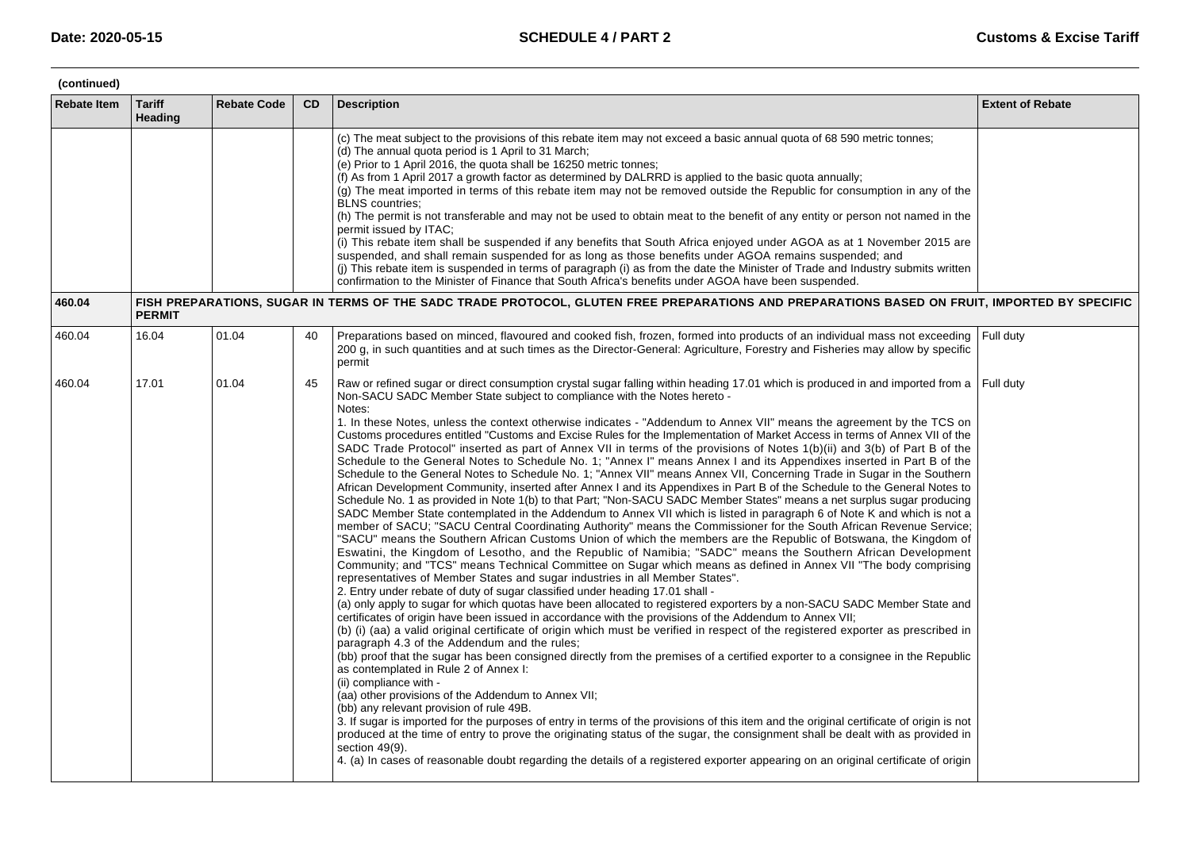| (continued)        |                          |                    |           |                                                                                                                                                                                                                                                                                                                                                                                                                                                                                                                                                                                                                                                                                                                                                                                                                                                                                                                                                                                                                                                                                                                                                                                                                                                                                                                                                                                                                                                                                                                                                                                                                                                                                                                                                                                                                                                                                                                                                                                                                                                                                                                                                                                                                                                                                                                                                                                                                                                                                                                                                                                                                                                                                                                                                                                                                                                                                                                                                                                                                                                                                     |                         |  |  |  |
|--------------------|--------------------------|--------------------|-----------|-------------------------------------------------------------------------------------------------------------------------------------------------------------------------------------------------------------------------------------------------------------------------------------------------------------------------------------------------------------------------------------------------------------------------------------------------------------------------------------------------------------------------------------------------------------------------------------------------------------------------------------------------------------------------------------------------------------------------------------------------------------------------------------------------------------------------------------------------------------------------------------------------------------------------------------------------------------------------------------------------------------------------------------------------------------------------------------------------------------------------------------------------------------------------------------------------------------------------------------------------------------------------------------------------------------------------------------------------------------------------------------------------------------------------------------------------------------------------------------------------------------------------------------------------------------------------------------------------------------------------------------------------------------------------------------------------------------------------------------------------------------------------------------------------------------------------------------------------------------------------------------------------------------------------------------------------------------------------------------------------------------------------------------------------------------------------------------------------------------------------------------------------------------------------------------------------------------------------------------------------------------------------------------------------------------------------------------------------------------------------------------------------------------------------------------------------------------------------------------------------------------------------------------------------------------------------------------------------------------------------------------------------------------------------------------------------------------------------------------------------------------------------------------------------------------------------------------------------------------------------------------------------------------------------------------------------------------------------------------------------------------------------------------------------------------------------------------|-------------------------|--|--|--|
| <b>Rebate Item</b> | <b>Tariff</b><br>Heading | <b>Rebate Code</b> | <b>CD</b> | <b>Description</b>                                                                                                                                                                                                                                                                                                                                                                                                                                                                                                                                                                                                                                                                                                                                                                                                                                                                                                                                                                                                                                                                                                                                                                                                                                                                                                                                                                                                                                                                                                                                                                                                                                                                                                                                                                                                                                                                                                                                                                                                                                                                                                                                                                                                                                                                                                                                                                                                                                                                                                                                                                                                                                                                                                                                                                                                                                                                                                                                                                                                                                                                  | <b>Extent of Rebate</b> |  |  |  |
|                    |                          |                    |           | (c) The meat subject to the provisions of this rebate item may not exceed a basic annual quota of 68 590 metric tonnes;<br>(d) The annual quota period is 1 April to 31 March;<br>(e) Prior to 1 April 2016, the quota shall be 16250 metric tonnes;<br>(f) As from 1 April 2017 a growth factor as determined by DALRRD is applied to the basic quota annually;<br>(g) The meat imported in terms of this rebate item may not be removed outside the Republic for consumption in any of the<br><b>BLNS</b> countries:<br>(h) The permit is not transferable and may not be used to obtain meat to the benefit of any entity or person not named in the<br>permit issued by ITAC;<br>(i) This rebate item shall be suspended if any benefits that South Africa enjoyed under AGOA as at 1 November 2015 are<br>suspended, and shall remain suspended for as long as those benefits under AGOA remains suspended; and<br>(j) This rebate item is suspended in terms of paragraph (i) as from the date the Minister of Trade and Industry submits written<br>confirmation to the Minister of Finance that South Africa 's benefits under AGOA have been suspended.                                                                                                                                                                                                                                                                                                                                                                                                                                                                                                                                                                                                                                                                                                                                                                                                                                                                                                                                                                                                                                                                                                                                                                                                                                                                                                                                                                                                                                                                                                                                                                                                                                                                                                                                                                                                                                                                                                                    |                         |  |  |  |
| 460.04             | <b>PERMIT</b>            |                    |           | FISH PREPARATIONS, SUGAR IN TERMS OF THE SADC TRADE PROTOCOL, GLUTEN FREE PREPARATIONS AND PREPARATIONS BASED ON FRUIT, IMPORTED BY SPECIFIC                                                                                                                                                                                                                                                                                                                                                                                                                                                                                                                                                                                                                                                                                                                                                                                                                                                                                                                                                                                                                                                                                                                                                                                                                                                                                                                                                                                                                                                                                                                                                                                                                                                                                                                                                                                                                                                                                                                                                                                                                                                                                                                                                                                                                                                                                                                                                                                                                                                                                                                                                                                                                                                                                                                                                                                                                                                                                                                                        |                         |  |  |  |
| 460.04             | 16.04                    | 01.04              | 40        | Preparations based on minced, flavoured and cooked fish, frozen, formed into products of an individual mass not exceeding Full duty<br>200 g, in such quantities and at such times as the Director-General: Agriculture, Forestry and Fisheries may allow by specific<br>permit                                                                                                                                                                                                                                                                                                                                                                                                                                                                                                                                                                                                                                                                                                                                                                                                                                                                                                                                                                                                                                                                                                                                                                                                                                                                                                                                                                                                                                                                                                                                                                                                                                                                                                                                                                                                                                                                                                                                                                                                                                                                                                                                                                                                                                                                                                                                                                                                                                                                                                                                                                                                                                                                                                                                                                                                     |                         |  |  |  |
| 460.04             | 17.01                    | 01.04              | 45        | Raw or refined sugar or direct consumption crystal sugar falling within heading 17.01 which is produced in and imported from a Full duty<br>Non-SACU SADC Member State subject to compliance with the Notes hereto -<br>Notes:<br>1. In these Notes, unless the context otherwise indicates - "Addendum to Annex VII" means the agreement by the TCS on<br>Customs procedures entitled "Customs and Excise Rules for the Implementation of Market Access in terms of Annex VII of the<br>SADC Trade Protocol" inserted as part of Annex VII in terms of the provisions of Notes 1(b)(ii) and 3(b) of Part B of the<br>Schedule to the General Notes to Schedule No. 1; "Annex I" means Annex I and its Appendixes inserted in Part B of the<br>Schedule to the General Notes to Schedule No. 1; "Annex VII" means Annex VII, Concerning Trade in Sugar in the Southern<br>African Development Community, inserted after Annex I and its Appendixes in Part B of the Schedule to the General Notes to<br>Schedule No. 1 as provided in Note 1(b) to that Part; "Non-SACU SADC Member States" means a net surplus sugar producing<br>SADC Member State contemplated in the Addendum to Annex VII which is listed in paragraph 6 of Note K and which is not a<br>member of SACU; "SACU Central Coordinating Authority" means the Commissioner for the South African Revenue Service;<br>"SACU" means the Southern African Customs Union of which the members are the Republic of Botswana, the Kingdom of<br>Eswatini, the Kingdom of Lesotho, and the Republic of Namibia; "SADC" means the Southern African Development<br>Community; and "TCS" means Technical Committee on Sugar which means as defined in Annex VII "The body comprising<br>representatives of Member States and sugar industries in all Member States".<br>2. Entry under rebate of duty of sugar classified under heading 17.01 shall -<br>(a) only apply to sugar for which quotas have been allocated to registered exporters by a non-SACU SADC Member State and<br>certificates of origin have been issued in accordance with the provisions of the Addendum to Annex VII;<br>(b) (i) (aa) a valid original certificate of origin which must be verified in respect of the registered exporter as prescribed in<br>paragraph 4.3 of the Addendum and the rules;<br>(bb) proof that the sugar has been consigned directly from the premises of a certified exporter to a consignee in the Republic<br>as contemplated in Rule 2 of Annex I:<br>(ii) compliance with -<br>(aa) other provisions of the Addendum to Annex VII;<br>(bb) any relevant provision of rule 49B.<br>3. If sugar is imported for the purposes of entry in terms of the provisions of this item and the original certificate of origin is not<br>produced at the time of entry to prove the originating status of the sugar, the consignment shall be dealt with as provided in<br>section 49(9).<br>4. (a) In cases of reasonable doubt regarding the details of a registered exporter appearing on an original certificate of origin |                         |  |  |  |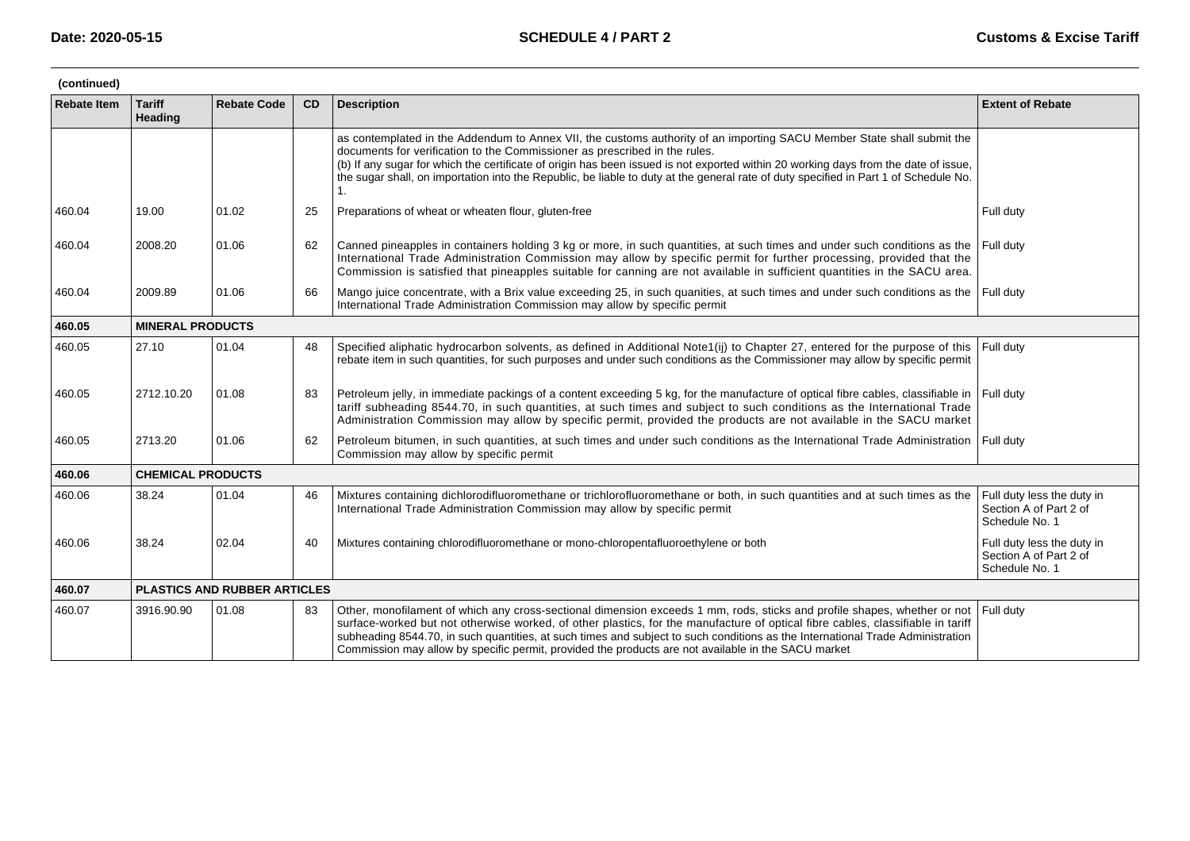| (continued)        |                          |                              |           |                                                                                                                                                                                                                                                                                                                                                                                                                                                                                                      |                                                                        |  |  |  |
|--------------------|--------------------------|------------------------------|-----------|------------------------------------------------------------------------------------------------------------------------------------------------------------------------------------------------------------------------------------------------------------------------------------------------------------------------------------------------------------------------------------------------------------------------------------------------------------------------------------------------------|------------------------------------------------------------------------|--|--|--|
| <b>Rebate Item</b> | <b>Tariff</b><br>Heading | <b>Rebate Code</b>           | <b>CD</b> | <b>Description</b>                                                                                                                                                                                                                                                                                                                                                                                                                                                                                   | <b>Extent of Rebate</b>                                                |  |  |  |
|                    |                          |                              |           | as contemplated in the Addendum to Annex VII, the customs authority of an importing SACU Member State shall submit the<br>documents for verification to the Commissioner as prescribed in the rules.<br>(b) If any sugar for which the certificate of origin has been issued is not exported within 20 working days from the date of issue,<br>the sugar shall, on importation into the Republic, be liable to duty at the general rate of duty specified in Part 1 of Schedule No.<br>1.            |                                                                        |  |  |  |
| 460.04             | 19.00                    | 01.02                        | 25        | Preparations of wheat or wheaten flour, gluten-free                                                                                                                                                                                                                                                                                                                                                                                                                                                  | Full duty                                                              |  |  |  |
| 460.04             | 2008.20                  | 01.06                        | 62        | Canned pineapples in containers holding 3 kg or more, in such quantities, at such times and under such conditions as the<br>International Trade Administration Commission may allow by specific permit for further processing, provided that the<br>Commission is satisfied that pineapples suitable for canning are not available in sufficient quantities in the SACU area.                                                                                                                        | Full duty                                                              |  |  |  |
| 460.04             | 2009.89                  | 01.06                        | 66        | Mango juice concentrate, with a Brix value exceeding 25, in such quanities, at such times and under such conditions as the<br>International Trade Administration Commission may allow by specific permit                                                                                                                                                                                                                                                                                             | Full duty                                                              |  |  |  |
| 460.05             | <b>MINERAL PRODUCTS</b>  |                              |           |                                                                                                                                                                                                                                                                                                                                                                                                                                                                                                      |                                                                        |  |  |  |
| 460.05             | 27.10                    | 01.04                        | 48        | Specified aliphatic hydrocarbon solvents, as defined in Additional Note1(ij) to Chapter 27, entered for the purpose of this<br>rebate item in such quantities, for such purposes and under such conditions as the Commissioner may allow by specific permit                                                                                                                                                                                                                                          | Full duty                                                              |  |  |  |
| 460.05             | 2712.10.20               | 01.08                        | 83        | Petroleum jelly, in immediate packings of a content exceeding 5 kg, for the manufacture of optical fibre cables, classifiable in<br>tariff subheading 8544.70, in such quantities, at such times and subject to such conditions as the International Trade<br>Administration Commission may allow by specific permit, provided the products are not available in the SACU market                                                                                                                     | Full duty                                                              |  |  |  |
| 460.05             | 2713.20                  | 01.06                        | 62        | Petroleum bitumen, in such quantities, at such times and under such conditions as the International Trade Administration   Full duty<br>Commission may allow by specific permit                                                                                                                                                                                                                                                                                                                      |                                                                        |  |  |  |
| 460.06             | <b>CHEMICAL PRODUCTS</b> |                              |           |                                                                                                                                                                                                                                                                                                                                                                                                                                                                                                      |                                                                        |  |  |  |
| 460.06             | 38.24                    | 01.04                        | 46        | Mixtures containing dichlorodifluoromethane or trichlorofluoromethane or both, in such quantities and at such times as the<br>International Trade Administration Commission may allow by specific permit                                                                                                                                                                                                                                                                                             | Full duty less the duty in<br>Section A of Part 2 of<br>Schedule No. 1 |  |  |  |
| 460.06             | 38.24                    | 02.04                        | 40        | Mixtures containing chlorodifluoromethane or mono-chloropentafluoroethylene or both                                                                                                                                                                                                                                                                                                                                                                                                                  | Full duty less the duty in<br>Section A of Part 2 of<br>Schedule No. 1 |  |  |  |
| 460.07             |                          | PLASTICS AND RUBBER ARTICLES |           |                                                                                                                                                                                                                                                                                                                                                                                                                                                                                                      |                                                                        |  |  |  |
| 460.07             | 3916.90.90               | 01.08                        | 83        | Other, monofilament of which any cross-sectional dimension exceeds 1 mm, rods, sticks and profile shapes, whether or not<br>surface-worked but not otherwise worked, of other plastics, for the manufacture of optical fibre cables, classifiable in tariff<br>subheading 8544.70, in such quantities, at such times and subject to such conditions as the International Trade Administration<br>Commission may allow by specific permit, provided the products are not available in the SACU market | Full duty                                                              |  |  |  |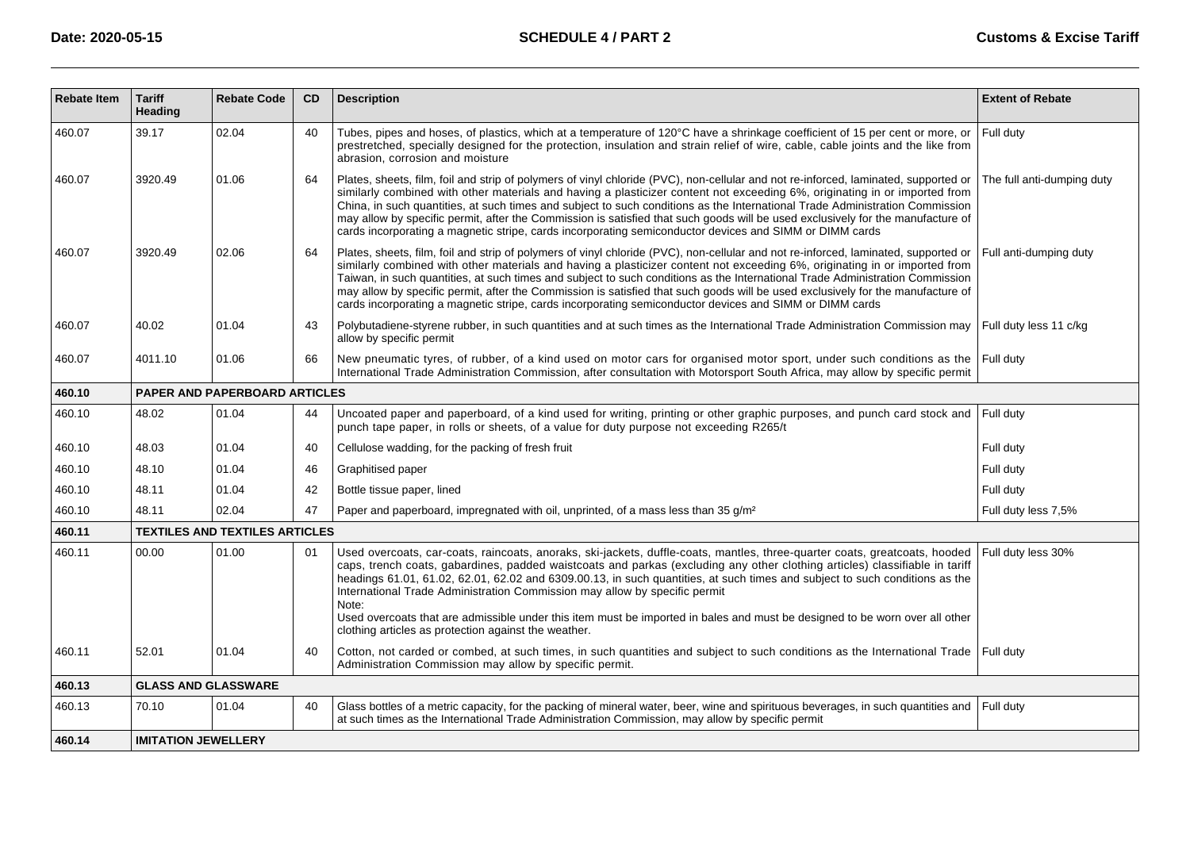| <b>Rebate Item</b> | <b>Tariff</b><br>Heading   | <b>Rebate Code</b>                    | <b>CD</b> | <b>Description</b>                                                                                                                                                                                                                                                                                                                                                                                                                                                                                                                                                                                                                                                     | <b>Extent of Rebate</b>    |  |  |
|--------------------|----------------------------|---------------------------------------|-----------|------------------------------------------------------------------------------------------------------------------------------------------------------------------------------------------------------------------------------------------------------------------------------------------------------------------------------------------------------------------------------------------------------------------------------------------------------------------------------------------------------------------------------------------------------------------------------------------------------------------------------------------------------------------------|----------------------------|--|--|
| 460.07             | 39.17                      | 02.04                                 | 40        | Tubes, pipes and hoses, of plastics, which at a temperature of 120°C have a shrinkage coefficient of 15 per cent or more, or<br>prestretched, specially designed for the protection, insulation and strain relief of wire, cable, cable joints and the like from<br>abrasion, corrosion and moisture                                                                                                                                                                                                                                                                                                                                                                   | Full duty                  |  |  |
| 460.07             | 3920.49                    | 01.06                                 | 64        | Plates, sheets, film, foil and strip of polymers of vinyl chloride (PVC), non-cellular and not re-inforced, laminated, supported or<br>similarly combined with other materials and having a plasticizer content not exceeding 6%, originating in or imported from<br>China, in such quantities, at such times and subject to such conditions as the International Trade Administration Commission<br>may allow by specific permit, after the Commission is satisfied that such goods will be used exclusively for the manufacture of<br>cards incorporating a magnetic stripe, cards incorporating semiconductor devices and SIMM or DIMM cards                        | The full anti-dumping duty |  |  |
| 460.07             | 3920.49                    | 02.06                                 | 64        | Plates, sheets, film, foil and strip of polymers of vinyl chloride (PVC), non-cellular and not re-inforced, laminated, supported or<br>similarly combined with other materials and having a plasticizer content not exceeding 6%, originating in or imported from<br>Taiwan, in such quantities, at such times and subject to such conditions as the International Trade Administration Commission<br>may allow by specific permit, after the Commission is satisfied that such goods will be used exclusively for the manufacture of<br>cards incorporating a magnetic stripe, cards incorporating semiconductor devices and SIMM or DIMM cards                       | Full anti-dumping duty     |  |  |
| 460.07             | 40.02                      | 01.04                                 | 43        | Polybutadiene-styrene rubber, in such quantities and at such times as the International Trade Administration Commission may<br>allow by specific permit                                                                                                                                                                                                                                                                                                                                                                                                                                                                                                                | Full duty less 11 c/kg     |  |  |
| 460.07             | 4011.10                    | 01.06                                 | 66        | New pneumatic tyres, of rubber, of a kind used on motor cars for organised motor sport, under such conditions as the Full duty<br>International Trade Administration Commission, after consultation with Motorsport South Africa, may allow by specific permit                                                                                                                                                                                                                                                                                                                                                                                                         |                            |  |  |
| 460.10             |                            | <b>PAPER AND PAPERBOARD ARTICLES</b>  |           |                                                                                                                                                                                                                                                                                                                                                                                                                                                                                                                                                                                                                                                                        |                            |  |  |
| 460.10             | 48.02                      | 01.04                                 | 44        | Uncoated paper and paperboard, of a kind used for writing, printing or other graphic purposes, and punch card stock and<br>punch tape paper, in rolls or sheets, of a value for duty purpose not exceeding R265/t                                                                                                                                                                                                                                                                                                                                                                                                                                                      | Full duty                  |  |  |
| 460.10             | 48.03                      | 01.04                                 | 40        | Cellulose wadding, for the packing of fresh fruit                                                                                                                                                                                                                                                                                                                                                                                                                                                                                                                                                                                                                      | Full duty                  |  |  |
| 460.10             | 48.10                      | 01.04                                 | 46        | Graphitised paper                                                                                                                                                                                                                                                                                                                                                                                                                                                                                                                                                                                                                                                      | Full duty                  |  |  |
| 460.10             | 48.11                      | 01.04                                 | 42        | Bottle tissue paper, lined                                                                                                                                                                                                                                                                                                                                                                                                                                                                                                                                                                                                                                             | Full duty                  |  |  |
| 460.10             | 48.11                      | 02.04                                 | 47        | Paper and paperboard, impregnated with oil, unprinted, of a mass less than 35 g/m <sup>2</sup>                                                                                                                                                                                                                                                                                                                                                                                                                                                                                                                                                                         | Full duty less 7,5%        |  |  |
| 460.11             |                            | <b>TEXTILES AND TEXTILES ARTICLES</b> |           |                                                                                                                                                                                                                                                                                                                                                                                                                                                                                                                                                                                                                                                                        |                            |  |  |
| 460.11             | 00.00                      | 01.00                                 | 01        | Used overcoats, car-coats, raincoats, anoraks, ski-jackets, duffle-coats, mantles, three-quarter coats, greatcoats, hooded<br>caps, trench coats, gabardines, padded waistcoats and parkas (excluding any other clothing articles) classifiable in tariff<br>headings 61.01, 61.02, 62.01, 62.02 and 6309.00.13, in such quantities, at such times and subject to such conditions as the<br>International Trade Administration Commission may allow by specific permit<br>Note:<br>Used overcoats that are admissible under this item must be imported in bales and must be designed to be worn over all other<br>clothing articles as protection against the weather. | Full duty less 30%         |  |  |
| 460.11             | 52.01                      | 01.04                                 | 40        | Cotton, not carded or combed, at such times, in such quantities and subject to such conditions as the International Trade   Full duty<br>Administration Commission may allow by specific permit.                                                                                                                                                                                                                                                                                                                                                                                                                                                                       |                            |  |  |
| 460.13             | <b>GLASS AND GLASSWARE</b> |                                       |           |                                                                                                                                                                                                                                                                                                                                                                                                                                                                                                                                                                                                                                                                        |                            |  |  |
| 460.13             | 70.10                      | 01.04                                 | 40        | Glass bottles of a metric capacity, for the packing of mineral water, beer, wine and spirituous beverages, in such quantities and                                                                                                                                                                                                                                                                                                                                                                                                                                                                                                                                      | Full duty                  |  |  |
|                    |                            |                                       |           | at such times as the International Trade Administration Commission, may allow by specific permit                                                                                                                                                                                                                                                                                                                                                                                                                                                                                                                                                                       |                            |  |  |
| 460.14             | <b>IMITATION JEWELLERY</b> |                                       |           |                                                                                                                                                                                                                                                                                                                                                                                                                                                                                                                                                                                                                                                                        |                            |  |  |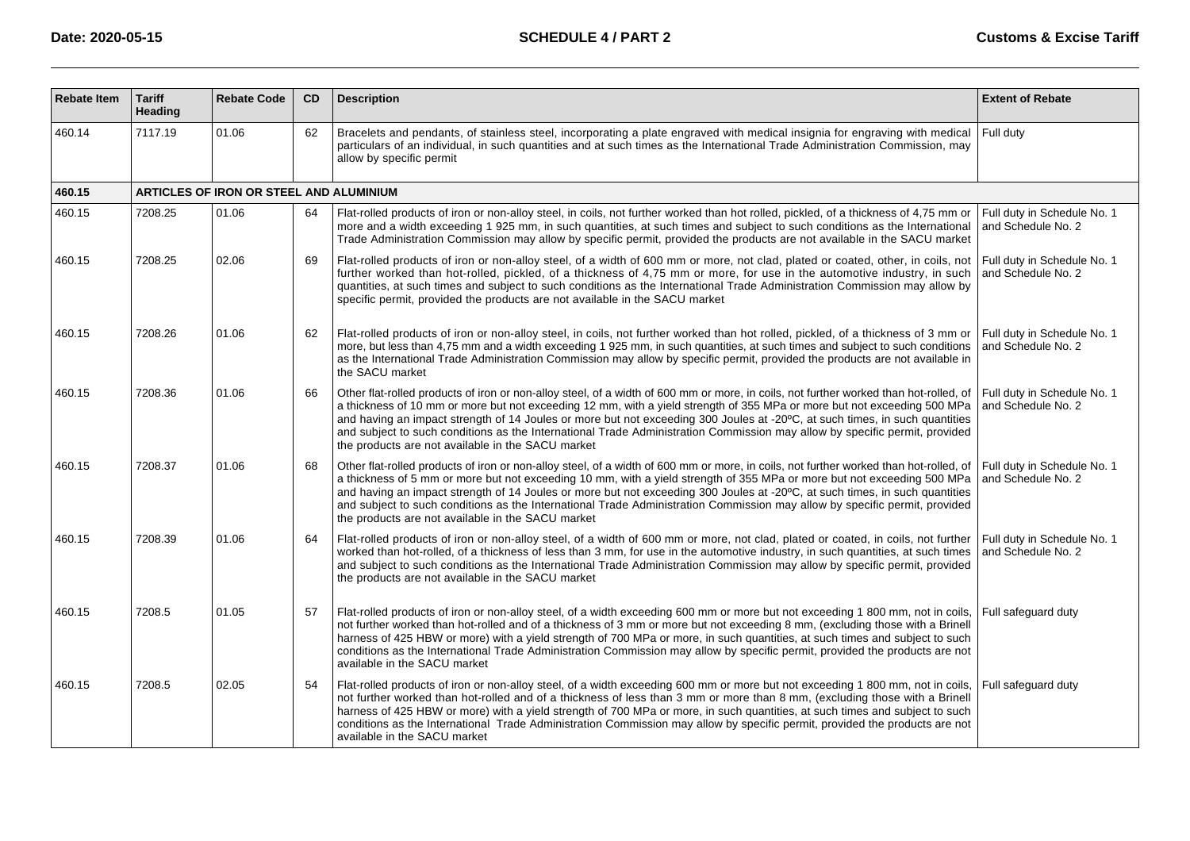| <b>Rebate Item</b> | <b>Tariff</b><br><b>Heading</b> | <b>Rebate Code</b>                      | <b>CD</b> | <b>Description</b>                                                                                                                                                                                                                                                                                                                                                                                                                                                                                                                                                                  | <b>Extent of Rebate</b>                           |
|--------------------|---------------------------------|-----------------------------------------|-----------|-------------------------------------------------------------------------------------------------------------------------------------------------------------------------------------------------------------------------------------------------------------------------------------------------------------------------------------------------------------------------------------------------------------------------------------------------------------------------------------------------------------------------------------------------------------------------------------|---------------------------------------------------|
| 460.14             | 7117.19                         | 01.06                                   | 62        | Bracelets and pendants, of stainless steel, incorporating a plate engraved with medical insignia for engraving with medical<br>particulars of an individual, in such quantities and at such times as the International Trade Administration Commission, may<br>allow by specific permit                                                                                                                                                                                                                                                                                             | Full duty                                         |
| 460.15             |                                 | ARTICLES OF IRON OR STEEL AND ALUMINIUM |           |                                                                                                                                                                                                                                                                                                                                                                                                                                                                                                                                                                                     |                                                   |
| 460.15             | 7208.25                         | 01.06                                   | 64        | Flat-rolled products of iron or non-alloy steel, in coils, not further worked than hot rolled, pickled, of a thickness of 4,75 mm or<br>more and a width exceeding 1 925 mm, in such quantities, at such times and subject to such conditions as the International<br>Trade Administration Commission may allow by specific permit, provided the products are not available in the SACU market                                                                                                                                                                                      | Full duty in Schedule No. 1<br>and Schedule No. 2 |
| 460.15             | 7208.25                         | 02.06                                   | 69        | Flat-rolled products of iron or non-alloy steel, of a width of 600 mm or more, not clad, plated or coated, other, in coils, not<br>further worked than hot-rolled, pickled, of a thickness of 4.75 mm or more, for use in the automotive industry, in such<br>quantities, at such times and subject to such conditions as the International Trade Administration Commission may allow by<br>specific permit, provided the products are not available in the SACU market                                                                                                             | Full duty in Schedule No. 1<br>and Schedule No. 2 |
| 460.15             | 7208.26                         | 01.06                                   | 62        | Flat-rolled products of iron or non-alloy steel, in coils, not further worked than hot rolled, pickled, of a thickness of 3 mm or<br>more, but less than 4.75 mm and a width exceeding 1 925 mm, in such quantities, at such times and subject to such conditions<br>as the International Trade Administration Commission may allow by specific permit, provided the products are not available in<br>the SACU market                                                                                                                                                               | Full duty in Schedule No. 1<br>and Schedule No. 2 |
| 460.15             | 7208.36                         | 01.06                                   | 66        | Other flat-rolled products of iron or non-alloy steel, of a width of 600 mm or more, in coils, not further worked than hot-rolled, of<br>a thickness of 10 mm or more but not exceeding 12 mm, with a yield strength of 355 MPa or more but not exceeding 500 MPa<br>and having an impact strength of 14 Joules or more but not exceeding 300 Joules at -20°C, at such times, in such quantities<br>and subject to such conditions as the International Trade Administration Commission may allow by specific permit, provided<br>the products are not available in the SACU market | Full duty in Schedule No. 1<br>and Schedule No. 2 |
| 460.15             | 7208.37                         | 01.06                                   | 68        | Other flat-rolled products of iron or non-alloy steel, of a width of 600 mm or more, in coils, not further worked than hot-rolled, of<br>a thickness of 5 mm or more but not exceeding 10 mm, with a yield strength of 355 MPa or more but not exceeding 500 MPa<br>and having an impact strength of 14 Joules or more but not exceeding 300 Joules at -20°C, at such times, in such quantities<br>and subject to such conditions as the International Trade Administration Commission may allow by specific permit, provided<br>the products are not available in the SACU market  | Full duty in Schedule No. 1<br>and Schedule No. 2 |
| 460.15             | 7208.39                         | 01.06                                   | 64        | Flat-rolled products of iron or non-alloy steel, of a width of 600 mm or more, not clad, plated or coated, in coils, not further<br>worked than hot-rolled, of a thickness of less than 3 mm, for use in the automotive industry, in such quantities, at such times<br>and subject to such conditions as the International Trade Administration Commission may allow by specific permit, provided<br>the products are not available in the SACU market                                                                                                                              | Full duty in Schedule No. 1<br>and Schedule No. 2 |
| 460.15             | 7208.5                          | 01.05                                   | 57        | Flat-rolled products of iron or non-alloy steel, of a width exceeding 600 mm or more but not exceeding 1 800 mm, not in coils,<br>not further worked than hot-rolled and of a thickness of 3 mm or more but not exceeding 8 mm, (excluding those with a Brinell<br>harness of 425 HBW or more) with a yield strength of 700 MPa or more, in such quantities, at such times and subject to such<br>conditions as the International Trade Administration Commission may allow by specific permit, provided the products are not<br>available in the SACU market                       | Full safeguard duty                               |
| 460.15             | 7208.5                          | 02.05                                   | 54        | Flat-rolled products of iron or non-alloy steel, of a width exceeding 600 mm or more but not exceeding 1 800 mm, not in coils,<br>not further worked than hot-rolled and of a thickness of less than 3 mm or more than 8 mm, (excluding those with a Brinell<br>harness of 425 HBW or more) with a yield strength of 700 MPa or more, in such quantities, at such times and subject to such<br>conditions as the International Trade Administration Commission may allow by specific permit, provided the products are not<br>available in the SACU market                          | Full safequard duty                               |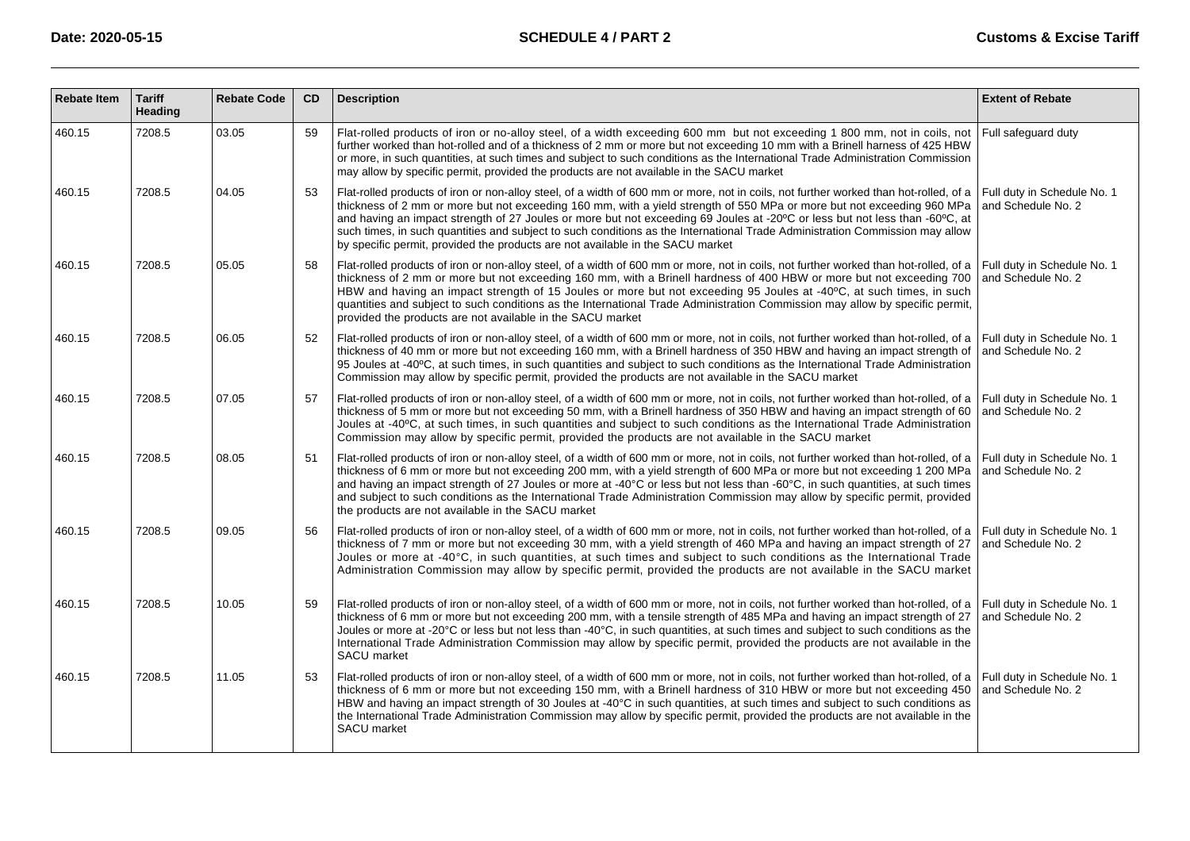| <b>Rebate Item</b> | <b>Tariff</b><br>Heading | <b>Rebate Code</b> | <b>CD</b> | <b>Description</b>                                                                                                                                                                                                                                                                                                                                                                                                                                                                                                                                                                                               | <b>Extent of Rebate</b>                           |
|--------------------|--------------------------|--------------------|-----------|------------------------------------------------------------------------------------------------------------------------------------------------------------------------------------------------------------------------------------------------------------------------------------------------------------------------------------------------------------------------------------------------------------------------------------------------------------------------------------------------------------------------------------------------------------------------------------------------------------------|---------------------------------------------------|
| 460.15             | 7208.5                   | 03.05              | 59        | Flat-rolled products of iron or no-alloy steel, of a width exceeding 600 mm but not exceeding 1 800 mm, not in coils, not<br>further worked than hot-rolled and of a thickness of 2 mm or more but not exceeding 10 mm with a Brinell harness of 425 HBW<br>or more, in such quantities, at such times and subject to such conditions as the International Trade Administration Commission<br>may allow by specific permit, provided the products are not available in the SACU market                                                                                                                           | Full safequard duty                               |
| 460.15             | 7208.5                   | 04.05              | 53        | Flat-rolled products of iron or non-alloy steel, of a width of 600 mm or more, not in coils, not further worked than hot-rolled, of a<br>thickness of 2 mm or more but not exceeding 160 mm, with a yield strength of 550 MPa or more but not exceeding 960 MPa<br>and having an impact strength of 27 Joules or more but not exceeding 69 Joules at -20°C or less but not less than -60°C, at<br>such times, in such quantities and subject to such conditions as the International Trade Administration Commission may allow<br>by specific permit, provided the products are not available in the SACU market | Full duty in Schedule No. 1<br>and Schedule No. 2 |
| 460.15             | 7208.5                   | 05.05              | 58        | Flat-rolled products of iron or non-alloy steel, of a width of 600 mm or more, not in coils, not further worked than hot-rolled, of a<br>thickness of 2 mm or more but not exceeding 160 mm, with a Brinell hardness of 400 HBW or more but not exceeding 700<br>HBW and having an impact strength of 15 Joules or more but not exceeding 95 Joules at -40°C, at such times, in such<br>quantities and subject to such conditions as the International Trade Administration Commission may allow by specific permit,<br>provided the products are not available in the SACU market                               | Full duty in Schedule No. 1<br>and Schedule No. 2 |
| 460.15             | 7208.5                   | 06.05              | 52        | Flat-rolled products of iron or non-alloy steel, of a width of 600 mm or more, not in coils, not further worked than hot-rolled, of a<br>thickness of 40 mm or more but not exceeding 160 mm, with a Brinell hardness of 350 HBW and having an impact strength of<br>95 Joules at -40°C, at such times, in such quantities and subject to such conditions as the International Trade Administration<br>Commission may allow by specific permit, provided the products are not available in the SACU market                                                                                                       | Full duty in Schedule No. 1<br>and Schedule No. 2 |
| 460.15             | 7208.5                   | 07.05              | 57        | Flat-rolled products of iron or non-alloy steel, of a width of 600 mm or more, not in coils, not further worked than hot-rolled, of a<br>thickness of 5 mm or more but not exceeding 50 mm, with a Brinell hardness of 350 HBW and having an impact strength of 60<br>Joules at -40°C, at such times, in such quantities and subject to such conditions as the International Trade Administration<br>Commission may allow by specific permit, provided the products are not available in the SACU market                                                                                                         | Full duty in Schedule No. 1<br>and Schedule No. 2 |
| 460.15             | 7208.5                   | 08.05              | 51        | Flat-rolled products of iron or non-alloy steel, of a width of 600 mm or more, not in coils, not further worked than hot-rolled, of a<br>thickness of 6 mm or more but not exceeding 200 mm, with a yield strength of 600 MPa or more but not exceeding 1 200 MPa<br>and having an impact strength of 27 Joules or more at -40° C or less but not less than -60 °C, in such quantities, at such times<br>and subject to such conditions as the International Trade Administration Commission may allow by specific permit, provided<br>the products are not available in the SACU market                         | Full duty in Schedule No. 1<br>and Schedule No. 2 |
| 460.15             | 7208.5                   | 09.05              | 56        | Flat-rolled products of iron or non-alloy steel, of a width of 600 mm or more, not in coils, not further worked than hot-rolled, of a<br>thickness of 7 mm or more but not exceeding 30 mm, with a yield strength of 460 MPa and having an impact strength of 27<br>Joules or more at -40 °C, in such quantities, at such times and subject to such conditions as the International Trade<br>Administration Commission may allow by specific permit, provided the products are not available in the SACU market                                                                                                  | Full duty in Schedule No. 1<br>and Schedule No. 2 |
| 460.15             | 7208.5                   | 10.05              | 59        | Flat-rolled products of iron or non-alloy steel, of a width of 600 mm or more, not in coils, not further worked than hot-rolled, of a<br>thickness of 6 mm or more but not exceeding 200 mm, with a tensile strength of 485 MPa and having an impact strength of 27<br>Joules or more at -20° C or less but not less than -40° C, in such quantities, at such times and subject to such conditions as the<br>International Trade Administration Commission may allow by specific permit, provided the products are not available in the<br>SACU market                                                           | Full duty in Schedule No. 1<br>and Schedule No. 2 |
| 460.15             | 7208.5                   | 11.05              | 53        | Flat-rolled products of iron or non-alloy steel, of a width of 600 mm or more, not in coils, not further worked than hot-rolled, of a<br>thickness of 6 mm or more but not exceeding 150 mm, with a Brinell hardness of 310 HBW or more but not exceeding 450<br>HBW and having an impact strength of 30 Joules at -40 °C in such quantities, at such times and subject to such conditions as<br>the International Trade Administration Commission may allow by specific permit, provided the products are not available in the<br>SACU market                                                                   | Full duty in Schedule No. 1<br>and Schedule No. 2 |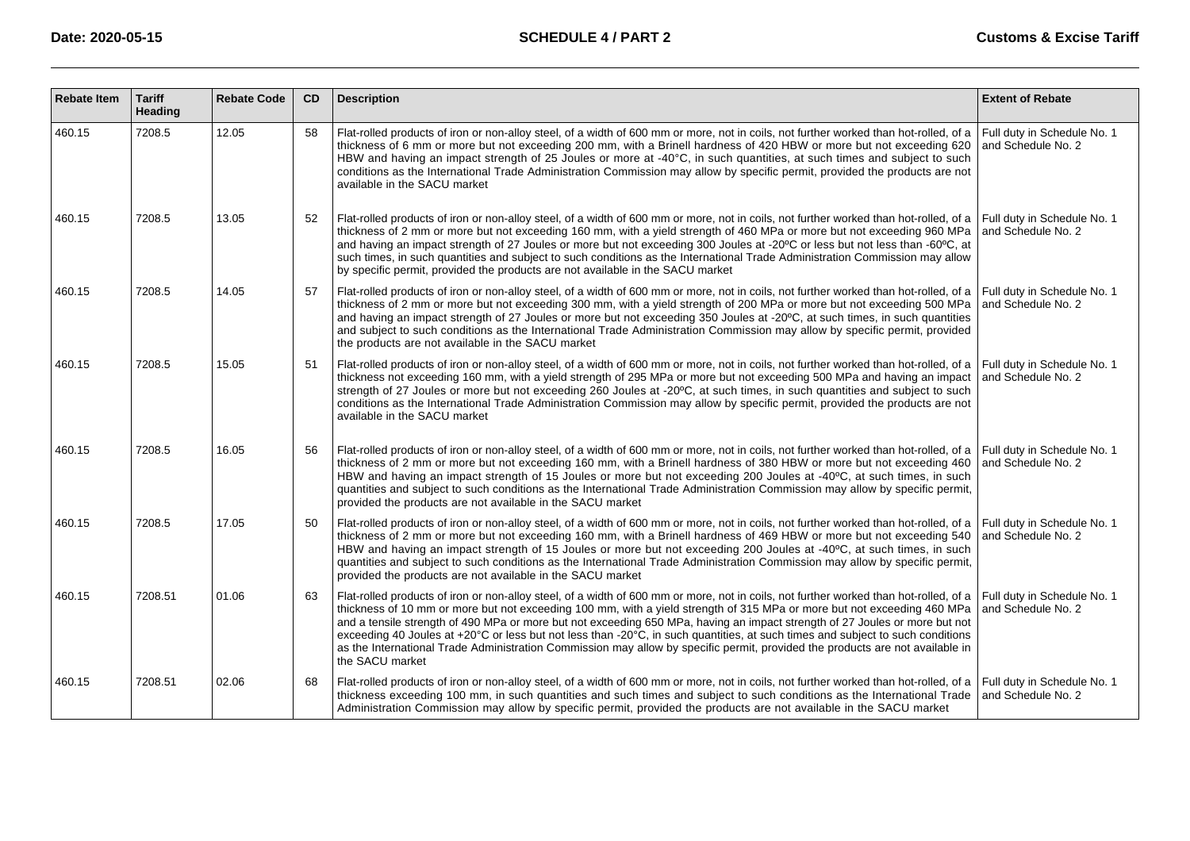| <b>Rebate Item</b> | <b>Tariff</b><br>Heading | <b>Rebate Code</b> | CD | <b>Description</b>                                                                                                                                                                                                                                                                                                                                                                                                                                                                                                                                                                                                                                                                                                | <b>Extent of Rebate</b>                           |
|--------------------|--------------------------|--------------------|----|-------------------------------------------------------------------------------------------------------------------------------------------------------------------------------------------------------------------------------------------------------------------------------------------------------------------------------------------------------------------------------------------------------------------------------------------------------------------------------------------------------------------------------------------------------------------------------------------------------------------------------------------------------------------------------------------------------------------|---------------------------------------------------|
| 460.15             | 7208.5                   | 12.05              | 58 | Flat-rolled products of iron or non-alloy steel, of a width of 600 mm or more, not in coils, not further worked than hot-rolled, of a<br>thickness of 6 mm or more but not exceeding 200 mm, with a Brinell hardness of 420 HBW or more but not exceeding 620<br>HBW and having an impact strength of 25 Joules or more at -40 °C, in such quantities, at such times and subject to such<br>conditions as the International Trade Administration Commission may allow by specific permit, provided the products are not<br>available in the SACU market                                                                                                                                                           | Full duty in Schedule No. 1<br>and Schedule No. 2 |
| 460.15             | 7208.5                   | 13.05              | 52 | Flat-rolled products of iron or non-alloy steel, of a width of 600 mm or more, not in coils, not further worked than hot-rolled, of a Full duty in Schedule No. 1<br>thickness of 2 mm or more but not exceeding 160 mm, with a yield strength of 460 MPa or more but not exceeding 960 MPa<br>and having an impact strength of 27 Joules or more but not exceeding 300 Joules at -20°C or less but not less than -60°C, at<br>such times, in such quantities and subject to such conditions as the International Trade Administration Commission may allow<br>by specific permit, provided the products are not available in the SACU market                                                                     | and Schedule No. 2                                |
| 460.15             | 7208.5                   | 14.05              | 57 | Flat-rolled products of iron or non-alloy steel, of a width of 600 mm or more, not in coils, not further worked than hot-rolled, of a Full duty in Schedule No. 1<br>thickness of 2 mm or more but not exceeding 300 mm, with a yield strength of 200 MPa or more but not exceeding 500 MPa<br>and having an impact strength of 27 Joules or more but not exceeding 350 Joules at -20°C, at such times, in such quantities<br>and subject to such conditions as the International Trade Administration Commission may allow by specific permit, provided<br>the products are not available in the SACU market                                                                                                     | and Schedule No. 2                                |
| 460.15             | 7208.5                   | 15.05              | 51 | Flat-rolled products of iron or non-alloy steel, of a width of 600 mm or more, not in coils, not further worked than hot-rolled, of a<br>thickness not exceeding 160 mm, with a yield strength of 295 MPa or more but not exceeding 500 MPa and having an impact<br>strength of 27 Joules or more but not exceeding 260 Joules at -20°C, at such times, in such quantities and subject to such<br>conditions as the International Trade Administration Commission may allow by specific permit, provided the products are not<br>available in the SACU market                                                                                                                                                     | Full duty in Schedule No. 1<br>and Schedule No. 2 |
| 460.15             | 7208.5                   | 16.05              | 56 | Flat-rolled products of iron or non-alloy steel, of a width of 600 mm or more, not in coils, not further worked than hot-rolled, of a Full duty in Schedule No. 1<br>thickness of 2 mm or more but not exceeding 160 mm, with a Brinell hardness of 380 HBW or more but not exceeding 460<br>HBW and having an impact strength of 15 Joules or more but not exceeding 200 Joules at -40°C, at such times, in such<br>guantities and subject to such conditions as the International Trade Administration Commission may allow by specific permit,<br>provided the products are not available in the SACU market                                                                                                   | and Schedule No. 2                                |
| 460.15             | 7208.5                   | 17.05              | 50 | Flat-rolled products of iron or non-alloy steel, of a width of 600 mm or more, not in coils, not further worked than hot-rolled, of a Full duty in Schedule No. 1<br>thickness of 2 mm or more but not exceeding 160 mm, with a Brinell hardness of 469 HBW or more but not exceeding 540<br>HBW and having an impact strength of 15 Joules or more but not exceeding 200 Joules at -40°C, at such times, in such<br>quantities and subject to such conditions as the International Trade Administration Commission may allow by specific permit,<br>provided the products are not available in the SACU market                                                                                                   | and Schedule No. 2                                |
| 460.15             | 7208.51                  | 01.06              | 63 | Flat-rolled products of iron or non-alloy steel, of a width of 600 mm or more, not in coils, not further worked than hot-rolled, of a Full duty in Schedule No. 1<br>thickness of 10 mm or more but not exceeding 100 mm, with a yield strength of 315 MPa or more but not exceeding 460 MPa<br>and a tensile strength of 490 MPa or more but not exceeding 650 MPa, having an impact strength of 27 Joules or more but not<br>exceeding 40 Joules at +20°C or less but not less than -20°C, in such quantities, at such times and subject to such conditions<br>as the International Trade Administration Commission may allow by specific permit, provided the products are not available in<br>the SACU market | and Schedule No. 2                                |
| 460.15             | 7208.51                  | 02.06              | 68 | Flat-rolled products of iron or non-alloy steel, of a width of 600 mm or more, not in coils, not further worked than hot-rolled, of a<br>thickness exceeding 100 mm, in such quantities and such times and subject to such conditions as the International Trade<br>Administration Commission may allow by specific permit, provided the products are not available in the SACU market                                                                                                                                                                                                                                                                                                                            | Full duty in Schedule No. 1<br>and Schedule No. 2 |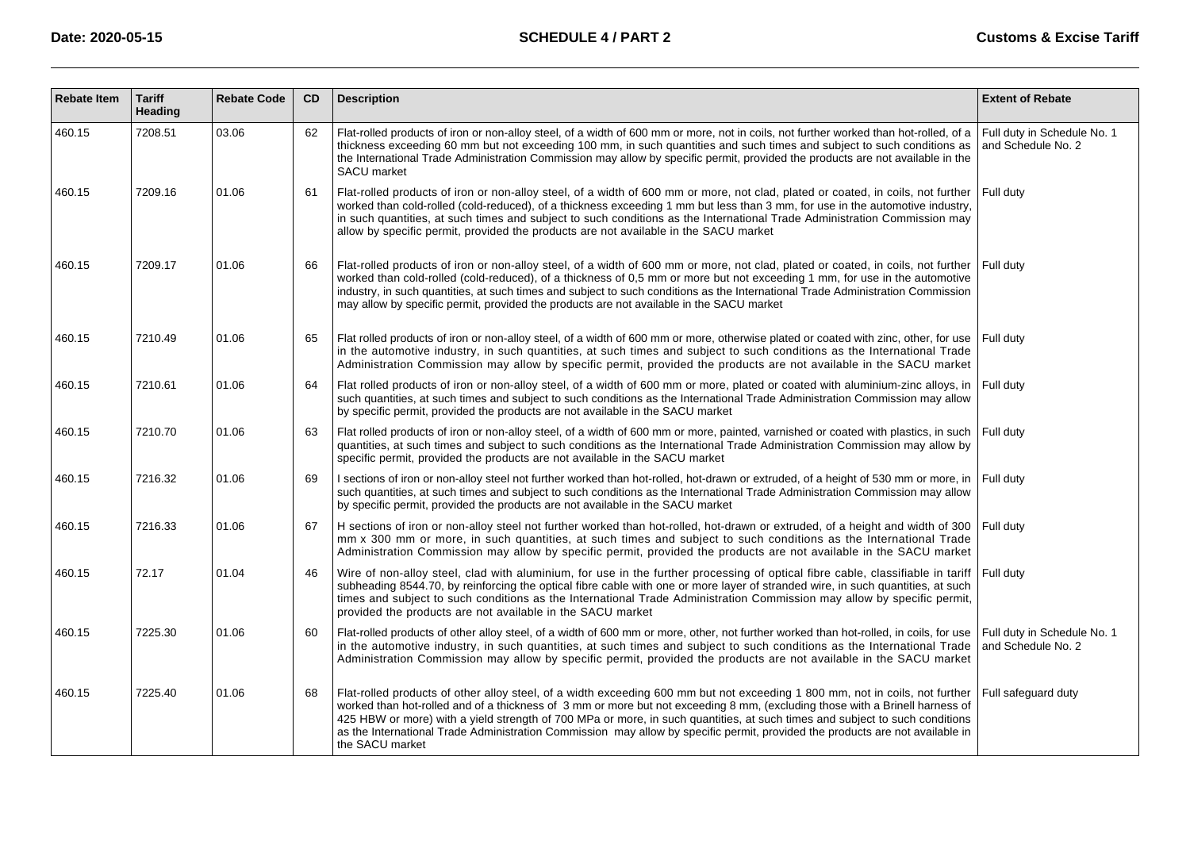| <b>Rebate Item</b> | <b>Tariff</b><br>Heading | <b>Rebate Code</b> | <b>CD</b> | <b>Description</b>                                                                                                                                                                                                                                                                                                                                                                                                                                                                                                                              | <b>Extent of Rebate</b>                           |
|--------------------|--------------------------|--------------------|-----------|-------------------------------------------------------------------------------------------------------------------------------------------------------------------------------------------------------------------------------------------------------------------------------------------------------------------------------------------------------------------------------------------------------------------------------------------------------------------------------------------------------------------------------------------------|---------------------------------------------------|
| 460.15             | 7208.51                  | 03.06              | 62        | Flat-rolled products of iron or non-alloy steel, of a width of 600 mm or more, not in coils, not further worked than hot-rolled, of a<br>thickness exceeding 60 mm but not exceeding 100 mm, in such quantities and such times and subject to such conditions as<br>the International Trade Administration Commission may allow by specific permit, provided the products are not available in the<br><b>SACU</b> market                                                                                                                        | Full duty in Schedule No. 1<br>and Schedule No. 2 |
| 460.15             | 7209.16                  | 01.06              | 61        | Flat-rolled products of iron or non-alloy steel, of a width of 600 mm or more, not clad, plated or coated, in coils, not further<br>worked than cold-rolled (cold-reduced), of a thickness exceeding 1 mm but less than 3 mm, for use in the automotive industry,<br>in such quantities, at such times and subject to such conditions as the International Trade Administration Commission may<br>allow by specific permit, provided the products are not available in the SACU market                                                          | Full duty                                         |
| 460.15             | 7209.17                  | 01.06              | 66        | Flat-rolled products of iron or non-alloy steel, of a width of 600 mm or more, not clad, plated or coated, in coils, not further<br>worked than cold-rolled (cold-reduced), of a thickness of 0,5 mm or more but not exceeding 1 mm, for use in the automotive<br>industry, in such quantities, at such times and subject to such conditions as the International Trade Administration Commission<br>may allow by specific permit, provided the products are not available in the SACU market                                                   | Full duty                                         |
| 460.15             | 7210.49                  | 01.06              | 65        | Flat rolled products of iron or non-alloy steel, of a width of 600 mm or more, otherwise plated or coated with zinc, other, for use<br>in the automotive industry, in such quantities, at such times and subject to such conditions as the International Trade<br>Administration Commission may allow by specific permit, provided the products are not available in the SACU market                                                                                                                                                            | Full duty                                         |
| 460.15             | 7210.61                  | 01.06              | 64        | Flat rolled products of iron or non-alloy steel, of a width of 600 mm or more, plated or coated with aluminium-zinc alloys, in<br>such quantities, at such times and subject to such conditions as the International Trade Administration Commission may allow<br>by specific permit, provided the products are not available in the SACU market                                                                                                                                                                                                | Full duty                                         |
| 460.15             | 7210.70                  | 01.06              | 63        | Flat rolled products of iron or non-alloy steel, of a width of 600 mm or more, painted, varnished or coated with plastics, in such<br>quantities, at such times and subject to such conditions as the International Trade Administration Commission may allow by<br>specific permit, provided the products are not available in the SACU market                                                                                                                                                                                                 | Full duty                                         |
| 460.15             | 7216.32                  | 01.06              | 69        | I sections of iron or non-alloy steel not further worked than hot-rolled, hot-drawn or extruded, of a height of 530 mm or more, in<br>such quantities, at such times and subject to such conditions as the International Trade Administration Commission may allow<br>by specific permit, provided the products are not available in the SACU market                                                                                                                                                                                            | Full duty                                         |
| 460.15             | 7216.33                  | 01.06              | 67        | H sections of iron or non-alloy steel not further worked than hot-rolled, hot-drawn or extruded, of a height and width of 300<br>mm x 300 mm or more, in such quantities, at such times and subject to such conditions as the International Trade<br>Administration Commission may allow by specific permit, provided the products are not available in the SACU market                                                                                                                                                                         | Full duty                                         |
| 460.15             | 72.17                    | 01.04              | 46        | Wire of non-alloy steel, clad with aluminium, for use in the further processing of optical fibre cable, classifiable in tariff<br>subheading 8544.70, by reinforcing the optical fibre cable with one or more layer of stranded wire, in such quantities, at such<br>times and subject to such conditions as the International Trade Administration Commission may allow by specific permit,<br>provided the products are not available in the SACU market                                                                                      | Full duty                                         |
| 460.15             | 7225.30                  | 01.06              | 60        | Flat-rolled products of other alloy steel, of a width of 600 mm or more, other, not further worked than hot-rolled, in coils, for use<br>in the automotive industry, in such quantities, at such times and subject to such conditions as the International Trade<br>Administration Commission may allow by specific permit, provided the products are not available in the SACU market                                                                                                                                                          | Full duty in Schedule No. 1<br>and Schedule No. 2 |
| 460.15             | 7225.40                  | 01.06              | 68        | Flat-rolled products of other alloy steel, of a width exceeding 600 mm but not exceeding 1 800 mm, not in coils, not further<br>worked than hot-rolled and of a thickness of 3 mm or more but not exceeding 8 mm, (excluding those with a Brinell harness of<br>425 HBW or more) with a yield strength of 700 MPa or more, in such quantities, at such times and subject to such conditions<br>as the International Trade Administration Commission may allow by specific permit, provided the products are not available in<br>the SACU market | Full safequard duty                               |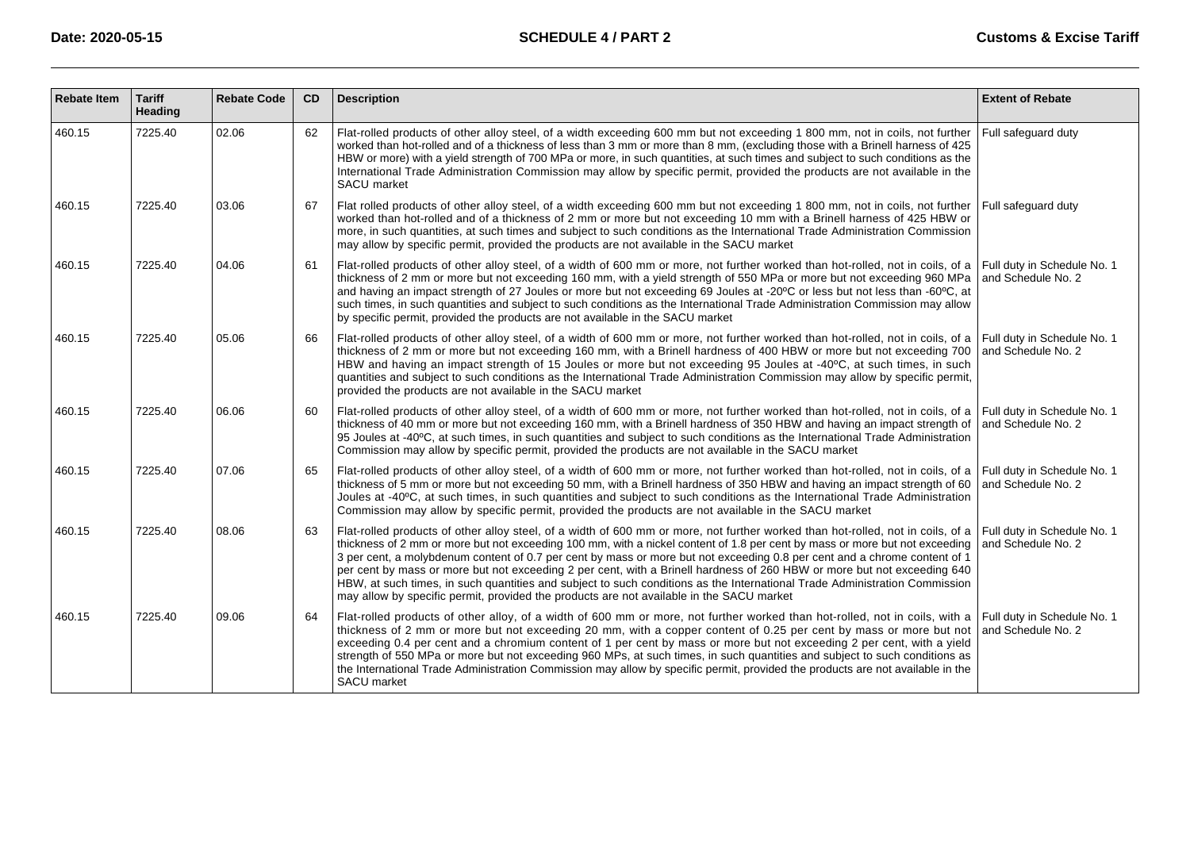| <b>Rebate Item</b> | <b>Tariff</b><br>Heading | <b>Rebate Code</b> | <b>CD</b> | <b>Description</b>                                                                                                                                                                                                                                                                                                                                                                                                                                                                                                                                                                                                                                                                                                                               | <b>Extent of Rebate</b>                           |
|--------------------|--------------------------|--------------------|-----------|--------------------------------------------------------------------------------------------------------------------------------------------------------------------------------------------------------------------------------------------------------------------------------------------------------------------------------------------------------------------------------------------------------------------------------------------------------------------------------------------------------------------------------------------------------------------------------------------------------------------------------------------------------------------------------------------------------------------------------------------------|---------------------------------------------------|
| 460.15             | 7225.40                  | 02.06              | 62        | Flat-rolled products of other alloy steel, of a width exceeding 600 mm but not exceeding 1 800 mm, not in coils, not further<br>worked than hot-rolled and of a thickness of less than 3 mm or more than 8 mm, (excluding those with a Brinell harness of 425<br>HBW or more) with a yield strength of 700 MPa or more, in such quantities, at such times and subject to such conditions as the<br>International Trade Administration Commission may allow by specific permit, provided the products are not available in the<br><b>SACU</b> market                                                                                                                                                                                              | Full safeguard duty                               |
| 460.15             | 7225.40                  | 03.06              | 67        | Flat rolled products of other alloy steel, of a width exceeding 600 mm but not exceeding 1 800 mm, not in coils, not further<br>worked than hot-rolled and of a thickness of 2 mm or more but not exceeding 10 mm with a Brinell harness of 425 HBW or<br>more, in such quantities, at such times and subject to such conditions as the International Trade Administration Commission<br>may allow by specific permit, provided the products are not available in the SACU market                                                                                                                                                                                                                                                                | Full safeguard duty                               |
| 460.15             | 7225.40                  | 04.06              | 61        | Flat-rolled products of other alloy steel, of a width of 600 mm or more, not further worked than hot-rolled, not in coils, of a<br>thickness of 2 mm or more but not exceeding 160 mm, with a yield strength of 550 MPa or more but not exceeding 960 MPa<br>and having an impact strength of 27 Joules or more but not exceeding 69 Joules at -20°C or less but not less than -60°C, at<br>such times, in such quantities and subject to such conditions as the International Trade Administration Commission may allow<br>by specific permit, provided the products are not available in the SACU market                                                                                                                                       | Full duty in Schedule No. 1<br>and Schedule No. 2 |
| 460.15             | 7225.40                  | 05.06              | 66        | Flat-rolled products of other alloy steel, of a width of 600 mm or more, not further worked than hot-rolled, not in coils, of a<br>thickness of 2 mm or more but not exceeding 160 mm, with a Brinell hardness of 400 HBW or more but not exceeding 700<br>HBW and having an impact strength of 15 Joules or more but not exceeding 95 Joules at -40°C, at such times, in such<br>quantities and subject to such conditions as the International Trade Administration Commission may allow by specific permit,<br>provided the products are not available in the SACU market                                                                                                                                                                     | Full duty in Schedule No. 1<br>and Schedule No. 2 |
| 460.15             | 7225.40                  | 06.06              | 60        | Flat-rolled products of other alloy steel, of a width of 600 mm or more, not further worked than hot-rolled, not in coils, of a<br>thickness of 40 mm or more but not exceeding 160 mm, with a Brinell hardness of 350 HBW and having an impact strength of<br>95 Joules at -40°C, at such times, in such quantities and subject to such conditions as the International Trade Administration<br>Commission may allow by specific permit, provided the products are not available in the SACU market                                                                                                                                                                                                                                             | Full duty in Schedule No. 1<br>and Schedule No. 2 |
| 460.15             | 7225.40                  | 07.06              | 65        | Flat-rolled products of other alloy steel, of a width of 600 mm or more, not further worked than hot-rolled, not in coils, of a<br>thickness of 5 mm or more but not exceeding 50 mm, with a Brinell hardness of 350 HBW and having an impact strength of 60<br>Joules at -40°C, at such times, in such quantities and subject to such conditions as the International Trade Administration<br>Commission may allow by specific permit, provided the products are not available in the SACU market                                                                                                                                                                                                                                               | Full duty in Schedule No. 1<br>and Schedule No. 2 |
| 460.15             | 7225.40                  | 08.06              | 63        | Flat-rolled products of other alloy steel, of a width of 600 mm or more, not further worked than hot-rolled, not in coils, of a<br>thickness of 2 mm or more but not exceeding 100 mm, with a nickel content of 1.8 per cent by mass or more but not exceeding<br>3 per cent, a molybdenum content of 0.7 per cent by mass or more but not exceeding 0.8 per cent and a chrome content of 1<br>per cent by mass or more but not exceeding 2 per cent, with a Brinell hardness of 260 HBW or more but not exceeding 640<br>HBW, at such times, in such quantities and subject to such conditions as the International Trade Administration Commission<br>may allow by specific permit, provided the products are not available in the SACU market | Full duty in Schedule No. 1<br>and Schedule No. 2 |
| 460.15             | 7225.40                  | 09.06              | 64        | Flat-rolled products of other alloy, of a width of 600 mm or more, not further worked than hot-rolled, not in coils, with a<br>thickness of 2 mm or more but not exceeding 20 mm, with a copper content of 0.25 per cent by mass or more but not<br>exceeding 0.4 per cent and a chromium content of 1 per cent by mass or more but not exceeding 2 per cent, with a yield<br>strength of 550 MPa or more but not exceeding 960 MPs, at such times, in such quantities and subject to such conditions as<br>the International Trade Administration Commission may allow by specific permit, provided the products are not available in the<br>SACU market                                                                                        | Full duty in Schedule No. 1<br>and Schedule No. 2 |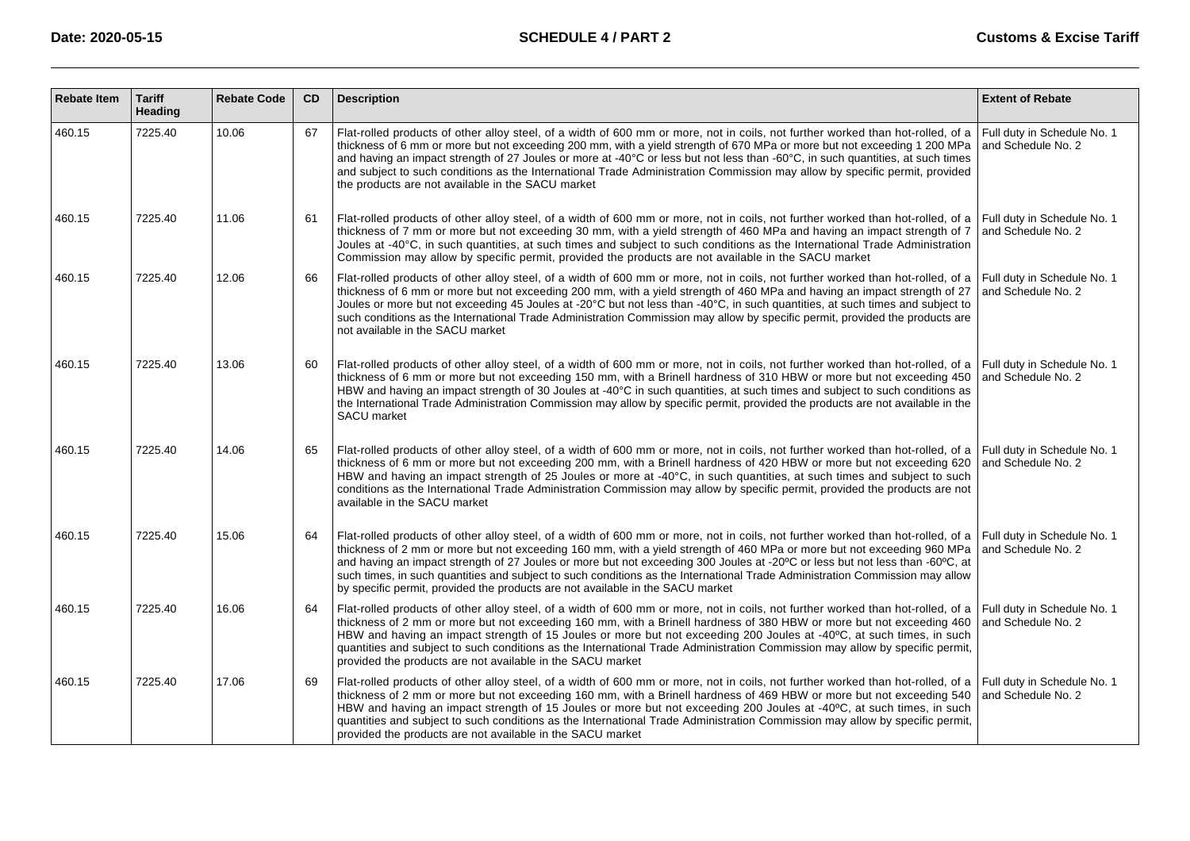| <b>Rebate Item</b> | <b>Tariff</b><br>Heading | <b>Rebate Code</b> | <b>CD</b> | <b>Description</b>                                                                                                                                                                                                                                                                                                                                                                                                                                                                                                                                                                                                                      | <b>Extent of Rebate</b>                           |
|--------------------|--------------------------|--------------------|-----------|-----------------------------------------------------------------------------------------------------------------------------------------------------------------------------------------------------------------------------------------------------------------------------------------------------------------------------------------------------------------------------------------------------------------------------------------------------------------------------------------------------------------------------------------------------------------------------------------------------------------------------------------|---------------------------------------------------|
| 460.15             | 7225.40                  | 10.06              | 67        | Flat-rolled products of other alloy steel, of a width of 600 mm or more, not in coils, not further worked than hot-rolled, of a<br>thickness of 6 mm or more but not exceeding 200 mm, with a yield strength of 670 MPa or more but not exceeding 1 200 MPa<br>and having an impact strength of 27 Joules or more at -40 °C or less but not less than -60° C, in such quantities, at such times<br>and subject to such conditions as the International Trade Administration Commission may allow by specific permit, provided<br>the products are not available in the SACU market                                                      | Full duty in Schedule No. 1<br>and Schedule No. 2 |
| 460.15             | 7225.40                  | 11.06              | 61        | Flat-rolled products of other alloy steel, of a width of 600 mm or more, not in coils, not further worked than hot-rolled, of a   Full duty in Schedule No. 1<br>thickness of 7 mm or more but not exceeding 30 mm, with a yield strength of 460 MPa and having an impact strength of 7<br>Joules at -40 °C, in such quantities, at such times and subject to such conditions as the International Trade Administration<br>Commission may allow by specific permit, provided the products are not available in the SACU market                                                                                                          | and Schedule No. 2                                |
| 460.15             | 7225.40                  | 12.06              | 66        | Flat-rolled products of other alloy steel, of a width of 600 mm or more, not in coils, not further worked than hot-rolled, of a<br>thickness of 6 mm or more but not exceeding 200 mm, with a yield strength of 460 MPa and having an impact strength of 27<br>Joules or more but not exceeding 45 Joules at -20° C but not less than -40°C, in such quantities, at such times and subject to<br>such conditions as the International Trade Administration Commission may allow by specific permit, provided the products are<br>not available in the SACU market                                                                       | Full duty in Schedule No. 1<br>and Schedule No. 2 |
| 460.15             | 7225.40                  | 13.06              | 60        | Flat-rolled products of other alloy steel, of a width of 600 mm or more, not in coils, not further worked than hot-rolled, of a Full duty in Schedule No. 1<br>thickness of 6 mm or more but not exceeding 150 mm, with a Brinell hardness of 310 HBW or more but not exceeding 450<br>HBW and having an impact strength of 30 Joules at -40 °C in such quantities, at such times and subject to such conditions as<br>the International Trade Administration Commission may allow by specific permit, provided the products are not available in the<br>SACU market                                                                    | and Schedule No. 2                                |
| 460.15             | 7225.40                  | 14.06              | 65        | Flat-rolled products of other alloy steel, of a width of 600 mm or more, not in coils, not further worked than hot-rolled, of a Full duty in Schedule No. 1<br>thickness of 6 mm or more but not exceeding 200 mm, with a Brinell hardness of 420 HBW or more but not exceeding 620<br>HBW and having an impact strength of 25 Joules or more at -40° C, in such quantities, at such times and subject to such<br>conditions as the International Trade Administration Commission may allow by specific permit, provided the products are not<br>available in the SACU market                                                           | and Schedule No. 2                                |
| 460.15             | 7225.40                  | 15.06              | 64        | Flat-rolled products of other alloy steel, of a width of 600 mm or more, not in coils, not further worked than hot-rolled, of a Full duty in Schedule No. 1<br>thickness of 2 mm or more but not exceeding 160 mm, with a yield strength of 460 MPa or more but not exceeding 960 MPa<br>and having an impact strength of 27 Joules or more but not exceeding 300 Joules at -20°C or less but not less than -60°C, at<br>such times, in such quantities and subject to such conditions as the International Trade Administration Commission may allow<br>by specific permit, provided the products are not available in the SACU market | and Schedule No. 2                                |
| 460.15             | 7225.40                  | 16.06              | 64        | Flat-rolled products of other alloy steel, of a width of 600 mm or more, not in coils, not further worked than hot-rolled, of a<br>thickness of 2 mm or more but not exceeding 160 mm, with a Brinell hardness of 380 HBW or more but not exceeding 460<br>HBW and having an impact strength of 15 Joules or more but not exceeding 200 Joules at -40°C, at such times, in such<br>quantities and subject to such conditions as the International Trade Administration Commission may allow by specific permit,<br>provided the products are not available in the SACU market                                                           | Full duty in Schedule No. 1<br>and Schedule No. 2 |
| 460.15             | 7225.40                  | 17.06              | 69        | Flat-rolled products of other alloy steel, of a width of 600 mm or more, not in coils, not further worked than hot-rolled, of a<br>thickness of 2 mm or more but not exceeding 160 mm, with a Brinell hardness of 469 HBW or more but not exceeding 540<br>HBW and having an impact strength of 15 Joules or more but not exceeding 200 Joules at -40°C, at such times, in such<br>quantities and subject to such conditions as the International Trade Administration Commission may allow by specific permit,<br>provided the products are not available in the SACU market                                                           | Full duty in Schedule No. 1<br>and Schedule No. 2 |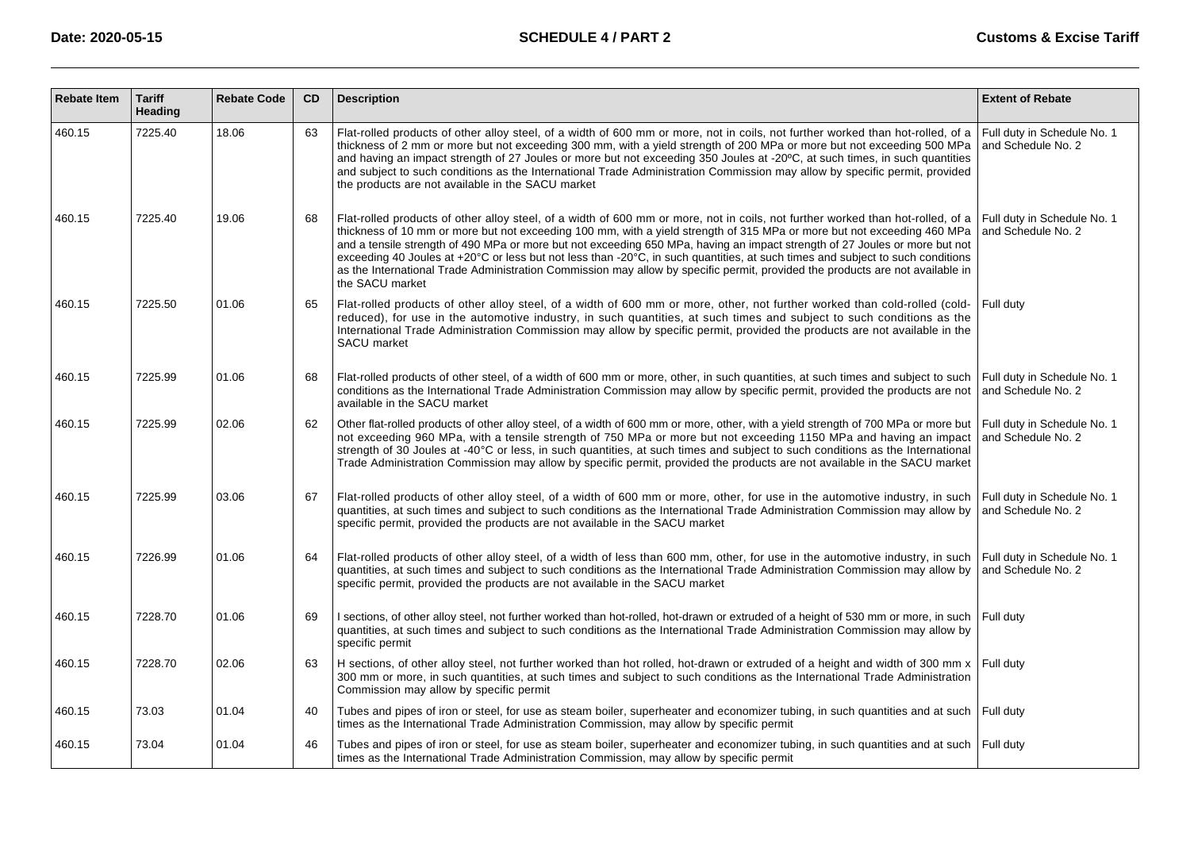| <b>Rebate Item</b> | <b>Tariff</b><br>Heading | <b>Rebate Code</b> | CD | <b>Description</b>                                                                                                                                                                                                                                                                                                                                                                                                                                                                                                                                                                                                                                                              | <b>Extent of Rebate</b>                           |
|--------------------|--------------------------|--------------------|----|---------------------------------------------------------------------------------------------------------------------------------------------------------------------------------------------------------------------------------------------------------------------------------------------------------------------------------------------------------------------------------------------------------------------------------------------------------------------------------------------------------------------------------------------------------------------------------------------------------------------------------------------------------------------------------|---------------------------------------------------|
| 460.15             | 7225.40                  | 18.06              | 63 | Flat-rolled products of other alloy steel, of a width of 600 mm or more, not in coils, not further worked than hot-rolled, of a<br>thickness of 2 mm or more but not exceeding 300 mm, with a yield strength of 200 MPa or more but not exceeding 500 MPa<br>and having an impact strength of 27 Joules or more but not exceeding 350 Joules at -20°C, at such times, in such quantities<br>and subject to such conditions as the International Trade Administration Commission may allow by specific permit, provided<br>the products are not available in the SACU market                                                                                                     | Full duty in Schedule No. 1<br>and Schedule No. 2 |
| 460.15             | 7225.40                  | 19.06              | 68 | Flat-rolled products of other alloy steel, of a width of 600 mm or more, not in coils, not further worked than hot-rolled, of a<br>thickness of 10 mm or more but not exceeding 100 mm, with a yield strength of 315 MPa or more but not exceeding 460 MPa<br>and a tensile strength of 490 MPa or more but not exceeding 650 MPa, having an impact strength of 27 Joules or more but not<br>exceeding 40 Joules at +20°C or less but not less than -20°C, in such quantities, at such times and subject to such conditions<br>as the International Trade Administration Commission may allow by specific permit, provided the products are not available in<br>the SACU market | Full duty in Schedule No. 1<br>and Schedule No. 2 |
| 460.15             | 7225.50                  | 01.06              | 65 | Flat-rolled products of other alloy steel, of a width of 600 mm or more, other, not further worked than cold-rolled (cold-<br>reduced), for use in the automotive industry, in such quantities, at such times and subject to such conditions as the<br>International Trade Administration Commission may allow by specific permit, provided the products are not available in the<br>SACU market                                                                                                                                                                                                                                                                                | Full dutv                                         |
| 460.15             | 7225.99                  | 01.06              | 68 | Flat-rolled products of other steel, of a width of 600 mm or more, other, in such quantities, at such times and subject to such<br>conditions as the International Trade Administration Commission may allow by specific permit, provided the products are not<br>available in the SACU market                                                                                                                                                                                                                                                                                                                                                                                  | Full duty in Schedule No. 1<br>and Schedule No. 2 |
| 460.15             | 7225.99                  | 02.06              | 62 | Other flat-rolled products of other alloy steel, of a width of 600 mm or more, other, with a yield strength of 700 MPa or more but<br>not exceeding 960 MPa, with a tensile strength of 750 MPa or more but not exceeding 1150 MPa and having an impact<br>strength of 30 Joules at -40 °C or less, in such quantities, at such times and subject to such conditions as the International<br>Trade Administration Commission may allow by specific permit, provided the products are not available in the SACU market                                                                                                                                                           | Full duty in Schedule No. 1<br>and Schedule No. 2 |
| 460.15             | 7225.99                  | 03.06              | 67 | Flat-rolled products of other alloy steel, of a width of 600 mm or more, other, for use in the automotive industry, in such<br>quantities, at such times and subject to such conditions as the International Trade Administration Commission may allow by<br>specific permit, provided the products are not available in the SACU market                                                                                                                                                                                                                                                                                                                                        | Full duty in Schedule No. 1<br>and Schedule No. 2 |
| 460.15             | 7226.99                  | 01.06              | 64 | Flat-rolled products of other alloy steel, of a width of less than 600 mm, other, for use in the automotive industry, in such<br>quantities, at such times and subject to such conditions as the International Trade Administration Commission may allow by<br>specific permit, provided the products are not available in the SACU market                                                                                                                                                                                                                                                                                                                                      | Full duty in Schedule No. 1<br>and Schedule No. 2 |
| 460.15             | 7228.70                  | 01.06              | 69 | I sections, of other alloy steel, not further worked than hot-rolled, hot-drawn or extruded of a height of 530 mm or more, in such<br>quantities, at such times and subject to such conditions as the International Trade Administration Commission may allow by<br>specific permit                                                                                                                                                                                                                                                                                                                                                                                             | Full duty                                         |
| 460.15             | 7228.70                  | 02.06              | 63 | H sections, of other alloy steel, not further worked than hot rolled, hot-drawn or extruded of a height and width of 300 mm $x$ Full duty<br>300 mm or more, in such quantities, at such times and subject to such conditions as the International Trade Administration<br>Commission may allow by specific permit                                                                                                                                                                                                                                                                                                                                                              |                                                   |
| 460.15             | 73.03                    | 01.04              | 40 | Tubes and pipes of iron or steel, for use as steam boiler, superheater and economizer tubing, in such quantities and at such Full duty<br>times as the International Trade Administration Commission, may allow by specific permit                                                                                                                                                                                                                                                                                                                                                                                                                                              |                                                   |
| 460.15             | 73.04                    | 01.04              | 46 | Tubes and pipes of iron or steel, for use as steam boiler, superheater and economizer tubing, in such quantities and at such   Full duty<br>times as the International Trade Administration Commission, may allow by specific permit                                                                                                                                                                                                                                                                                                                                                                                                                                            |                                                   |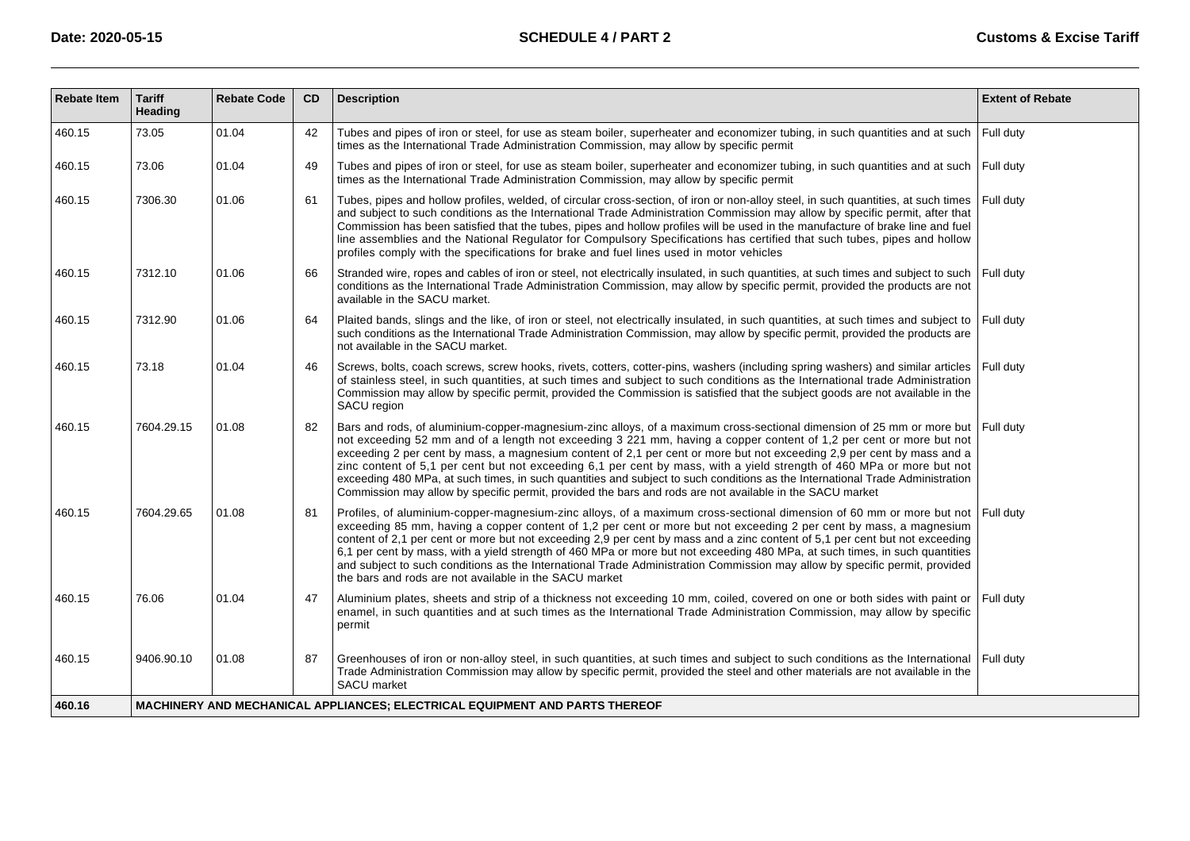| <b>Rebate Item</b> | <b>Tariff</b><br>Heading                                                    | <b>Rebate Code</b> | CD | <b>Description</b>                                                                                                                                                                                                                                                                                                                                                                                                                                                                                                                                                                                                                                                                                                                           | <b>Extent of Rebate</b> |  |  |  |  |
|--------------------|-----------------------------------------------------------------------------|--------------------|----|----------------------------------------------------------------------------------------------------------------------------------------------------------------------------------------------------------------------------------------------------------------------------------------------------------------------------------------------------------------------------------------------------------------------------------------------------------------------------------------------------------------------------------------------------------------------------------------------------------------------------------------------------------------------------------------------------------------------------------------------|-------------------------|--|--|--|--|
| 460.15             | 73.05                                                                       | 01.04              | 42 | Tubes and pipes of iron or steel, for use as steam boiler, superheater and economizer tubing, in such quantities and at such<br>times as the International Trade Administration Commission, may allow by specific permit                                                                                                                                                                                                                                                                                                                                                                                                                                                                                                                     | Full duty               |  |  |  |  |
| 460.15             | 73.06                                                                       | 01.04              | 49 | Tubes and pipes of iron or steel, for use as steam boiler, superheater and economizer tubing, in such quantities and at such Full duty<br>times as the International Trade Administration Commission, may allow by specific permit                                                                                                                                                                                                                                                                                                                                                                                                                                                                                                           |                         |  |  |  |  |
| 460.15             | 7306.30                                                                     | 01.06              | 61 | Tubes, pipes and hollow profiles, welded, of circular cross-section, of iron or non-alloy steel, in such quantities, at such times<br>and subject to such conditions as the International Trade Administration Commission may allow by specific permit, after that<br>Commission has been satisfied that the tubes, pipes and hollow profiles will be used in the manufacture of brake line and fuel<br>line assemblies and the National Regulator for Compulsory Specifications has certified that such tubes, pipes and hollow<br>profiles comply with the specifications for brake and fuel lines used in motor vehicles                                                                                                                  | Full duty               |  |  |  |  |
| 460.15             | 7312.10                                                                     | 01.06              | 66 | Stranded wire, ropes and cables of iron or steel, not electrically insulated, in such quantities, at such times and subject to such<br>conditions as the International Trade Administration Commission, may allow by specific permit, provided the products are not<br>available in the SACU market.                                                                                                                                                                                                                                                                                                                                                                                                                                         | Full duty               |  |  |  |  |
| 460.15             | 7312.90                                                                     | 01.06              | 64 | Plaited bands, slings and the like, of iron or steel, not electrically insulated, in such quantities, at such times and subject to<br>such conditions as the International Trade Administration Commission, may allow by specific permit, provided the products are<br>not available in the SACU market.                                                                                                                                                                                                                                                                                                                                                                                                                                     | Full duty               |  |  |  |  |
| 460.15             | 73.18                                                                       | 01.04              | 46 | Screws, bolts, coach screws, screw hooks, rivets, cotters, cotter-pins, washers (including spring washers) and similar articles<br>of stainless steel, in such quantities, at such times and subject to such conditions as the International trade Administration<br>Commission may allow by specific permit, provided the Commission is satisfied that the subject goods are not available in the<br>SACU region                                                                                                                                                                                                                                                                                                                            | Full duty               |  |  |  |  |
| 460.15             | 7604.29.15                                                                  | 01.08              | 82 | Bars and rods, of aluminium-copper-magnesium-zinc alloys, of a maximum cross-sectional dimension of 25 mm or more but<br>not exceeding 52 mm and of a length not exceeding 3 221 mm, having a copper content of 1,2 per cent or more but not<br>exceeding 2 per cent by mass, a magnesium content of 2,1 per cent or more but not exceeding 2,9 per cent by mass and a<br>zinc content of 5,1 per cent but not exceeding 6,1 per cent by mass, with a yield strength of 460 MPa or more but not<br>exceeding 480 MPa, at such times, in such quantities and subject to such conditions as the International Trade Administration<br>Commission may allow by specific permit, provided the bars and rods are not available in the SACU market | Full duty               |  |  |  |  |
| 460.15             | 7604.29.65                                                                  | 01.08              | 81 | Profiles, of aluminium-copper-magnesium-zinc alloys, of a maximum cross-sectional dimension of 60 mm or more but not Full duty<br>exceeding 85 mm, having a copper content of 1,2 per cent or more but not exceeding 2 per cent by mass, a magnesium<br>content of 2,1 per cent or more but not exceeding 2,9 per cent by mass and a zinc content of 5,1 per cent but not exceeding<br>6,1 per cent by mass, with a yield strength of 460 MPa or more but not exceeding 480 MPa, at such times, in such quantities<br>and subject to such conditions as the International Trade Administration Commission may allow by specific permit, provided<br>the bars and rods are not available in the SACU market                                   |                         |  |  |  |  |
| 460.15             | 76.06                                                                       | 01.04              | 47 | Aluminium plates, sheets and strip of a thickness not exceeding 10 mm, coiled, covered on one or both sides with paint or<br>enamel, in such quantities and at such times as the International Trade Administration Commission, may allow by specific<br>permit                                                                                                                                                                                                                                                                                                                                                                                                                                                                              | Full duty               |  |  |  |  |
| 460.15             | 9406.90.10                                                                  | 01.08              | 87 | Greenhouses of iron or non-alloy steel, in such quantities, at such times and subject to such conditions as the International<br>Trade Administration Commission may allow by specific permit, provided the steel and other materials are not available in the<br><b>SACU</b> market                                                                                                                                                                                                                                                                                                                                                                                                                                                         | l Full dutv             |  |  |  |  |
| 460.16             | MACHINERY AND MECHANICAL APPLIANCES; ELECTRICAL EQUIPMENT AND PARTS THEREOF |                    |    |                                                                                                                                                                                                                                                                                                                                                                                                                                                                                                                                                                                                                                                                                                                                              |                         |  |  |  |  |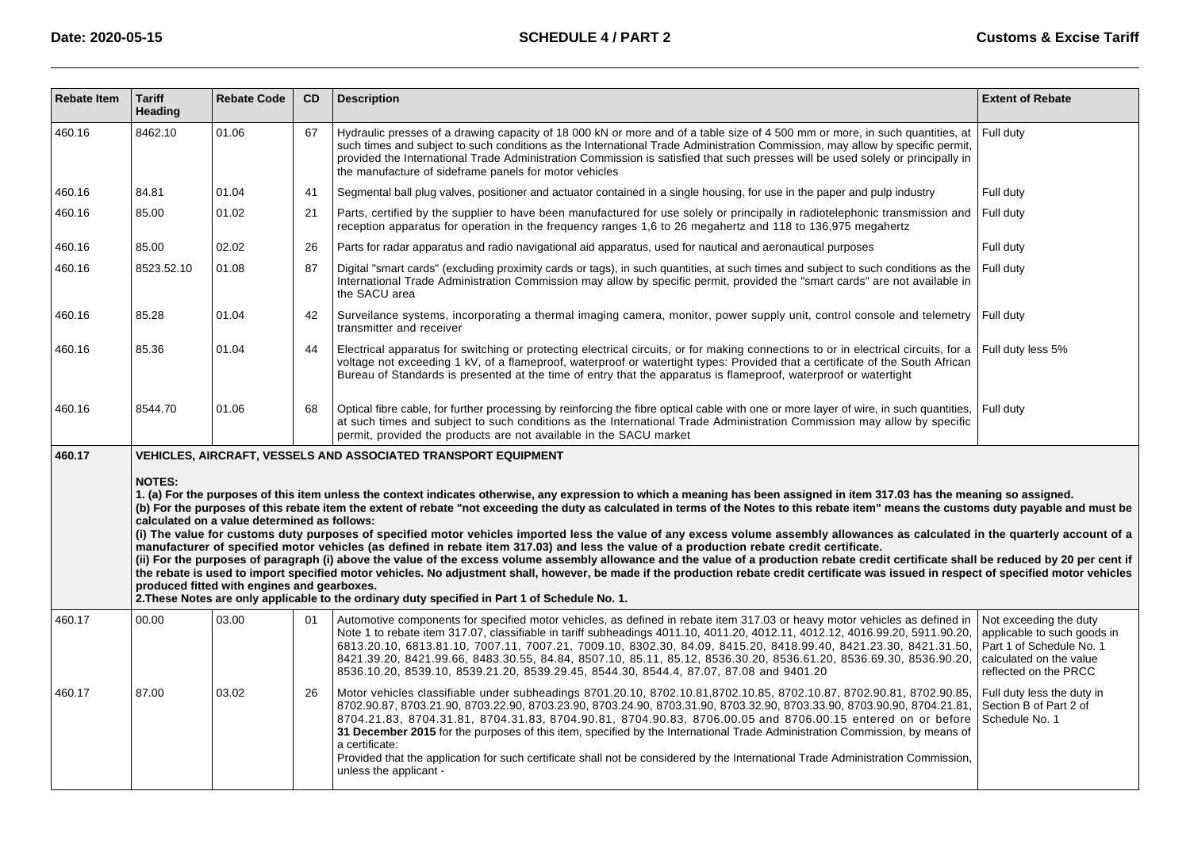| <b>Rebate Item</b> | <b>Tariff</b><br>Heading | <b>Rebate Code</b>                                                                          | CD | <b>Description</b>                                                                                                                                                                                                                                                                                                                                                                                                                                                                                                                                                                                                                                                                                                                                                                                                                                                                                                                                                                                                                                                                                                                                                                                      | <b>Extent of Rebate</b>                                                                                                               |
|--------------------|--------------------------|---------------------------------------------------------------------------------------------|----|---------------------------------------------------------------------------------------------------------------------------------------------------------------------------------------------------------------------------------------------------------------------------------------------------------------------------------------------------------------------------------------------------------------------------------------------------------------------------------------------------------------------------------------------------------------------------------------------------------------------------------------------------------------------------------------------------------------------------------------------------------------------------------------------------------------------------------------------------------------------------------------------------------------------------------------------------------------------------------------------------------------------------------------------------------------------------------------------------------------------------------------------------------------------------------------------------------|---------------------------------------------------------------------------------------------------------------------------------------|
| 460.16             | 8462.10                  | 01.06                                                                                       | 67 | Hydraulic presses of a drawing capacity of 18 000 kN or more and of a table size of 4 500 mm or more, in such quantities, at<br>such times and subject to such conditions as the International Trade Administration Commission, may allow by specific permit,<br>provided the International Trade Administration Commission is satisfied that such presses will be used solely or principally in<br>the manufacture of sideframe panels for motor vehicles                                                                                                                                                                                                                                                                                                                                                                                                                                                                                                                                                                                                                                                                                                                                              | Full duty                                                                                                                             |
| 460.16             | 84.81                    | 01.04                                                                                       | 41 | Segmental ball plug valves, positioner and actuator contained in a single housing, for use in the paper and pulp industry                                                                                                                                                                                                                                                                                                                                                                                                                                                                                                                                                                                                                                                                                                                                                                                                                                                                                                                                                                                                                                                                               | Full duty                                                                                                                             |
| 460.16             | 85.00                    | 01.02                                                                                       | 21 | Parts, certified by the supplier to have been manufactured for use solely or principally in radiotelephonic transmission and<br>reception apparatus for operation in the frequency ranges 1,6 to 26 megahertz and 118 to 136,975 megahertz                                                                                                                                                                                                                                                                                                                                                                                                                                                                                                                                                                                                                                                                                                                                                                                                                                                                                                                                                              | Full duty                                                                                                                             |
| 460.16             | 85.00                    | 02.02                                                                                       | 26 | Parts for radar apparatus and radio navigational aid apparatus, used for nautical and aeronautical purposes                                                                                                                                                                                                                                                                                                                                                                                                                                                                                                                                                                                                                                                                                                                                                                                                                                                                                                                                                                                                                                                                                             | Full duty                                                                                                                             |
| 460.16             | 8523.52.10               | 01.08                                                                                       | 87 | Digital "smart cards" (excluding proximity cards or tags), in such quantities, at such times and subject to such conditions as the<br>International Trade Administration Commission may allow by specific permit, provided the "smart cards" are not available in<br>the SACU area                                                                                                                                                                                                                                                                                                                                                                                                                                                                                                                                                                                                                                                                                                                                                                                                                                                                                                                      | Full duty                                                                                                                             |
| 460.16             | 85.28                    | 01.04                                                                                       | 42 | Surveilance systems, incorporating a thermal imaging camera, monitor, power supply unit, control console and telemetry   Full duty<br>transmitter and receiver                                                                                                                                                                                                                                                                                                                                                                                                                                                                                                                                                                                                                                                                                                                                                                                                                                                                                                                                                                                                                                          |                                                                                                                                       |
| 460.16             | 85.36                    | 01.04                                                                                       | 44 | Electrical apparatus for switching or protecting electrical circuits, or for making connections to or in electrical circuits, for a<br>voltage not exceeding 1 kV, of a flameproof, waterproof or watertight types: Provided that a certificate of the South African<br>Bureau of Standards is presented at the time of entry that the apparatus is flameproof, waterproof or watertight                                                                                                                                                                                                                                                                                                                                                                                                                                                                                                                                                                                                                                                                                                                                                                                                                | Full duty less 5%                                                                                                                     |
| 460.16             | 8544.70                  | 01.06                                                                                       | 68 | Optical fibre cable, for further processing by reinforcing the fibre optical cable with one or more layer of wire, in such quantities,<br>at such times and subject to such conditions as the International Trade Administration Commission may allow by specific<br>permit, provided the products are not available in the SACU market                                                                                                                                                                                                                                                                                                                                                                                                                                                                                                                                                                                                                                                                                                                                                                                                                                                                 | Full duty                                                                                                                             |
| 460.17             |                          |                                                                                             |    | <b>VEHICLES, AIRCRAFT, VESSELS AND ASSOCIATED TRANSPORT EQUIPMENT</b>                                                                                                                                                                                                                                                                                                                                                                                                                                                                                                                                                                                                                                                                                                                                                                                                                                                                                                                                                                                                                                                                                                                                   |                                                                                                                                       |
|                    | <b>NOTES:</b>            | calculated on a value determined as follows:<br>produced fitted with engines and gearboxes. |    | 1. (a) For the purposes of this item unless the context indicates otherwise, any expression to which a meaning has been assigned in item 317.03 has the meaning so assigned.<br>(b) For the purposes of this rebate item the extent of rebate "not exceeding the duty as calculated in terms of the Notes to this rebate item" means the customs duty payable and must be<br>(i) The value for customs duty purposes of specified motor vehicles imported less the value of any excess volume assembly allowances as calculated in the quarterly account of a<br>manufacturer of specified motor vehicles (as defined in rebate item 317.03) and less the value of a production rebate credit certificate.<br>(ii) For the purposes of paragraph (i) above the value of the excess volume assembly allowance and the value of a production rebate credit certificate shall be reduced by 20 per cent if<br>the rebate is used to import specified motor vehicles. No adjustment shall, however, be made if the production rebate credit certificate was issued in respect of specified motor vehicles<br>2. These Notes are only applicable to the ordinary duty specified in Part 1 of Schedule No. 1. |                                                                                                                                       |
| 460.17             | 00.00                    | 03.00                                                                                       | 01 | Automotive components for specified motor vehicles, as defined in rebate item 317.03 or heavy motor vehicles as defined in<br>Note 1 to rebate item 317.07, classifiable in tariff subheadings 4011.10, 4011.20, 4012.11, 4012.12, 4016.99.20, 5911.90.20,<br>6813.20.10, 6813.81.10, 7007.11, 7007.21, 7009.10, 8302.30, 84.09, 8415.20, 8418.99.40, 8421.23.30, 8421.31.50,<br>8421.39.20, 8421.99.66, 8483.30.55, 84.84, 8507.10, 85.11, 85.12, 8536.30.20, 8536.61.20, 8536.69.30, 8536.90.20,<br>8536.10.20, 8539.10, 8539.21.20, 8539.29.45, 8544.30, 8544.4, 87.07, 87.08 and 9401.20                                                                                                                                                                                                                                                                                                                                                                                                                                                                                                                                                                                                            | Not exceeding the duty<br>applicable to such goods in<br>Part 1 of Schedule No. 1<br>calculated on the value<br>reflected on the PRCC |
| 460.17             | 87.00                    | 03.02                                                                                       | 26 | Motor vehicles classifiable under subheadings 8701.20.10, 8702.10.81,8702.10.85, 8702.10.87, 8702.90.81, 8702.90.85,<br>8702.90.87, 8703.21.90, 8703.22.90, 8703.23.90, 8703.24.90, 8703.31.90, 8703.32.90, 8703.33.90, 8703.90.90, 8704.21.81,<br>8704.21.83, 8704.31.81, 8704.31.83, 8704.90.81, 8704.90.83, 8706.00.05 and 8706.00.15 entered on or before<br>31 December 2015 for the purposes of this item, specified by the International Trade Administration Commission, by means of<br>a certificate:<br>Provided that the application for such certificate shall not be considered by the International Trade Administration Commission,<br>unless the applicant -                                                                                                                                                                                                                                                                                                                                                                                                                                                                                                                            | Full duty less the duty in<br>Section B of Part 2 of<br>Schedule No. 1                                                                |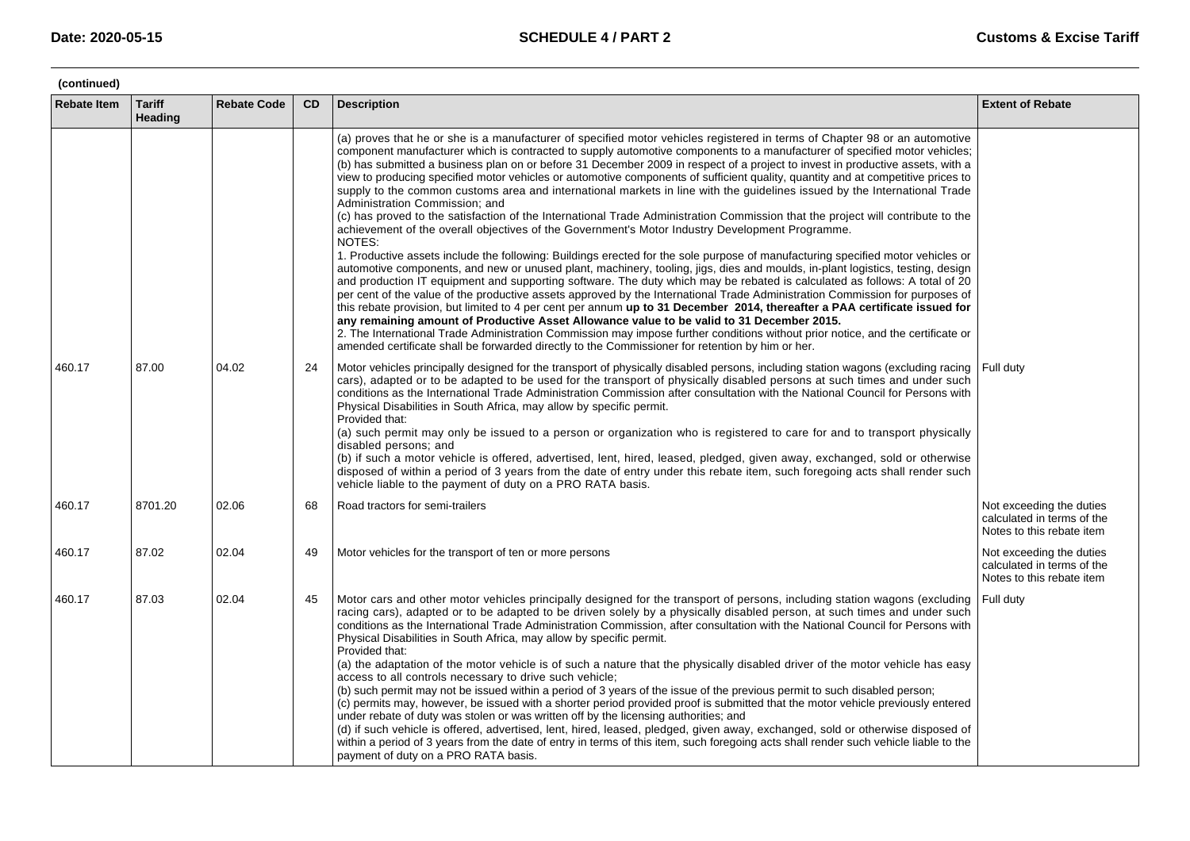| <b>Rebate Item</b> | <b>Tariff</b><br>Heading | <b>Rebate Code</b> | CD | <b>Description</b>                                                                                                                                                                                                                                                                                                                                                                                                                                                                                                                                                                                                                                                                                                                                                                                                                                                                                                                                                                                                                                                                                                                                                                                                                                                                                                                                                                                                                                                                                                                                                                                                                                                                                                                                                                                                                                                                                                                                | <b>Extent of Rebate</b>                                                             |
|--------------------|--------------------------|--------------------|----|---------------------------------------------------------------------------------------------------------------------------------------------------------------------------------------------------------------------------------------------------------------------------------------------------------------------------------------------------------------------------------------------------------------------------------------------------------------------------------------------------------------------------------------------------------------------------------------------------------------------------------------------------------------------------------------------------------------------------------------------------------------------------------------------------------------------------------------------------------------------------------------------------------------------------------------------------------------------------------------------------------------------------------------------------------------------------------------------------------------------------------------------------------------------------------------------------------------------------------------------------------------------------------------------------------------------------------------------------------------------------------------------------------------------------------------------------------------------------------------------------------------------------------------------------------------------------------------------------------------------------------------------------------------------------------------------------------------------------------------------------------------------------------------------------------------------------------------------------------------------------------------------------------------------------------------------------|-------------------------------------------------------------------------------------|
|                    |                          |                    |    | (a) proves that he or she is a manufacturer of specified motor vehicles registered in terms of Chapter 98 or an automotive<br>component manufacturer which is contracted to supply automotive components to a manufacturer of specified motor vehicles;<br>(b) has submitted a business plan on or before 31 December 2009 in respect of a project to invest in productive assets, with a<br>view to producing specified motor vehicles or automotive components of sufficient quality, quantity and at competitive prices to<br>supply to the common customs area and international markets in line with the quidelines issued by the International Trade<br>Administration Commission; and<br>(c) has proved to the satisfaction of the International Trade Administration Commission that the project will contribute to the<br>achievement of the overall objectives of the Government's Motor Industry Development Programme.<br>NOTES:<br>1. Productive assets include the following: Buildings erected for the sole purpose of manufacturing specified motor vehicles or<br>automotive components, and new or unused plant, machinery, tooling, jigs, dies and moulds, in-plant logistics, testing, design<br>and production IT equipment and supporting software. The duty which may be rebated is calculated as follows: A total of 20<br>per cent of the value of the productive assets approved by the International Trade Administration Commission for purposes of<br>this rebate provision, but limited to 4 per cent per annum up to 31 December 2014, thereafter a PAA certificate issued for<br>any remaining amount of Productive Asset Allowance value to be valid to 31 December 2015.<br>2. The International Trade Administration Commission may impose further conditions without prior notice, and the certificate or<br>amended certificate shall be forwarded directly to the Commissioner for retention by him or her. |                                                                                     |
| 460.17             | 87.00                    | 04.02              | 24 | Motor vehicles principally designed for the transport of physically disabled persons, including station wagons (excluding racing<br>cars), adapted or to be adapted to be used for the transport of physically disabled persons at such times and under such<br>conditions as the International Trade Administration Commission after consultation with the National Council for Persons with<br>Physical Disabilities in South Africa, may allow by specific permit.<br>Provided that:<br>(a) such permit may only be issued to a person or organization who is registered to care for and to transport physically<br>disabled persons; and<br>(b) if such a motor vehicle is offered, advertised, lent, hired, leased, pledged, given away, exchanged, sold or otherwise<br>disposed of within a period of 3 years from the date of entry under this rebate item, such foregoing acts shall render such<br>vehicle liable to the payment of duty on a PRO RATA basis.                                                                                                                                                                                                                                                                                                                                                                                                                                                                                                                                                                                                                                                                                                                                                                                                                                                                                                                                                                           | Full duty                                                                           |
| 460.17             | 8701.20                  | 02.06              | 68 | Road tractors for semi-trailers                                                                                                                                                                                                                                                                                                                                                                                                                                                                                                                                                                                                                                                                                                                                                                                                                                                                                                                                                                                                                                                                                                                                                                                                                                                                                                                                                                                                                                                                                                                                                                                                                                                                                                                                                                                                                                                                                                                   | Not exceeding the duties<br>calculated in terms of the<br>Notes to this rebate item |
| 460.17             | 87.02                    | 02.04              | 49 | Motor vehicles for the transport of ten or more persons                                                                                                                                                                                                                                                                                                                                                                                                                                                                                                                                                                                                                                                                                                                                                                                                                                                                                                                                                                                                                                                                                                                                                                                                                                                                                                                                                                                                                                                                                                                                                                                                                                                                                                                                                                                                                                                                                           | Not exceeding the duties<br>calculated in terms of the<br>Notes to this rebate item |
| 460.17             | 87.03                    | 02.04              | 45 | Motor cars and other motor vehicles principally designed for the transport of persons, including station wagons (excluding<br>racing cars), adapted or to be adapted to be driven solely by a physically disabled person, at such times and under such<br>conditions as the International Trade Administration Commission, after consultation with the National Council for Persons with<br>Physical Disabilities in South Africa, may allow by specific permit.<br>Provided that:<br>(a) the adaptation of the motor vehicle is of such a nature that the physically disabled driver of the motor vehicle has easy<br>access to all controls necessary to drive such vehicle;<br>(b) such permit may not be issued within a period of 3 years of the issue of the previous permit to such disabled person;<br>(c) permits may, however, be issued with a shorter period provided proof is submitted that the motor vehicle previously entered<br>under rebate of duty was stolen or was written off by the licensing authorities; and<br>(d) if such vehicle is offered, advertised, lent, hired, leased, pledged, given away, exchanged, sold or otherwise disposed of<br>within a period of 3 years from the date of entry in terms of this item, such foregoing acts shall render such vehicle liable to the<br>payment of duty on a PRO RATA basis.                                                                                                                                                                                                                                                                                                                                                                                                                                                                                                                                                                                          | Full duty                                                                           |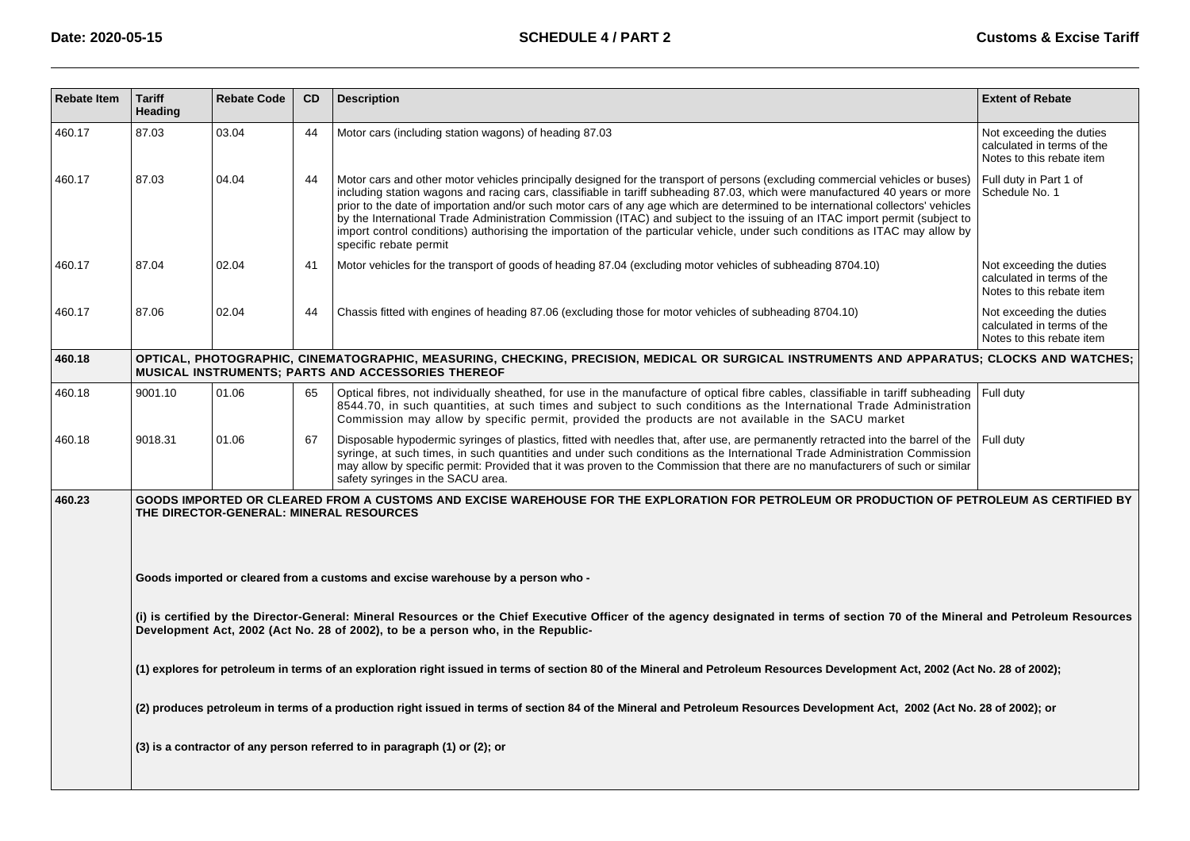| <b>Rebate Item</b> | <b>Tariff</b><br>Heading | <b>Rebate Code</b> | CD | <b>Description</b>                                                                                                                                                                                                                                                                                                                                                                                                                                                                                                                                                                                                                                                                         | <b>Extent of Rebate</b>                                                             |
|--------------------|--------------------------|--------------------|----|--------------------------------------------------------------------------------------------------------------------------------------------------------------------------------------------------------------------------------------------------------------------------------------------------------------------------------------------------------------------------------------------------------------------------------------------------------------------------------------------------------------------------------------------------------------------------------------------------------------------------------------------------------------------------------------------|-------------------------------------------------------------------------------------|
| 460.17             | 87.03                    | 03.04              | 44 | Motor cars (including station wagons) of heading 87.03                                                                                                                                                                                                                                                                                                                                                                                                                                                                                                                                                                                                                                     | Not exceeding the duties<br>calculated in terms of the<br>Notes to this rebate item |
| 460.17             | 87.03                    | 04.04              | 44 | Motor cars and other motor vehicles principally designed for the transport of persons (excluding commercial vehicles or buses)<br>including station wagons and racing cars, classifiable in tariff subheading 87.03, which were manufactured 40 years or more<br>prior to the date of importation and/or such motor cars of any age which are determined to be international collectors' vehicles<br>by the International Trade Administration Commission (ITAC) and subject to the issuing of an ITAC import permit (subject to<br>import control conditions) authorising the importation of the particular vehicle, under such conditions as ITAC may allow by<br>specific rebate permit | Full duty in Part 1 of<br>Schedule No. 1                                            |
| 460.17             | 87.04                    | 02.04              | 41 | Motor vehicles for the transport of goods of heading 87.04 (excluding motor vehicles of subheading 8704.10)                                                                                                                                                                                                                                                                                                                                                                                                                                                                                                                                                                                | Not exceeding the duties<br>calculated in terms of the<br>Notes to this rebate item |
| 460.17             | 87.06                    | 02.04              | 44 | Chassis fitted with engines of heading 87.06 (excluding those for motor vehicles of subheading 8704.10)                                                                                                                                                                                                                                                                                                                                                                                                                                                                                                                                                                                    | Not exceeding the duties<br>calculated in terms of the<br>Notes to this rebate item |
| 460.18             |                          |                    |    | OPTICAL, PHOTOGRAPHIC, CINEMATOGRAPHIC, MEASURING, CHECKING, PRECISION, MEDICAL OR SURGICAL INSTRUMENTS AND APPARATUS; CLOCKS AND WATCHES;<br>MUSICAL INSTRUMENTS; PARTS AND ACCESSORIES THEREOF                                                                                                                                                                                                                                                                                                                                                                                                                                                                                           |                                                                                     |
| 460.18             | 9001.10                  | 01.06              | 65 | Optical fibres, not individually sheathed, for use in the manufacture of optical fibre cables, classifiable in tariff subheading<br>8544.70, in such quantities, at such times and subject to such conditions as the International Trade Administration<br>Commission may allow by specific permit, provided the products are not available in the SACU market                                                                                                                                                                                                                                                                                                                             | Full duty                                                                           |
| 460.18             | 9018.31                  | 01.06              | 67 | Disposable hypodermic syringes of plastics, fitted with needles that, after use, are permanently retracted into the barrel of the<br>syringe, at such times, in such quantities and under such conditions as the International Trade Administration Commission<br>may allow by specific permit: Provided that it was proven to the Commission that there are no manufacturers of such or similar<br>safety syringes in the SACU area.                                                                                                                                                                                                                                                      | Full duty                                                                           |
| 460.23             |                          |                    |    | GOODS IMPORTED OR CLEARED FROM A CUSTOMS AND EXCISE WAREHOUSE FOR THE EXPLORATION FOR PETROLEUM OR PRODUCTION OF PETROLEUM AS CERTIFIED BY<br>THE DIRECTOR-GENERAL: MINERAL RESOURCES                                                                                                                                                                                                                                                                                                                                                                                                                                                                                                      |                                                                                     |
|                    |                          |                    |    | Goods imported or cleared from a customs and excise warehouse by a person who -                                                                                                                                                                                                                                                                                                                                                                                                                                                                                                                                                                                                            |                                                                                     |
|                    |                          |                    |    | (i) is certified by the Director-General: Mineral Resources or the Chief Executive Officer of the agency designated in terms of section 70 of the Mineral and Petroleum Resources<br>Development Act, 2002 (Act No. 28 of 2002), to be a person who, in the Republic-                                                                                                                                                                                                                                                                                                                                                                                                                      |                                                                                     |
|                    |                          |                    |    | (1) explores for petroleum in terms of an exploration right issued in terms of section 80 of the Mineral and Petroleum Resources Development Act, 2002 (Act No. 28 of 2002);                                                                                                                                                                                                                                                                                                                                                                                                                                                                                                               |                                                                                     |
|                    |                          |                    |    | (2) produces petroleum in terms of a production right issued in terms of section 84 of the Mineral and Petroleum Resources Development Act, 2002 (Act No. 28 of 2002); or                                                                                                                                                                                                                                                                                                                                                                                                                                                                                                                  |                                                                                     |
|                    |                          |                    |    | (3) is a contractor of any person referred to in paragraph (1) or (2); or                                                                                                                                                                                                                                                                                                                                                                                                                                                                                                                                                                                                                  |                                                                                     |
|                    |                          |                    |    |                                                                                                                                                                                                                                                                                                                                                                                                                                                                                                                                                                                                                                                                                            |                                                                                     |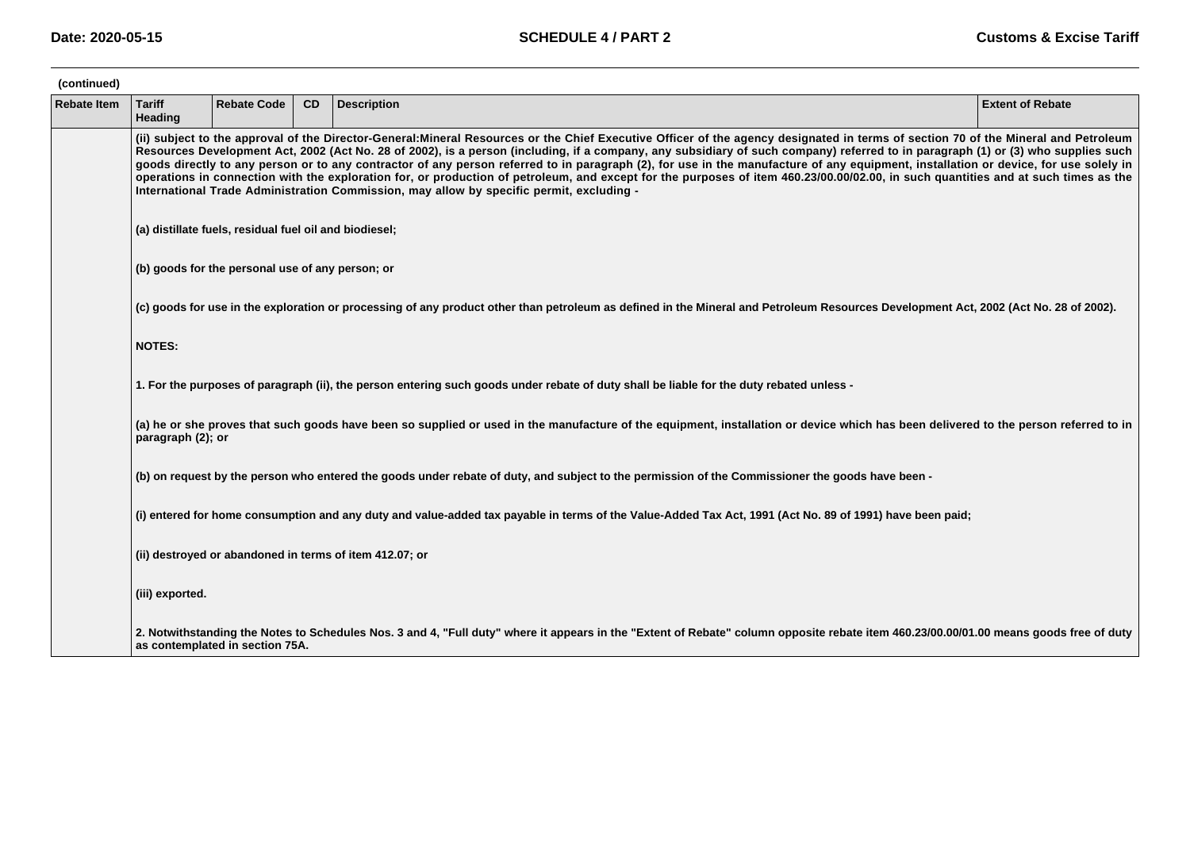| (continued)        |                                                        |                                                                                                                                                                                                                                                                                                                                                                                                                                                                                                                                                                                                                                                                                                                                                                                                                                                   |    |                                                                                                                                                                                        |                         |  |  |  |  |  |
|--------------------|--------------------------------------------------------|---------------------------------------------------------------------------------------------------------------------------------------------------------------------------------------------------------------------------------------------------------------------------------------------------------------------------------------------------------------------------------------------------------------------------------------------------------------------------------------------------------------------------------------------------------------------------------------------------------------------------------------------------------------------------------------------------------------------------------------------------------------------------------------------------------------------------------------------------|----|----------------------------------------------------------------------------------------------------------------------------------------------------------------------------------------|-------------------------|--|--|--|--|--|
| <b>Rebate Item</b> | <b>Tariff</b><br>Heading                               | <b>Rebate Code</b>                                                                                                                                                                                                                                                                                                                                                                                                                                                                                                                                                                                                                                                                                                                                                                                                                                | CD | <b>Description</b>                                                                                                                                                                     | <b>Extent of Rebate</b> |  |  |  |  |  |
|                    |                                                        | (ii) subject to the approval of the Director-General:Mineral Resources or the Chief Executive Officer of the agency designated in terms of section 70 of the Mineral and Petroleum<br>Resources Development Act, 2002 (Act No. 28 of 2002), is a person (including, if a company, any subsidiary of such company) referred to in paragraph (1) or (3) who supplies such<br>goods directly to any person or to any contractor of any person referred to in paragraph (2), for use in the manufacture of any equipment, installation or device, for use solely in<br>operations in connection with the exploration for, or production of petroleum, and except for the purposes of item 460.23/00.00/02.00, in such quantities and at such times as the<br>International Trade Administration Commission, may allow by specific permit, excluding - |    |                                                                                                                                                                                        |                         |  |  |  |  |  |
|                    | (a) distillate fuels, residual fuel oil and biodiesel; |                                                                                                                                                                                                                                                                                                                                                                                                                                                                                                                                                                                                                                                                                                                                                                                                                                                   |    |                                                                                                                                                                                        |                         |  |  |  |  |  |
|                    | (b) goods for the personal use of any person; or       |                                                                                                                                                                                                                                                                                                                                                                                                                                                                                                                                                                                                                                                                                                                                                                                                                                                   |    |                                                                                                                                                                                        |                         |  |  |  |  |  |
|                    |                                                        |                                                                                                                                                                                                                                                                                                                                                                                                                                                                                                                                                                                                                                                                                                                                                                                                                                                   |    | (c) goods for use in the exploration or processing of any product other than petroleum as defined in the Mineral and Petroleum Resources Development Act, 2002 (Act No. 28 of 2002).   |                         |  |  |  |  |  |
|                    | <b>NOTES:</b>                                          |                                                                                                                                                                                                                                                                                                                                                                                                                                                                                                                                                                                                                                                                                                                                                                                                                                                   |    |                                                                                                                                                                                        |                         |  |  |  |  |  |
|                    |                                                        |                                                                                                                                                                                                                                                                                                                                                                                                                                                                                                                                                                                                                                                                                                                                                                                                                                                   |    | 1. For the purposes of paragraph (ii), the person entering such goods under rebate of duty shall be liable for the duty rebated unless -                                               |                         |  |  |  |  |  |
|                    | paragraph (2); or                                      |                                                                                                                                                                                                                                                                                                                                                                                                                                                                                                                                                                                                                                                                                                                                                                                                                                                   |    | (a) he or she proves that such goods have been so supplied or used in the manufacture of the equipment, installation or device which has been delivered to the person referred to in   |                         |  |  |  |  |  |
|                    |                                                        |                                                                                                                                                                                                                                                                                                                                                                                                                                                                                                                                                                                                                                                                                                                                                                                                                                                   |    | (b) on request by the person who entered the goods under rebate of duty, and subject to the permission of the Commissioner the goods have been -                                       |                         |  |  |  |  |  |
|                    |                                                        |                                                                                                                                                                                                                                                                                                                                                                                                                                                                                                                                                                                                                                                                                                                                                                                                                                                   |    | (i) entered for home consumption and any duty and value-added tax payable in terms of the Value-Added Tax Act, 1991 (Act No. 89 of 1991) have been paid;                               |                         |  |  |  |  |  |
|                    |                                                        |                                                                                                                                                                                                                                                                                                                                                                                                                                                                                                                                                                                                                                                                                                                                                                                                                                                   |    | (ii) destroyed or abandoned in terms of item 412.07; or                                                                                                                                |                         |  |  |  |  |  |
|                    | (iii) exported.                                        |                                                                                                                                                                                                                                                                                                                                                                                                                                                                                                                                                                                                                                                                                                                                                                                                                                                   |    |                                                                                                                                                                                        |                         |  |  |  |  |  |
|                    |                                                        | as contemplated in section 75A.                                                                                                                                                                                                                                                                                                                                                                                                                                                                                                                                                                                                                                                                                                                                                                                                                   |    | 2. Notwithstanding the Notes to Schedules Nos. 3 and 4, "Full duty" where it appears in the "Extent of Rebate" column opposite rebate item 460.23/00.00/01.00 means goods free of duty |                         |  |  |  |  |  |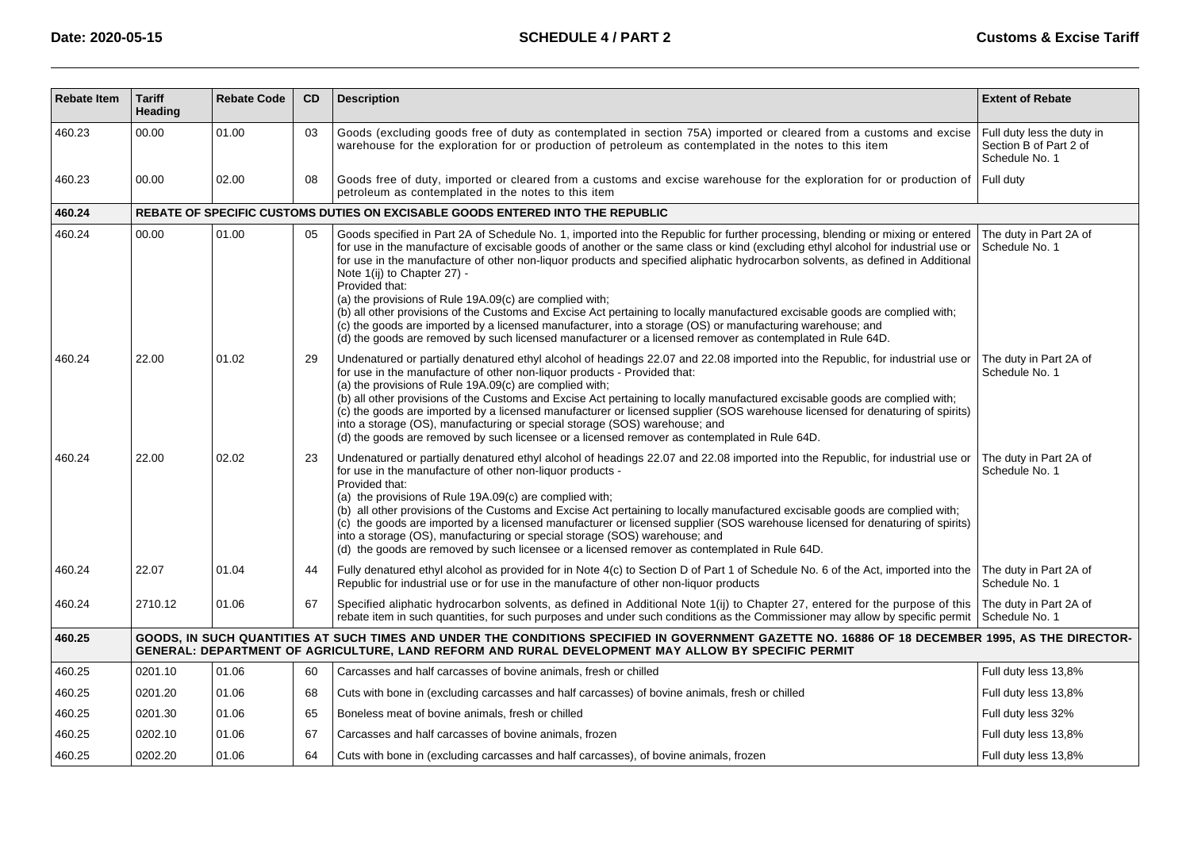| <b>Rebate Item</b> | <b>Tariff</b><br><b>Heading</b> | <b>Rebate Code</b> | CD | <b>Description</b>                                                                                                                                                                                                                                                                                                                                                                                                                                                                                                                                                                                                                                                                                                                                                                                                                                                            | <b>Extent of Rebate</b>                                                |
|--------------------|---------------------------------|--------------------|----|-------------------------------------------------------------------------------------------------------------------------------------------------------------------------------------------------------------------------------------------------------------------------------------------------------------------------------------------------------------------------------------------------------------------------------------------------------------------------------------------------------------------------------------------------------------------------------------------------------------------------------------------------------------------------------------------------------------------------------------------------------------------------------------------------------------------------------------------------------------------------------|------------------------------------------------------------------------|
| 460.23             | 00.00                           | 01.00              | 03 | Goods (excluding goods free of duty as contemplated in section 75A) imported or cleared from a customs and excise<br>warehouse for the exploration for or production of petroleum as contemplated in the notes to this item                                                                                                                                                                                                                                                                                                                                                                                                                                                                                                                                                                                                                                                   | Full duty less the duty in<br>Section B of Part 2 of<br>Schedule No. 1 |
| 460.23             | 00.00                           | 02.00              | 08 | Goods free of duty, imported or cleared from a customs and excise warehouse for the exploration for or production of<br>petroleum as contemplated in the notes to this item                                                                                                                                                                                                                                                                                                                                                                                                                                                                                                                                                                                                                                                                                                   | Full duty                                                              |
| 460.24             |                                 |                    |    | REBATE OF SPECIFIC CUSTOMS DUTIES ON EXCISABLE GOODS ENTERED INTO THE REPUBLIC                                                                                                                                                                                                                                                                                                                                                                                                                                                                                                                                                                                                                                                                                                                                                                                                |                                                                        |
| 460.24             | 00.00                           | 01.00              | 05 | Goods specified in Part 2A of Schedule No. 1, imported into the Republic for further processing, blending or mixing or entered<br>for use in the manufacture of excisable goods of another or the same class or kind (excluding ethyl alcohol for industrial use or<br>for use in the manufacture of other non-liquor products and specified aliphatic hydrocarbon solvents, as defined in Additional<br>Note 1(ij) to Chapter 27) -<br>Provided that:<br>(a) the provisions of Rule 19A.09(c) are complied with;<br>(b) all other provisions of the Customs and Excise Act pertaining to locally manufactured excisable goods are complied with;<br>(c) the goods are imported by a licensed manufacturer, into a storage (OS) or manufacturing warehouse; and<br>(d) the goods are removed by such licensed manufacturer or a licensed remover as contemplated in Rule 64D. | The duty in Part 2A of<br>Schedule No. 1                               |
| 460.24             | 22.00                           | 01.02              | 29 | Undenatured or partially denatured ethyl alcohol of headings 22.07 and 22.08 imported into the Republic, for industrial use or<br>for use in the manufacture of other non-liquor products - Provided that:<br>(a) the provisions of Rule 19A.09(c) are complied with;<br>(b) all other provisions of the Customs and Excise Act pertaining to locally manufactured excisable goods are complied with;<br>(c) the goods are imported by a licensed manufacturer or licensed supplier (SOS warehouse licensed for denaturing of spirits)<br>into a storage (OS), manufacturing or special storage (SOS) warehouse; and<br>(d) the goods are removed by such licensee or a licensed remover as contemplated in Rule 64D.                                                                                                                                                         | The duty in Part 2A of<br>Schedule No. 1                               |
| 460.24             | 22.00                           | 02.02              | 23 | Undenatured or partially denatured ethyl alcohol of headings 22.07 and 22.08 imported into the Republic, for industrial use or<br>for use in the manufacture of other non-liquor products -<br>Provided that:<br>(a) the provisions of Rule 19A.09(c) are complied with;<br>(b) all other provisions of the Customs and Excise Act pertaining to locally manufactured excisable goods are complied with;<br>(c) the goods are imported by a licensed manufacturer or licensed supplier (SOS warehouse licensed for denaturing of spirits)<br>into a storage (OS), manufacturing or special storage (SOS) warehouse; and<br>(d) the goods are removed by such licensee or a licensed remover as contemplated in Rule 64D.                                                                                                                                                      | The duty in Part 2A of<br>Schedule No. 1                               |
| 460.24             | 22.07                           | 01.04              | 44 | Fully denatured ethyl alcohol as provided for in Note 4(c) to Section D of Part 1 of Schedule No. 6 of the Act, imported into the<br>Republic for industrial use or for use in the manufacture of other non-liquor products                                                                                                                                                                                                                                                                                                                                                                                                                                                                                                                                                                                                                                                   | The duty in Part 2A of<br>Schedule No. 1                               |
| 460.24             | 2710.12                         | 01.06              | 67 | Specified aliphatic hydrocarbon solvents, as defined in Additional Note 1(ij) to Chapter 27, entered for the purpose of this<br>rebate item in such quantities, for such purposes and under such conditions as the Commissioner may allow by specific permit                                                                                                                                                                                                                                                                                                                                                                                                                                                                                                                                                                                                                  | The duty in Part 2A of<br>Schedule No. 1                               |
| 460.25             |                                 |                    |    | GOODS, IN SUCH QUANTITIES AT SUCH TIMES AND UNDER THE CONDITIONS SPECIFIED IN GOVERNMENT GAZETTE NO. 16886 OF 18 DECEMBER 1995, AS THE DIRECTOR-<br>GENERAL: DEPARTMENT OF AGRICULTURE, LAND REFORM AND RURAL DEVELOPMENT MAY ALLOW BY SPECIFIC PERMIT                                                                                                                                                                                                                                                                                                                                                                                                                                                                                                                                                                                                                        |                                                                        |
| 460.25             | 0201.10                         | 01.06              | 60 | Carcasses and half carcasses of bovine animals, fresh or chilled                                                                                                                                                                                                                                                                                                                                                                                                                                                                                                                                                                                                                                                                                                                                                                                                              | Full duty less 13,8%                                                   |
| 460.25             | 0201.20                         | 01.06              | 68 | Cuts with bone in (excluding carcasses and half carcasses) of bovine animals, fresh or chilled                                                                                                                                                                                                                                                                                                                                                                                                                                                                                                                                                                                                                                                                                                                                                                                | Full duty less 13,8%                                                   |
| 460.25             | 0201.30                         | 01.06              | 65 | Boneless meat of bovine animals, fresh or chilled                                                                                                                                                                                                                                                                                                                                                                                                                                                                                                                                                                                                                                                                                                                                                                                                                             | Full duty less 32%                                                     |
| 460.25             | 0202.10                         | 01.06              | 67 | Carcasses and half carcasses of bovine animals, frozen                                                                                                                                                                                                                                                                                                                                                                                                                                                                                                                                                                                                                                                                                                                                                                                                                        | Full duty less 13,8%                                                   |
| 460.25             | 0202.20                         | 01.06              | 64 | Cuts with bone in (excluding carcasses and half carcasses), of bovine animals, frozen                                                                                                                                                                                                                                                                                                                                                                                                                                                                                                                                                                                                                                                                                                                                                                                         | Full duty less 13,8%                                                   |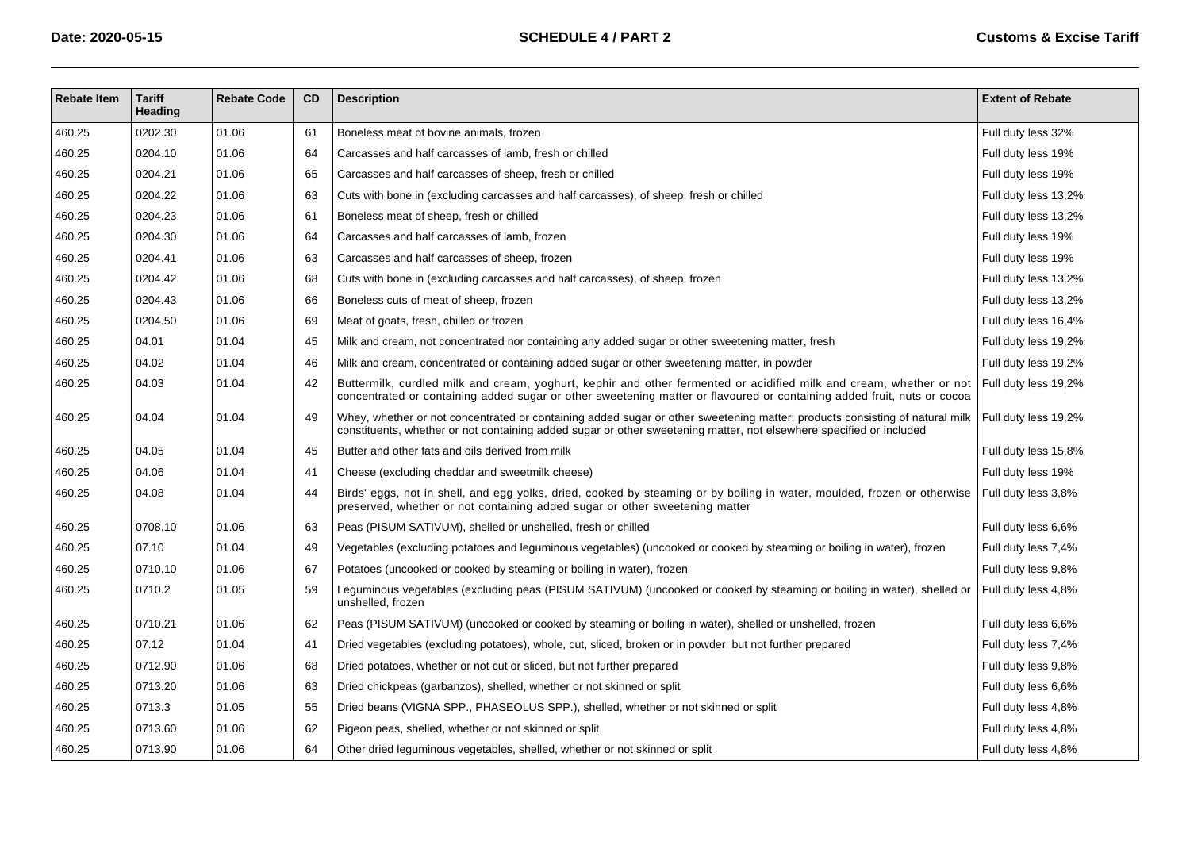| <b>Rebate Item</b> | <b>Tariff</b><br>Heading | <b>Rebate Code</b> | <b>CD</b> | <b>Description</b>                                                                                                                                                                                                                                                        | <b>Extent of Rebate</b> |
|--------------------|--------------------------|--------------------|-----------|---------------------------------------------------------------------------------------------------------------------------------------------------------------------------------------------------------------------------------------------------------------------------|-------------------------|
| 460.25             | 0202.30                  | 01.06              | 61        | Boneless meat of bovine animals, frozen                                                                                                                                                                                                                                   | Full duty less 32%      |
| 460.25             | 0204.10                  | 01.06              | 64        | Carcasses and half carcasses of lamb, fresh or chilled                                                                                                                                                                                                                    | Full duty less 19%      |
| 460.25             | 0204.21                  | 01.06              | 65        | Carcasses and half carcasses of sheep, fresh or chilled                                                                                                                                                                                                                   | Full duty less 19%      |
| 460.25             | 0204.22                  | 01.06              | 63        | Cuts with bone in (excluding carcasses and half carcasses), of sheep, fresh or chilled                                                                                                                                                                                    | Full duty less 13,2%    |
| 460.25             | 0204.23                  | 01.06              | 61        | Boneless meat of sheep, fresh or chilled                                                                                                                                                                                                                                  | Full duty less 13,2%    |
| 460.25             | 0204.30                  | 01.06              | 64        | Carcasses and half carcasses of lamb, frozen                                                                                                                                                                                                                              | Full duty less 19%      |
| 460.25             | 0204.41                  | 01.06              | 63        | Carcasses and half carcasses of sheep, frozen                                                                                                                                                                                                                             | Full duty less 19%      |
| 460.25             | 0204.42                  | 01.06              | 68        | Cuts with bone in (excluding carcasses and half carcasses), of sheep, frozen                                                                                                                                                                                              | Full duty less 13,2%    |
| 460.25             | 0204.43                  | 01.06              | 66        | Boneless cuts of meat of sheep, frozen                                                                                                                                                                                                                                    | Full duty less 13,2%    |
| 460.25             | 0204.50                  | 01.06              | 69        | Meat of goats, fresh, chilled or frozen                                                                                                                                                                                                                                   | Full duty less 16,4%    |
| 460.25             | 04.01                    | 01.04              | 45        | Milk and cream, not concentrated nor containing any added sugar or other sweetening matter, fresh                                                                                                                                                                         | Full duty less 19,2%    |
| 460.25             | 04.02                    | 01.04              | 46        | Milk and cream, concentrated or containing added sugar or other sweetening matter, in powder                                                                                                                                                                              | Full duty less 19,2%    |
| 460.25             | 04.03                    | 01.04              | 42        | Buttermilk, curdled milk and cream, yoghurt, kephir and other fermented or acidified milk and cream, whether or not Full duty less 19,2%<br>concentrated or containing added sugar or other sweetening matter or flavoured or containing added fruit, nuts or cocoa       |                         |
| 460.25             | 04.04                    | 01.04              | 49        | Whey, whether or not concentrated or containing added sugar or other sweetening matter; products consisting of natural milk   Full duty less 19,2%<br>constituents, whether or not containing added sugar or other sweetening matter, not elsewhere specified or included |                         |
| 460.25             | 04.05                    | 01.04              | 45        | Butter and other fats and oils derived from milk                                                                                                                                                                                                                          | Full duty less 15,8%    |
| 460.25             | 04.06                    | 01.04              | 41        | Cheese (excluding cheddar and sweetmilk cheese)                                                                                                                                                                                                                           | Full duty less 19%      |
| 460.25             | 04.08                    | 01.04              | 44        | Birds' eggs, not in shell, and egg yolks, dried, cooked by steaming or by boiling in water, moulded, frozen or otherwise<br>preserved, whether or not containing added sugar or other sweetening matter                                                                   | Full duty less 3,8%     |
| 460.25             | 0708.10                  | 01.06              | 63        | Peas (PISUM SATIVUM), shelled or unshelled, fresh or chilled                                                                                                                                                                                                              | Full duty less 6,6%     |
| 460.25             | 07.10                    | 01.04              | 49        | Vegetables (excluding potatoes and leguminous vegetables) (uncooked or cooked by steaming or boiling in water), frozen                                                                                                                                                    | Full duty less 7,4%     |
| 460.25             | 0710.10                  | 01.06              | 67        | Potatoes (uncooked or cooked by steaming or boiling in water), frozen                                                                                                                                                                                                     | Full duty less 9,8%     |
| 460.25             | 0710.2                   | 01.05              | 59        | Leguminous vegetables (excluding peas (PISUM SATIVUM) (uncooked or cooked by steaming or boiling in water), shelled or<br>unshelled, frozen                                                                                                                               | Full duty less 4,8%     |
| 460.25             | 0710.21                  | 01.06              | 62        | Peas (PISUM SATIVUM) (uncooked or cooked by steaming or boiling in water), shelled or unshelled, frozen                                                                                                                                                                   | Full duty less 6,6%     |
| 460.25             | 07.12                    | 01.04              | 41        | Dried vegetables (excluding potatoes), whole, cut, sliced, broken or in powder, but not further prepared                                                                                                                                                                  | Full duty less 7,4%     |
| 460.25             | 0712.90                  | 01.06              | 68        | Dried potatoes, whether or not cut or sliced, but not further prepared                                                                                                                                                                                                    | Full duty less 9,8%     |
| 460.25             | 0713.20                  | 01.06              | 63        | Dried chickpeas (garbanzos), shelled, whether or not skinned or split                                                                                                                                                                                                     | Full duty less 6,6%     |
| 460.25             | 0713.3                   | 01.05              | 55        | Dried beans (VIGNA SPP., PHASEOLUS SPP.), shelled, whether or not skinned or split                                                                                                                                                                                        | Full duty less 4,8%     |
| 460.25             | 0713.60                  | 01.06              | 62        | Pigeon peas, shelled, whether or not skinned or split                                                                                                                                                                                                                     | Full duty less 4,8%     |
| 460.25             | 0713.90                  | 01.06              | 64        | Other dried leguminous vegetables, shelled, whether or not skinned or split                                                                                                                                                                                               | Full duty less 4,8%     |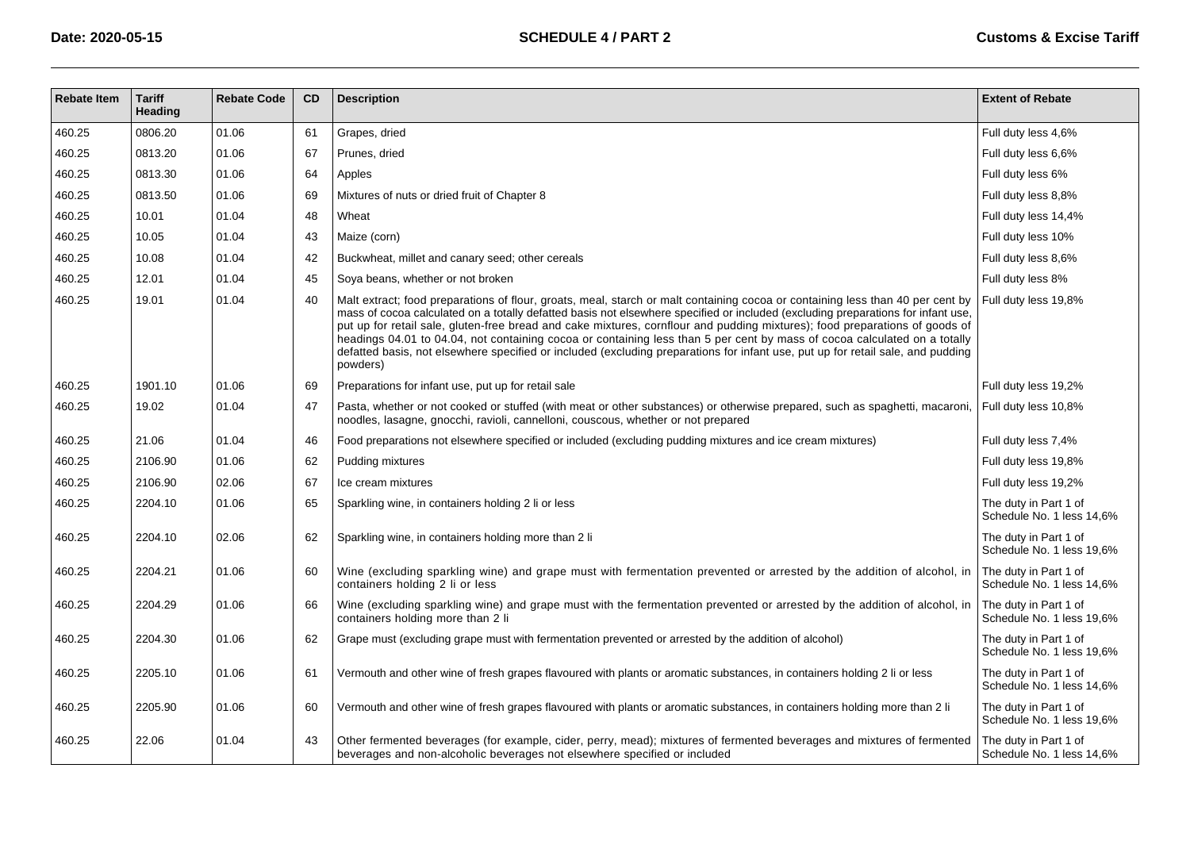| <b>Rebate Item</b> | <b>Tariff</b><br>Heading | <b>Rebate Code</b> | <b>CD</b> | <b>Description</b>                                                                                                                                                                                                                                                                                                                                                                                                                                                                                                                                                                                                                                                            | <b>Extent of Rebate</b>                            |
|--------------------|--------------------------|--------------------|-----------|-------------------------------------------------------------------------------------------------------------------------------------------------------------------------------------------------------------------------------------------------------------------------------------------------------------------------------------------------------------------------------------------------------------------------------------------------------------------------------------------------------------------------------------------------------------------------------------------------------------------------------------------------------------------------------|----------------------------------------------------|
| 460.25             | 0806.20                  | 01.06              | 61        | Grapes, dried                                                                                                                                                                                                                                                                                                                                                                                                                                                                                                                                                                                                                                                                 | Full duty less 4,6%                                |
| 460.25             | 0813.20                  | 01.06              | 67        | Prunes, dried                                                                                                                                                                                                                                                                                                                                                                                                                                                                                                                                                                                                                                                                 | Full duty less 6,6%                                |
| 460.25             | 0813.30                  | 01.06              | 64        | Apples                                                                                                                                                                                                                                                                                                                                                                                                                                                                                                                                                                                                                                                                        | Full duty less 6%                                  |
| 460.25             | 0813.50                  | 01.06              | 69        | Mixtures of nuts or dried fruit of Chapter 8                                                                                                                                                                                                                                                                                                                                                                                                                                                                                                                                                                                                                                  | Full duty less 8,8%                                |
| 460.25             | 10.01                    | 01.04              | 48        | Wheat                                                                                                                                                                                                                                                                                                                                                                                                                                                                                                                                                                                                                                                                         | Full duty less 14,4%                               |
| 460.25             | 10.05                    | 01.04              | 43        | Maize (corn)                                                                                                                                                                                                                                                                                                                                                                                                                                                                                                                                                                                                                                                                  | Full duty less 10%                                 |
| 460.25             | 10.08                    | 01.04              | 42        | Buckwheat, millet and canary seed; other cereals                                                                                                                                                                                                                                                                                                                                                                                                                                                                                                                                                                                                                              | Full duty less 8,6%                                |
| 460.25             | 12.01                    | 01.04              | 45        | Soya beans, whether or not broken                                                                                                                                                                                                                                                                                                                                                                                                                                                                                                                                                                                                                                             | Full duty less 8%                                  |
| 460.25             | 19.01                    | 01.04              | 40        | Malt extract; food preparations of flour, groats, meal, starch or malt containing cocoa or containing less than 40 per cent by<br>mass of cocoa calculated on a totally defatted basis not elsewhere specified or included (excluding preparations for infant use,<br>put up for retail sale, gluten-free bread and cake mixtures, cornflour and pudding mixtures); food preparations of goods of<br>headings 04.01 to 04.04, not containing cocoa or containing less than 5 per cent by mass of cocoa calculated on a totally<br>defatted basis, not elsewhere specified or included (excluding preparations for infant use, put up for retail sale, and pudding<br>powders) | Full duty less 19,8%                               |
| 460.25             | 1901.10                  | 01.06              | 69        | Preparations for infant use, put up for retail sale                                                                                                                                                                                                                                                                                                                                                                                                                                                                                                                                                                                                                           | Full duty less 19,2%                               |
| 460.25             | 19.02                    | 01.04              | 47        | Pasta, whether or not cooked or stuffed (with meat or other substances) or otherwise prepared, such as spaghetti, macaroni,<br>noodles, lasagne, gnocchi, ravioli, cannelloni, couscous, whether or not prepared                                                                                                                                                                                                                                                                                                                                                                                                                                                              | Full duty less 10,8%                               |
| 460.25             | 21.06                    | 01.04              | 46        | Food preparations not elsewhere specified or included (excluding pudding mixtures and ice cream mixtures)                                                                                                                                                                                                                                                                                                                                                                                                                                                                                                                                                                     | Full duty less 7,4%                                |
| 460.25             | 2106.90                  | 01.06              | 62        | Pudding mixtures                                                                                                                                                                                                                                                                                                                                                                                                                                                                                                                                                                                                                                                              | Full duty less 19,8%                               |
| 460.25             | 2106.90                  | 02.06              | 67        | Ice cream mixtures                                                                                                                                                                                                                                                                                                                                                                                                                                                                                                                                                                                                                                                            | Full duty less 19,2%                               |
| 460.25             | 2204.10                  | 01.06              | 65        | Sparkling wine, in containers holding 2 li or less                                                                                                                                                                                                                                                                                                                                                                                                                                                                                                                                                                                                                            | The duty in Part 1 of<br>Schedule No. 1 less 14,6% |
| 460.25             | 2204.10                  | 02.06              | 62        | Sparkling wine, in containers holding more than 2 li                                                                                                                                                                                                                                                                                                                                                                                                                                                                                                                                                                                                                          | The duty in Part 1 of<br>Schedule No. 1 less 19,6% |
| 460.25             | 2204.21                  | 01.06              | 60        | Wine (excluding sparkling wine) and grape must with fermentation prevented or arrested by the addition of alcohol, in<br>containers holding 2 li or less                                                                                                                                                                                                                                                                                                                                                                                                                                                                                                                      | The duty in Part 1 of<br>Schedule No. 1 less 14,6% |
| 460.25             | 2204.29                  | 01.06              | 66        | Wine (excluding sparkling wine) and grape must with the fermentation prevented or arrested by the addition of alcohol, in<br>containers holding more than 2 li                                                                                                                                                                                                                                                                                                                                                                                                                                                                                                                | The duty in Part 1 of<br>Schedule No. 1 less 19,6% |
| 460.25             | 2204.30                  | 01.06              | 62        | Grape must (excluding grape must with fermentation prevented or arrested by the addition of alcohol)                                                                                                                                                                                                                                                                                                                                                                                                                                                                                                                                                                          | The duty in Part 1 of<br>Schedule No. 1 less 19,6% |
| 460.25             | 2205.10                  | 01.06              | 61        | Vermouth and other wine of fresh grapes flavoured with plants or aromatic substances, in containers holding 2 li or less                                                                                                                                                                                                                                                                                                                                                                                                                                                                                                                                                      | The duty in Part 1 of<br>Schedule No. 1 less 14,6% |
| 460.25             | 2205.90                  | 01.06              | 60        | Vermouth and other wine of fresh grapes flavoured with plants or aromatic substances, in containers holding more than 2 li                                                                                                                                                                                                                                                                                                                                                                                                                                                                                                                                                    | The duty in Part 1 of<br>Schedule No. 1 less 19,6% |
| 460.25             | 22.06                    | 01.04              | 43        | Other fermented beverages (for example, cider, perry, mead); mixtures of fermented beverages and mixtures of fermented<br>beverages and non-alcoholic beverages not elsewhere specified or included                                                                                                                                                                                                                                                                                                                                                                                                                                                                           | The duty in Part 1 of<br>Schedule No. 1 less 14.6% |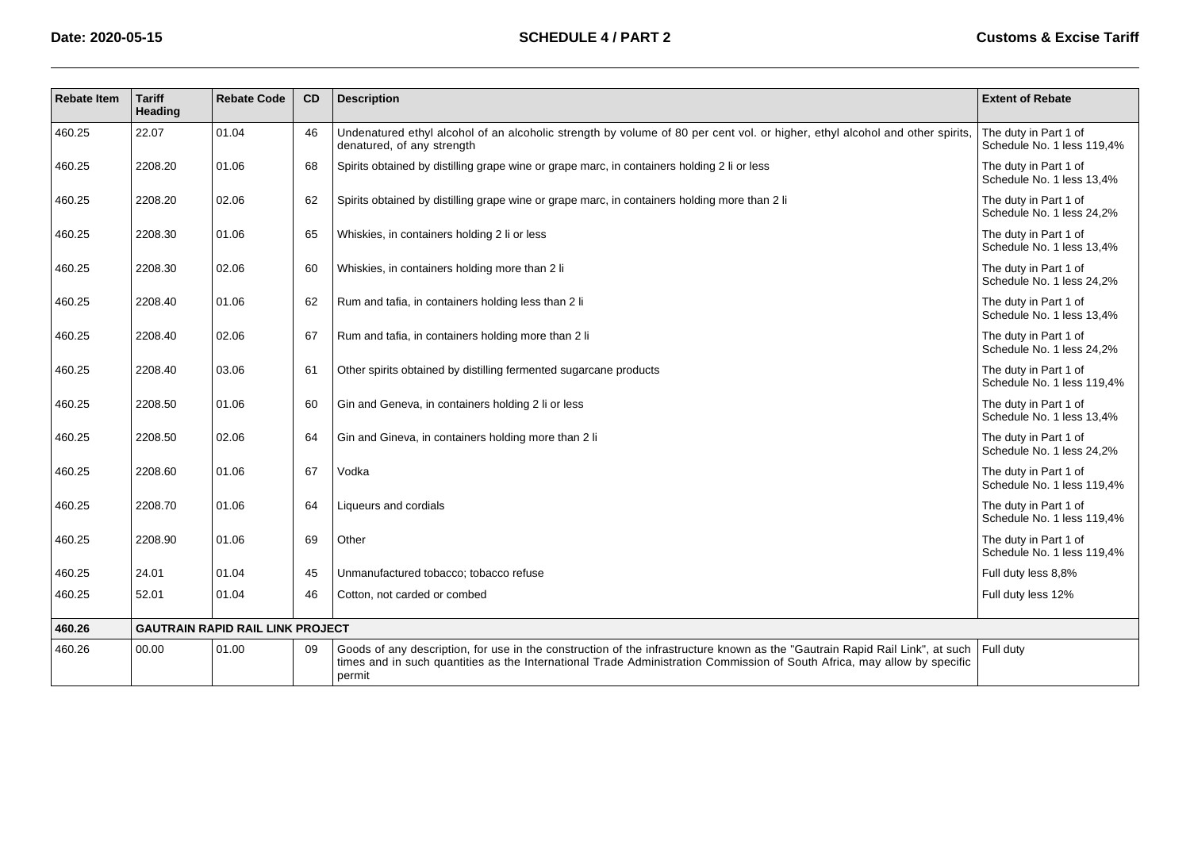| <b>Rebate Item</b> | <b>Tariff</b><br>Heading | <b>Rebate Code</b>                      | CD | <b>Description</b>                                                                                                                                                                                                                                                 | <b>Extent of Rebate</b>                             |
|--------------------|--------------------------|-----------------------------------------|----|--------------------------------------------------------------------------------------------------------------------------------------------------------------------------------------------------------------------------------------------------------------------|-----------------------------------------------------|
| 460.25             | 22.07                    | 01.04                                   | 46 | Undenatured ethyl alcohol of an alcoholic strength by volume of 80 per cent vol. or higher, ethyl alcohol and other spirits,<br>denatured, of any strength                                                                                                         | The duty in Part 1 of<br>Schedule No. 1 less 119.4% |
| 460.25             | 2208.20                  | 01.06                                   | 68 | Spirits obtained by distilling grape wine or grape marc, in containers holding 2 li or less                                                                                                                                                                        | The duty in Part 1 of<br>Schedule No. 1 less 13.4%  |
| 460.25             | 2208.20                  | 02.06                                   | 62 | Spirits obtained by distilling grape wine or grape marc, in containers holding more than 2 li                                                                                                                                                                      | The duty in Part 1 of<br>Schedule No. 1 less 24.2%  |
| 460.25             | 2208.30                  | 01.06                                   | 65 | Whiskies, in containers holding 2 li or less                                                                                                                                                                                                                       | The duty in Part 1 of<br>Schedule No. 1 less 13.4%  |
| 460.25             | 2208.30                  | 02.06                                   | 60 | Whiskies, in containers holding more than 2 li                                                                                                                                                                                                                     | The duty in Part 1 of<br>Schedule No. 1 less 24.2%  |
| 460.25             | 2208.40                  | 01.06                                   | 62 | Rum and tafia, in containers holding less than 2 li                                                                                                                                                                                                                | The duty in Part 1 of<br>Schedule No. 1 less 13,4%  |
| 460.25             | 2208.40                  | 02.06                                   | 67 | Rum and tafia, in containers holding more than 2 li                                                                                                                                                                                                                | The duty in Part 1 of<br>Schedule No. 1 less 24.2%  |
| 460.25             | 2208.40                  | 03.06                                   | 61 | Other spirits obtained by distilling fermented sugarcane products                                                                                                                                                                                                  | The duty in Part 1 of<br>Schedule No. 1 less 119,4% |
| 460.25             | 2208.50                  | 01.06                                   | 60 | Gin and Geneva, in containers holding 2 li or less                                                                                                                                                                                                                 | The duty in Part 1 of<br>Schedule No. 1 less 13.4%  |
| 460.25             | 2208.50                  | 02.06                                   | 64 | Gin and Gineva, in containers holding more than 2 li                                                                                                                                                                                                               | The duty in Part 1 of<br>Schedule No. 1 less 24.2%  |
| 460.25             | 2208.60                  | 01.06                                   | 67 | Vodka                                                                                                                                                                                                                                                              | The duty in Part 1 of<br>Schedule No. 1 less 119,4% |
| 460.25             | 2208.70                  | 01.06                                   | 64 | Liqueurs and cordials                                                                                                                                                                                                                                              | The duty in Part 1 of<br>Schedule No. 1 less 119,4% |
| 460.25             | 2208.90                  | 01.06                                   | 69 | Other                                                                                                                                                                                                                                                              | The duty in Part 1 of<br>Schedule No. 1 less 119,4% |
| 460.25             | 24.01                    | 01.04                                   | 45 | Unmanufactured tobacco; tobacco refuse                                                                                                                                                                                                                             | Full duty less 8,8%                                 |
| 460.25             | 52.01                    | 01.04                                   | 46 | Cotton, not carded or combed                                                                                                                                                                                                                                       | Full duty less 12%                                  |
| 460.26             |                          | <b>GAUTRAIN RAPID RAIL LINK PROJECT</b> |    |                                                                                                                                                                                                                                                                    |                                                     |
| 460.26             | 00.00                    | 01.00                                   | 09 | Goods of any description, for use in the construction of the infrastructure known as the "Gautrain Rapid Rail Link", at such<br>times and in such quantities as the International Trade Administration Commission of South Africa, may allow by specific<br>permit | Full duty                                           |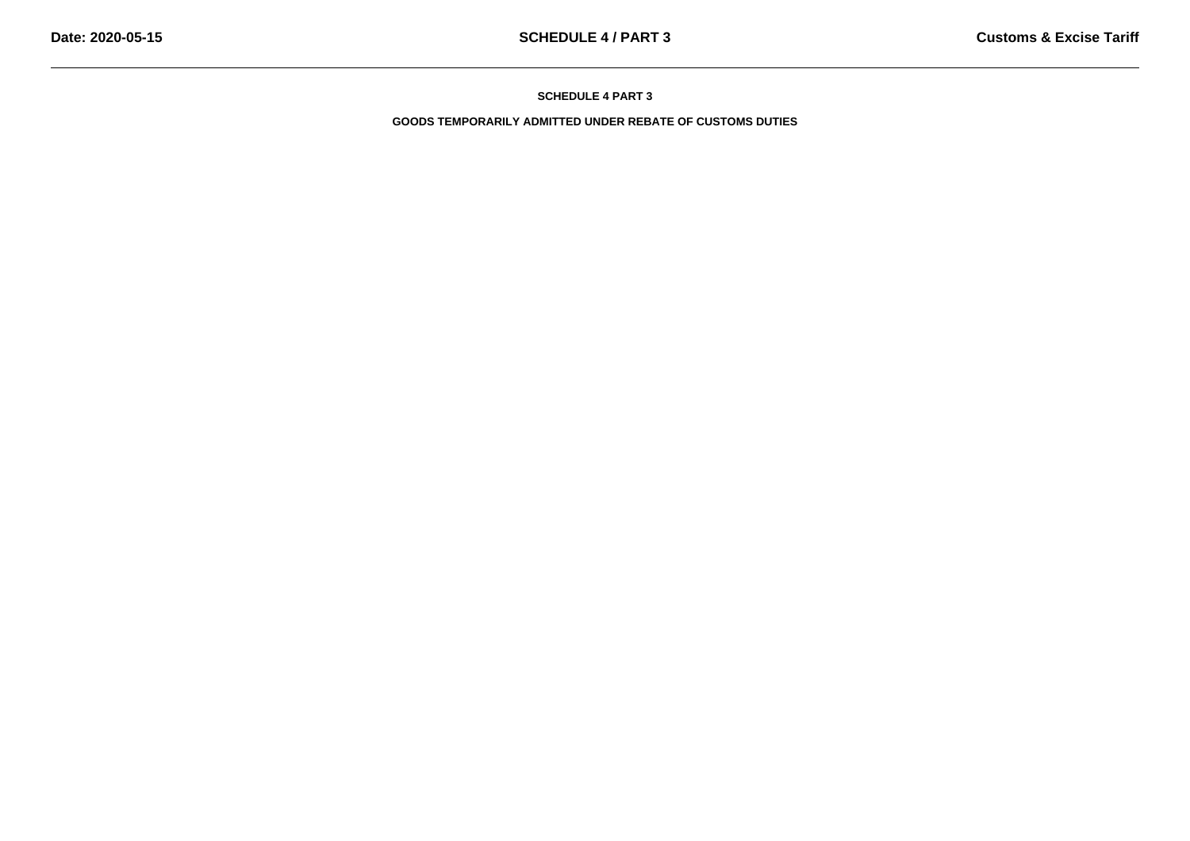**GOODS TEMPORARILY ADMITTED UNDER REBATE OF CUSTOMS DUTIES**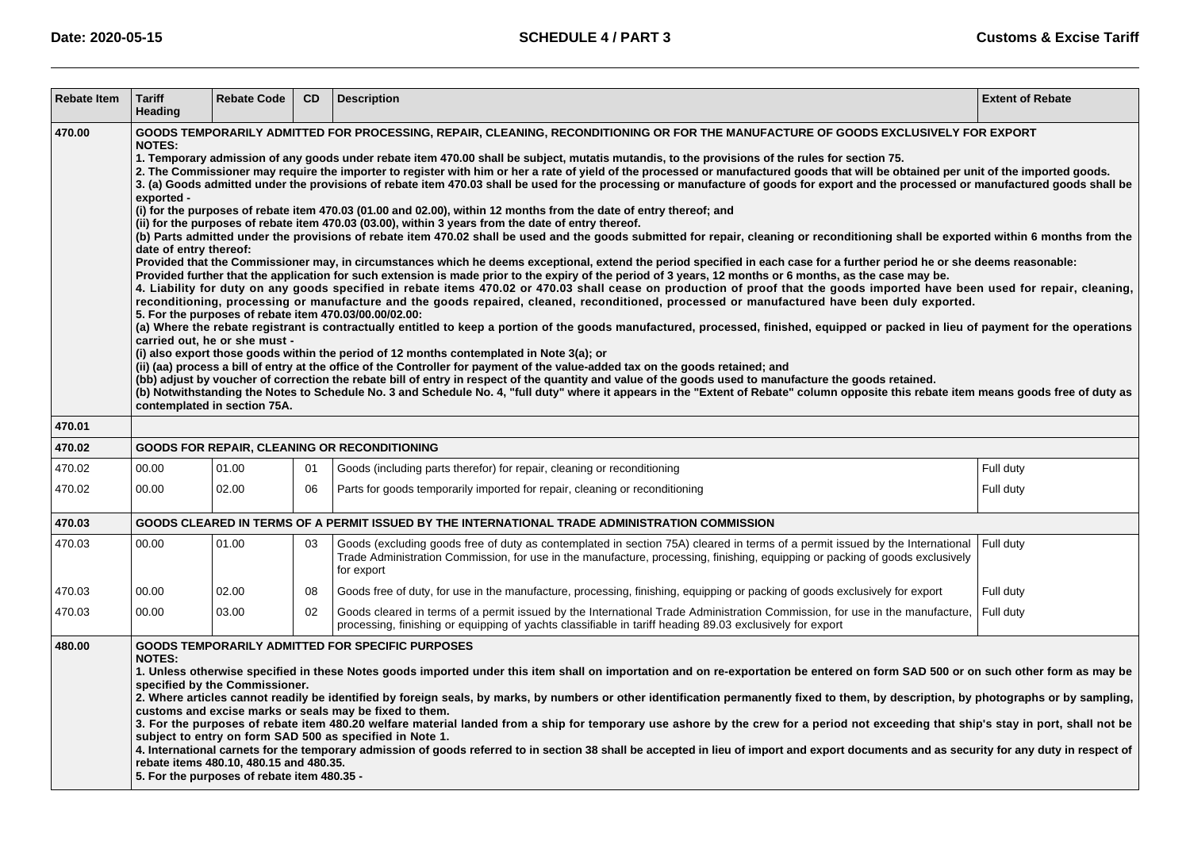| <b>Rebate Item</b> | <b>Tariff</b><br>Heading                                                                                                                                                                                                                                                                                                                                                                                                                                                                                                                                                                                                                                                                                                                                                                                                                                                                                                                                                                                                                                                                                                                                                                                                                                                                                                                                                                                                                                                                                                                                                                                                                                                                                                                                                                                                                                                                                                                                                                                                                                                                                                                                                                                                                                                                                                                                                                                                                                                                                                                                                                                                                                                                                                                   | <b>Rebate Code</b> | CD. | <b>Description</b>                                                                                                                                                                                                                                                          | <b>Extent of Rebate</b> |  |  |  |  |
|--------------------|--------------------------------------------------------------------------------------------------------------------------------------------------------------------------------------------------------------------------------------------------------------------------------------------------------------------------------------------------------------------------------------------------------------------------------------------------------------------------------------------------------------------------------------------------------------------------------------------------------------------------------------------------------------------------------------------------------------------------------------------------------------------------------------------------------------------------------------------------------------------------------------------------------------------------------------------------------------------------------------------------------------------------------------------------------------------------------------------------------------------------------------------------------------------------------------------------------------------------------------------------------------------------------------------------------------------------------------------------------------------------------------------------------------------------------------------------------------------------------------------------------------------------------------------------------------------------------------------------------------------------------------------------------------------------------------------------------------------------------------------------------------------------------------------------------------------------------------------------------------------------------------------------------------------------------------------------------------------------------------------------------------------------------------------------------------------------------------------------------------------------------------------------------------------------------------------------------------------------------------------------------------------------------------------------------------------------------------------------------------------------------------------------------------------------------------------------------------------------------------------------------------------------------------------------------------------------------------------------------------------------------------------------------------------------------------------------------------------------------------------|--------------------|-----|-----------------------------------------------------------------------------------------------------------------------------------------------------------------------------------------------------------------------------------------------------------------------------|-------------------------|--|--|--|--|
| 470.00             | GOODS TEMPORARILY ADMITTED FOR PROCESSING, REPAIR, CLEANING, RECONDITIONING OR FOR THE MANUFACTURE OF GOODS EXCLUSIVELY FOR EXPORT<br><b>NOTES:</b><br>1. Temporary admission of any goods under rebate item 470.00 shall be subject, mutatis mutandis, to the provisions of the rules for section 75.<br>2. The Commissioner may require the importer to register with him or her a rate of yield of the processed or manufactured goods that will be obtained per unit of the imported goods.<br>3. (a) Goods admitted under the provisions of rebate item 470.03 shall be used for the processing or manufacture of goods for export and the processed or manufactured goods shall be<br>exported -<br>(i) for the purposes of rebate item 470.03 (01.00 and 02.00), within 12 months from the date of entry thereof; and<br>(ii) for the purposes of rebate item 470.03 (03.00), within 3 years from the date of entry thereof.<br>(b) Parts admitted under the provisions of rebate item 470.02 shall be used and the goods submitted for repair, cleaning or reconditioning shall be exported within 6 months from the<br>date of entry thereof:<br>Provided that the Commissioner may, in circumstances which he deems exceptional, extend the period specified in each case for a further period he or she deems reasonable:<br>Provided further that the application for such extension is made prior to the expiry of the period of 3 years, 12 months or 6 months, as the case may be.<br>4. Liability for duty on any goods specified in rebate items 470.02 or 470.03 shall cease on production of proof that the goods imported have been used for repair, cleaning,<br>reconditioning, processing or manufacture and the goods repaired, cleaned, reconditioned, processed or manufactured have been duly exported.<br>5. For the purposes of rebate item 470.03/00.00/02.00:<br>(a) Where the rebate registrant is contractually entitled to keep a portion of the goods manufactured, processed, finished, equipped or packed in lieu of payment for the operations<br>carried out, he or she must -<br>(i) also export those goods within the period of 12 months contemplated in Note 3(a); or<br>(ii) (aa) process a bill of entry at the office of the Controller for payment of the value-added tax on the goods retained; and<br>(bb) adjust by voucher of correction the rebate bill of entry in respect of the quantity and value of the goods used to manufacture the goods retained.<br>(b) Notwithstanding the Notes to Schedule No. 3 and Schedule No. 4, "full duty" where it appears in the "Extent of Rebate" column opposite this rebate item means goods free of duty as<br>contemplated in section 75A. |                    |     |                                                                                                                                                                                                                                                                             |                         |  |  |  |  |
| 470.01             |                                                                                                                                                                                                                                                                                                                                                                                                                                                                                                                                                                                                                                                                                                                                                                                                                                                                                                                                                                                                                                                                                                                                                                                                                                                                                                                                                                                                                                                                                                                                                                                                                                                                                                                                                                                                                                                                                                                                                                                                                                                                                                                                                                                                                                                                                                                                                                                                                                                                                                                                                                                                                                                                                                                                            |                    |     |                                                                                                                                                                                                                                                                             |                         |  |  |  |  |
| 470.02             |                                                                                                                                                                                                                                                                                                                                                                                                                                                                                                                                                                                                                                                                                                                                                                                                                                                                                                                                                                                                                                                                                                                                                                                                                                                                                                                                                                                                                                                                                                                                                                                                                                                                                                                                                                                                                                                                                                                                                                                                                                                                                                                                                                                                                                                                                                                                                                                                                                                                                                                                                                                                                                                                                                                                            |                    |     | <b>GOODS FOR REPAIR, CLEANING OR RECONDITIONING</b>                                                                                                                                                                                                                         |                         |  |  |  |  |
| 470.02             | 00.00                                                                                                                                                                                                                                                                                                                                                                                                                                                                                                                                                                                                                                                                                                                                                                                                                                                                                                                                                                                                                                                                                                                                                                                                                                                                                                                                                                                                                                                                                                                                                                                                                                                                                                                                                                                                                                                                                                                                                                                                                                                                                                                                                                                                                                                                                                                                                                                                                                                                                                                                                                                                                                                                                                                                      | 01.00              | 01  | Goods (including parts therefor) for repair, cleaning or reconditioning                                                                                                                                                                                                     | Full duty               |  |  |  |  |
| 470.02             | 00.00                                                                                                                                                                                                                                                                                                                                                                                                                                                                                                                                                                                                                                                                                                                                                                                                                                                                                                                                                                                                                                                                                                                                                                                                                                                                                                                                                                                                                                                                                                                                                                                                                                                                                                                                                                                                                                                                                                                                                                                                                                                                                                                                                                                                                                                                                                                                                                                                                                                                                                                                                                                                                                                                                                                                      | 02.00              | 06  | Parts for goods temporarily imported for repair, cleaning or reconditioning                                                                                                                                                                                                 | Full duty               |  |  |  |  |
| 470.03             |                                                                                                                                                                                                                                                                                                                                                                                                                                                                                                                                                                                                                                                                                                                                                                                                                                                                                                                                                                                                                                                                                                                                                                                                                                                                                                                                                                                                                                                                                                                                                                                                                                                                                                                                                                                                                                                                                                                                                                                                                                                                                                                                                                                                                                                                                                                                                                                                                                                                                                                                                                                                                                                                                                                                            |                    |     | GOODS CLEARED IN TERMS OF A PERMIT ISSUED BY THE INTERNATIONAL TRADE ADMINISTRATION COMMISSION                                                                                                                                                                              |                         |  |  |  |  |
| 470.03             | 00.00                                                                                                                                                                                                                                                                                                                                                                                                                                                                                                                                                                                                                                                                                                                                                                                                                                                                                                                                                                                                                                                                                                                                                                                                                                                                                                                                                                                                                                                                                                                                                                                                                                                                                                                                                                                                                                                                                                                                                                                                                                                                                                                                                                                                                                                                                                                                                                                                                                                                                                                                                                                                                                                                                                                                      | 01.00              | 03  | Goods (excluding goods free of duty as contemplated in section 75A) cleared in terms of a permit issued by the International<br>Trade Administration Commission, for use in the manufacture, processing, finishing, equipping or packing of goods exclusively<br>for export | Full duty               |  |  |  |  |
| 470.03             | 00.00                                                                                                                                                                                                                                                                                                                                                                                                                                                                                                                                                                                                                                                                                                                                                                                                                                                                                                                                                                                                                                                                                                                                                                                                                                                                                                                                                                                                                                                                                                                                                                                                                                                                                                                                                                                                                                                                                                                                                                                                                                                                                                                                                                                                                                                                                                                                                                                                                                                                                                                                                                                                                                                                                                                                      | 02.00              | 08  | Goods free of duty, for use in the manufacture, processing, finishing, equipping or packing of goods exclusively for export                                                                                                                                                 | Full duty               |  |  |  |  |
| 470.03             | 00.00                                                                                                                                                                                                                                                                                                                                                                                                                                                                                                                                                                                                                                                                                                                                                                                                                                                                                                                                                                                                                                                                                                                                                                                                                                                                                                                                                                                                                                                                                                                                                                                                                                                                                                                                                                                                                                                                                                                                                                                                                                                                                                                                                                                                                                                                                                                                                                                                                                                                                                                                                                                                                                                                                                                                      | 03.00              | 02  | Goods cleared in terms of a permit issued by the International Trade Administration Commission, for use in the manufacture,<br>processing, finishing or equipping of yachts classifiable in tariff heading 89.03 exclusively for export                                     | Full duty               |  |  |  |  |
| 480.00             | <b>GOODS TEMPORARILY ADMITTED FOR SPECIFIC PURPOSES</b><br>NOTES:<br>1. Unless otherwise specified in these Notes goods imported under this item shall on importation and on re-exportation be entered on form SAD 500 or on such other form as may be<br>specified by the Commissioner.<br>2. Where articles cannot readily be identified by foreign seals, by marks, by numbers or other identification permanently fixed to them, by description, by photographs or by sampling,<br>customs and excise marks or seals may be fixed to them.<br>3. For the purposes of rebate item 480.20 welfare material landed from a ship for temporary use ashore by the crew for a period not exceeding that ship's stay in port, shall not be<br>subject to entry on form SAD 500 as specified in Note 1.<br>4. International carnets for the temporary admission of goods referred to in section 38 shall be accepted in lieu of import and export documents and as security for any duty in respect of<br>rebate items 480.10, 480.15 and 480.35.<br>5. For the purposes of rebate item 480.35 -                                                                                                                                                                                                                                                                                                                                                                                                                                                                                                                                                                                                                                                                                                                                                                                                                                                                                                                                                                                                                                                                                                                                                                                                                                                                                                                                                                                                                                                                                                                                                                                                                                                |                    |     |                                                                                                                                                                                                                                                                             |                         |  |  |  |  |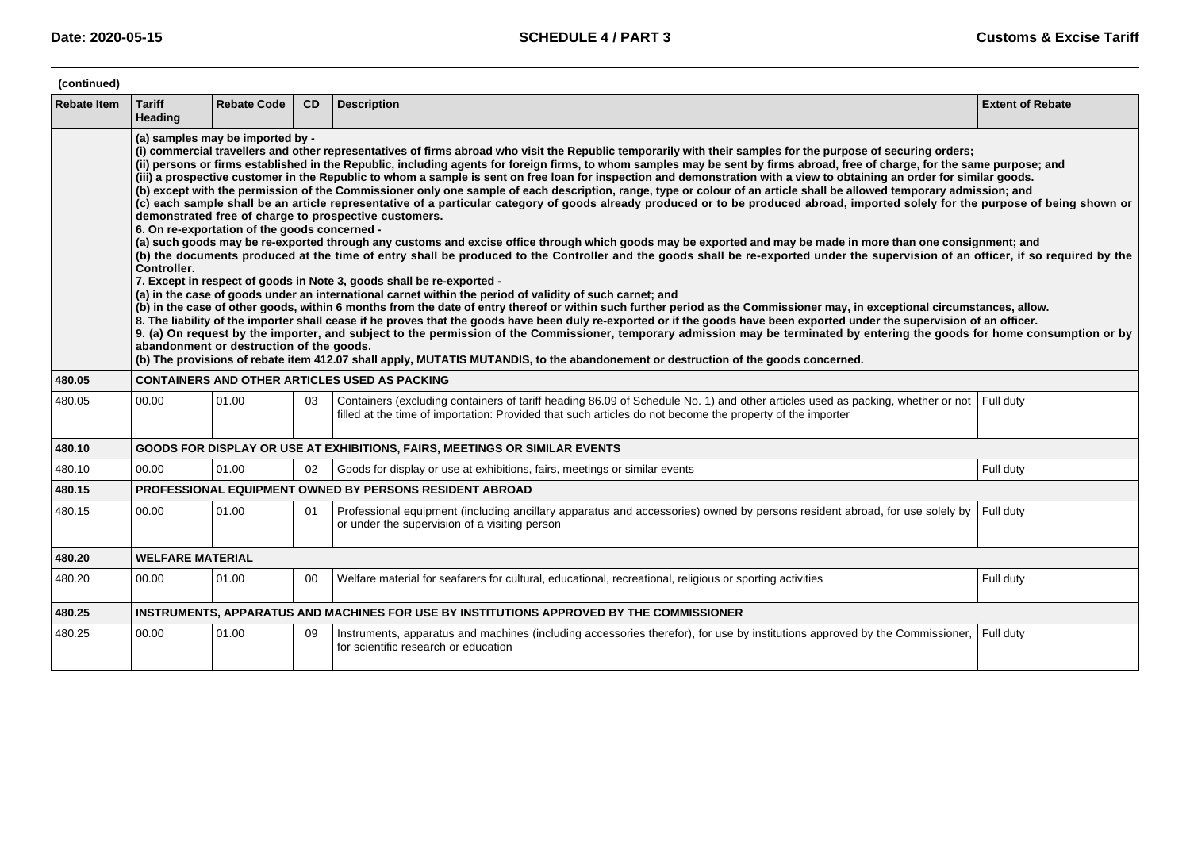| (continued)        |                                                                                                                                                                                                                                                                                                                                                                                                                                                                                                                                                                                                                                                                                                                                                                                                                                                                                                                                                                                                                                                                                                                                                                                                                                                                                                                                                                                                                                                                                                                                                                                                                                                                                                                                                                                                                                                                                                                                                                                                                                                                                                                                                                                                                                                                                                                                 |                    |           |                                                                                                                                                                                                                                                       |                         |  |  |  |  |
|--------------------|---------------------------------------------------------------------------------------------------------------------------------------------------------------------------------------------------------------------------------------------------------------------------------------------------------------------------------------------------------------------------------------------------------------------------------------------------------------------------------------------------------------------------------------------------------------------------------------------------------------------------------------------------------------------------------------------------------------------------------------------------------------------------------------------------------------------------------------------------------------------------------------------------------------------------------------------------------------------------------------------------------------------------------------------------------------------------------------------------------------------------------------------------------------------------------------------------------------------------------------------------------------------------------------------------------------------------------------------------------------------------------------------------------------------------------------------------------------------------------------------------------------------------------------------------------------------------------------------------------------------------------------------------------------------------------------------------------------------------------------------------------------------------------------------------------------------------------------------------------------------------------------------------------------------------------------------------------------------------------------------------------------------------------------------------------------------------------------------------------------------------------------------------------------------------------------------------------------------------------------------------------------------------------------------------------------------------------|--------------------|-----------|-------------------------------------------------------------------------------------------------------------------------------------------------------------------------------------------------------------------------------------------------------|-------------------------|--|--|--|--|
| <b>Rebate Item</b> | <b>Tariff</b><br>Heading                                                                                                                                                                                                                                                                                                                                                                                                                                                                                                                                                                                                                                                                                                                                                                                                                                                                                                                                                                                                                                                                                                                                                                                                                                                                                                                                                                                                                                                                                                                                                                                                                                                                                                                                                                                                                                                                                                                                                                                                                                                                                                                                                                                                                                                                                                        | <b>Rebate Code</b> | <b>CD</b> | <b>Description</b>                                                                                                                                                                                                                                    | <b>Extent of Rebate</b> |  |  |  |  |
|                    | (a) samples may be imported by -<br>(i) commercial travellers and other representatives of firms abroad who visit the Republic temporarily with their samples for the purpose of securing orders;<br>(ii) persons or firms established in the Republic, including agents for foreign firms, to whom samples may be sent by firms abroad, free of charge, for the same purpose; and<br>(iii) a prospective customer in the Republic to whom a sample is sent on free loan for inspection and demonstration with a view to obtaining an order for similar goods.<br>(b) except with the permission of the Commissioner only one sample of each description, range, type or colour of an article shall be allowed temporary admission; and<br>(c) each sample shall be an article representative of a particular category of goods already produced or to be produced abroad, imported solely for the purpose of being shown or<br>demonstrated free of charge to prospective customers.<br>6. On re-exportation of the goods concerned -<br>(a) such goods may be re-exported through any customs and excise office through which goods may be exported and may be made in more than one consignment; and<br>(b) the documents produced at the time of entry shall be produced to the Controller and the goods shall be re-exported under the supervision of an officer, if so required by the<br>Controller.<br>7. Except in respect of goods in Note 3, goods shall be re-exported -<br>(a) in the case of goods under an international carnet within the period of validity of such carnet; and<br>(b) in the case of other goods, within 6 months from the date of entry thereof or within such further period as the Commissioner may, in exceptional circumstances, allow.<br>8. The liability of the importer shall cease if he proves that the goods have been duly re-exported or if the goods have been exported under the supervision of an officer.<br>9. (a) On request by the importer, and subject to the permission of the Commissioner, temporary admission may be terminated by entering the goods for home consumption or by<br>abandonment or destruction of the goods.<br>(b) The provisions of rebate item 412.07 shall apply, MUTATIS MUTANDIS, to the abandonement or destruction of the goods concerned. |                    |           |                                                                                                                                                                                                                                                       |                         |  |  |  |  |
| 480.05             |                                                                                                                                                                                                                                                                                                                                                                                                                                                                                                                                                                                                                                                                                                                                                                                                                                                                                                                                                                                                                                                                                                                                                                                                                                                                                                                                                                                                                                                                                                                                                                                                                                                                                                                                                                                                                                                                                                                                                                                                                                                                                                                                                                                                                                                                                                                                 |                    |           | <b>CONTAINERS AND OTHER ARTICLES USED AS PACKING</b>                                                                                                                                                                                                  |                         |  |  |  |  |
| 480.05             | 00.00                                                                                                                                                                                                                                                                                                                                                                                                                                                                                                                                                                                                                                                                                                                                                                                                                                                                                                                                                                                                                                                                                                                                                                                                                                                                                                                                                                                                                                                                                                                                                                                                                                                                                                                                                                                                                                                                                                                                                                                                                                                                                                                                                                                                                                                                                                                           | 01.00              | 03        | Containers (excluding containers of tariff heading 86.09 of Schedule No. 1) and other articles used as packing, whether or not Full duty<br>filled at the time of importation: Provided that such articles do not become the property of the importer |                         |  |  |  |  |
| 480.10             |                                                                                                                                                                                                                                                                                                                                                                                                                                                                                                                                                                                                                                                                                                                                                                                                                                                                                                                                                                                                                                                                                                                                                                                                                                                                                                                                                                                                                                                                                                                                                                                                                                                                                                                                                                                                                                                                                                                                                                                                                                                                                                                                                                                                                                                                                                                                 |                    |           | GOODS FOR DISPLAY OR USE AT EXHIBITIONS, FAIRS, MEETINGS OR SIMILAR EVENTS                                                                                                                                                                            |                         |  |  |  |  |
| 480.10             | 00.00                                                                                                                                                                                                                                                                                                                                                                                                                                                                                                                                                                                                                                                                                                                                                                                                                                                                                                                                                                                                                                                                                                                                                                                                                                                                                                                                                                                                                                                                                                                                                                                                                                                                                                                                                                                                                                                                                                                                                                                                                                                                                                                                                                                                                                                                                                                           | 01.00              | 02        | Goods for display or use at exhibitions, fairs, meetings or similar events                                                                                                                                                                            | Full duty               |  |  |  |  |
| 480.15             |                                                                                                                                                                                                                                                                                                                                                                                                                                                                                                                                                                                                                                                                                                                                                                                                                                                                                                                                                                                                                                                                                                                                                                                                                                                                                                                                                                                                                                                                                                                                                                                                                                                                                                                                                                                                                                                                                                                                                                                                                                                                                                                                                                                                                                                                                                                                 |                    |           | <b>PROFESSIONAL EQUIPMENT OWNED BY PERSONS RESIDENT ABROAD</b>                                                                                                                                                                                        |                         |  |  |  |  |
| 480.15             | 00.00                                                                                                                                                                                                                                                                                                                                                                                                                                                                                                                                                                                                                                                                                                                                                                                                                                                                                                                                                                                                                                                                                                                                                                                                                                                                                                                                                                                                                                                                                                                                                                                                                                                                                                                                                                                                                                                                                                                                                                                                                                                                                                                                                                                                                                                                                                                           | 01.00              | 01        | Professional equipment (including ancillary apparatus and accessories) owned by persons resident abroad, for use solely by Full duty<br>or under the supervision of a visiting person                                                                 |                         |  |  |  |  |
| 480.20             | <b>WELFARE MATERIAL</b>                                                                                                                                                                                                                                                                                                                                                                                                                                                                                                                                                                                                                                                                                                                                                                                                                                                                                                                                                                                                                                                                                                                                                                                                                                                                                                                                                                                                                                                                                                                                                                                                                                                                                                                                                                                                                                                                                                                                                                                                                                                                                                                                                                                                                                                                                                         |                    |           |                                                                                                                                                                                                                                                       |                         |  |  |  |  |
| 480.20             | 00.00                                                                                                                                                                                                                                                                                                                                                                                                                                                                                                                                                                                                                                                                                                                                                                                                                                                                                                                                                                                                                                                                                                                                                                                                                                                                                                                                                                                                                                                                                                                                                                                                                                                                                                                                                                                                                                                                                                                                                                                                                                                                                                                                                                                                                                                                                                                           | 01.00              | 00        | Welfare material for seafarers for cultural, educational, recreational, religious or sporting activities                                                                                                                                              | Full duty               |  |  |  |  |
| 480.25             |                                                                                                                                                                                                                                                                                                                                                                                                                                                                                                                                                                                                                                                                                                                                                                                                                                                                                                                                                                                                                                                                                                                                                                                                                                                                                                                                                                                                                                                                                                                                                                                                                                                                                                                                                                                                                                                                                                                                                                                                                                                                                                                                                                                                                                                                                                                                 |                    |           | INSTRUMENTS, APPARATUS AND MACHINES FOR USE BY INSTITUTIONS APPROVED BY THE COMMISSIONER                                                                                                                                                              |                         |  |  |  |  |
| 480.25             | 00.00                                                                                                                                                                                                                                                                                                                                                                                                                                                                                                                                                                                                                                                                                                                                                                                                                                                                                                                                                                                                                                                                                                                                                                                                                                                                                                                                                                                                                                                                                                                                                                                                                                                                                                                                                                                                                                                                                                                                                                                                                                                                                                                                                                                                                                                                                                                           | 01.00              | 09        | Instruments, apparatus and machines (including accessories therefor), for use by institutions approved by the Commissioner, Full duty<br>for scientific research or education                                                                         |                         |  |  |  |  |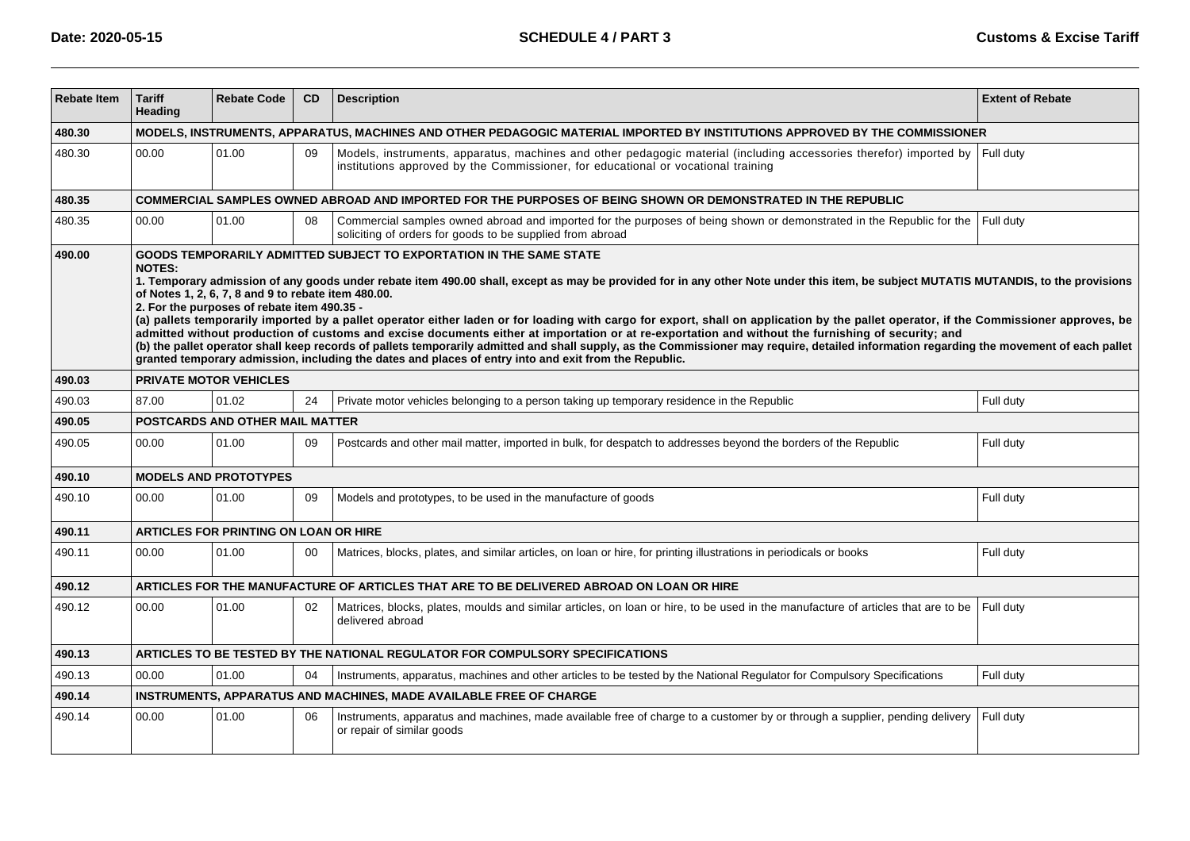| <b>Rebate Item</b> | <b>Tariff</b><br>Heading                                                                                                                                                                                                                                                                                                                                                                                                                                                                                                                                                                                                                                                                                                                                                                                                                                                                                                                                                                                                               | <b>Rebate Code</b>                           | <b>CD</b> | <b>Description</b>                                                                                                                                                                                                | <b>Extent of Rebate</b> |  |  |  |
|--------------------|----------------------------------------------------------------------------------------------------------------------------------------------------------------------------------------------------------------------------------------------------------------------------------------------------------------------------------------------------------------------------------------------------------------------------------------------------------------------------------------------------------------------------------------------------------------------------------------------------------------------------------------------------------------------------------------------------------------------------------------------------------------------------------------------------------------------------------------------------------------------------------------------------------------------------------------------------------------------------------------------------------------------------------------|----------------------------------------------|-----------|-------------------------------------------------------------------------------------------------------------------------------------------------------------------------------------------------------------------|-------------------------|--|--|--|
| 480.30             | MODELS, INSTRUMENTS, APPARATUS, MACHINES AND OTHER PEDAGOGIC MATERIAL IMPORTED BY INSTITUTIONS APPROVED BY THE COMMISSIONER                                                                                                                                                                                                                                                                                                                                                                                                                                                                                                                                                                                                                                                                                                                                                                                                                                                                                                            |                                              |           |                                                                                                                                                                                                                   |                         |  |  |  |
| 480.30             | 00.00                                                                                                                                                                                                                                                                                                                                                                                                                                                                                                                                                                                                                                                                                                                                                                                                                                                                                                                                                                                                                                  | 01.00                                        | 09        | Models, instruments, apparatus, machines and other pedagogic material (including accessories therefor) imported by Full duty<br>institutions approved by the Commissioner, for educational or vocational training |                         |  |  |  |
| 480.35             |                                                                                                                                                                                                                                                                                                                                                                                                                                                                                                                                                                                                                                                                                                                                                                                                                                                                                                                                                                                                                                        |                                              |           | COMMERCIAL SAMPLES OWNED ABROAD AND IMPORTED FOR THE PURPOSES OF BEING SHOWN OR DEMONSTRATED IN THE REPUBLIC                                                                                                      |                         |  |  |  |
| 480.35             | 00.00                                                                                                                                                                                                                                                                                                                                                                                                                                                                                                                                                                                                                                                                                                                                                                                                                                                                                                                                                                                                                                  | 01.00                                        | 08        | Commercial samples owned abroad and imported for the purposes of being shown or demonstrated in the Republic for the<br>soliciting of orders for goods to be supplied from abroad                                 | Full duty               |  |  |  |
| 490.00             | GOODS TEMPORARILY ADMITTED SUBJECT TO EXPORTATION IN THE SAME STATE<br><b>NOTES:</b><br>1. Temporary admission of any goods under rebate item 490.00 shall, except as may be provided for in any other Note under this item, be subject MUTATIS MUTANDIS, to the provisions<br>of Notes 1, 2, 6, 7, 8 and 9 to rebate item 480.00.<br>2. For the purposes of rebate item 490.35 -<br>(a) pallets temporarily imported by a pallet operator either laden or for loading with cargo for export, shall on application by the pallet operator, if the Commissioner approves, be<br>admitted without production of customs and excise documents either at importation or at re-exportation and without the furnishing of security; and<br>(b) the pallet operator shall keep records of pallets temporarily admitted and shall supply, as the Commissioner may require, detailed information regarding the movement of each pallet<br>granted temporary admission, including the dates and places of entry into and exit from the Republic. |                                              |           |                                                                                                                                                                                                                   |                         |  |  |  |
| 490.03             |                                                                                                                                                                                                                                                                                                                                                                                                                                                                                                                                                                                                                                                                                                                                                                                                                                                                                                                                                                                                                                        | <b>PRIVATE MOTOR VEHICLES</b>                |           |                                                                                                                                                                                                                   |                         |  |  |  |
| 490.03             | 87.00                                                                                                                                                                                                                                                                                                                                                                                                                                                                                                                                                                                                                                                                                                                                                                                                                                                                                                                                                                                                                                  | 01.02                                        | 24        | Private motor vehicles belonging to a person taking up temporary residence in the Republic                                                                                                                        | Full duty               |  |  |  |
| 490.05             |                                                                                                                                                                                                                                                                                                                                                                                                                                                                                                                                                                                                                                                                                                                                                                                                                                                                                                                                                                                                                                        | POSTCARDS AND OTHER MAIL MATTER              |           |                                                                                                                                                                                                                   |                         |  |  |  |
| 490.05             | 00.00                                                                                                                                                                                                                                                                                                                                                                                                                                                                                                                                                                                                                                                                                                                                                                                                                                                                                                                                                                                                                                  | 01.00                                        | 09        | Postcards and other mail matter, imported in bulk, for despatch to addresses beyond the borders of the Republic                                                                                                   | Full duty               |  |  |  |
| 490.10             |                                                                                                                                                                                                                                                                                                                                                                                                                                                                                                                                                                                                                                                                                                                                                                                                                                                                                                                                                                                                                                        | <b>MODELS AND PROTOTYPES</b>                 |           |                                                                                                                                                                                                                   |                         |  |  |  |
| 490.10             | 00.00                                                                                                                                                                                                                                                                                                                                                                                                                                                                                                                                                                                                                                                                                                                                                                                                                                                                                                                                                                                                                                  | 01.00                                        | 09        | Models and prototypes, to be used in the manufacture of goods                                                                                                                                                     | Full duty               |  |  |  |
| 490.11             |                                                                                                                                                                                                                                                                                                                                                                                                                                                                                                                                                                                                                                                                                                                                                                                                                                                                                                                                                                                                                                        | <b>ARTICLES FOR PRINTING ON LOAN OR HIRE</b> |           |                                                                                                                                                                                                                   |                         |  |  |  |
| 490.11             | 00.00                                                                                                                                                                                                                                                                                                                                                                                                                                                                                                                                                                                                                                                                                                                                                                                                                                                                                                                                                                                                                                  | 01.00                                        | 00        | Matrices, blocks, plates, and similar articles, on loan or hire, for printing illustrations in periodicals or books                                                                                               | Full duty               |  |  |  |
| 490.12             |                                                                                                                                                                                                                                                                                                                                                                                                                                                                                                                                                                                                                                                                                                                                                                                                                                                                                                                                                                                                                                        |                                              |           | ARTICLES FOR THE MANUFACTURE OF ARTICLES THAT ARE TO BE DELIVERED ABROAD ON LOAN OR HIRE                                                                                                                          |                         |  |  |  |
| 490.12             | 00.00                                                                                                                                                                                                                                                                                                                                                                                                                                                                                                                                                                                                                                                                                                                                                                                                                                                                                                                                                                                                                                  | 01.00                                        | 02        | Matrices, blocks, plates, moulds and similar articles, on loan or hire, to be used in the manufacture of articles that are to be<br>delivered abroad                                                              | Full duty               |  |  |  |
| 490.13             |                                                                                                                                                                                                                                                                                                                                                                                                                                                                                                                                                                                                                                                                                                                                                                                                                                                                                                                                                                                                                                        |                                              |           | ARTICLES TO BE TESTED BY THE NATIONAL REGULATOR FOR COMPULSORY SPECIFICATIONS                                                                                                                                     |                         |  |  |  |
| 490.13             | 00.00                                                                                                                                                                                                                                                                                                                                                                                                                                                                                                                                                                                                                                                                                                                                                                                                                                                                                                                                                                                                                                  | 01.00                                        | 04        | Instruments, apparatus, machines and other articles to be tested by the National Regulator for Compulsory Specifications                                                                                          | Full duty               |  |  |  |
| 490.14             |                                                                                                                                                                                                                                                                                                                                                                                                                                                                                                                                                                                                                                                                                                                                                                                                                                                                                                                                                                                                                                        |                                              |           | INSTRUMENTS, APPARATUS AND MACHINES, MADE AVAILABLE FREE OF CHARGE                                                                                                                                                |                         |  |  |  |
| 490.14             | 00.00                                                                                                                                                                                                                                                                                                                                                                                                                                                                                                                                                                                                                                                                                                                                                                                                                                                                                                                                                                                                                                  | 01.00                                        | 06        | Instruments, apparatus and machines, made available free of charge to a customer by or through a supplier, pending delivery<br>or repair of similar goods                                                         | Full duty               |  |  |  |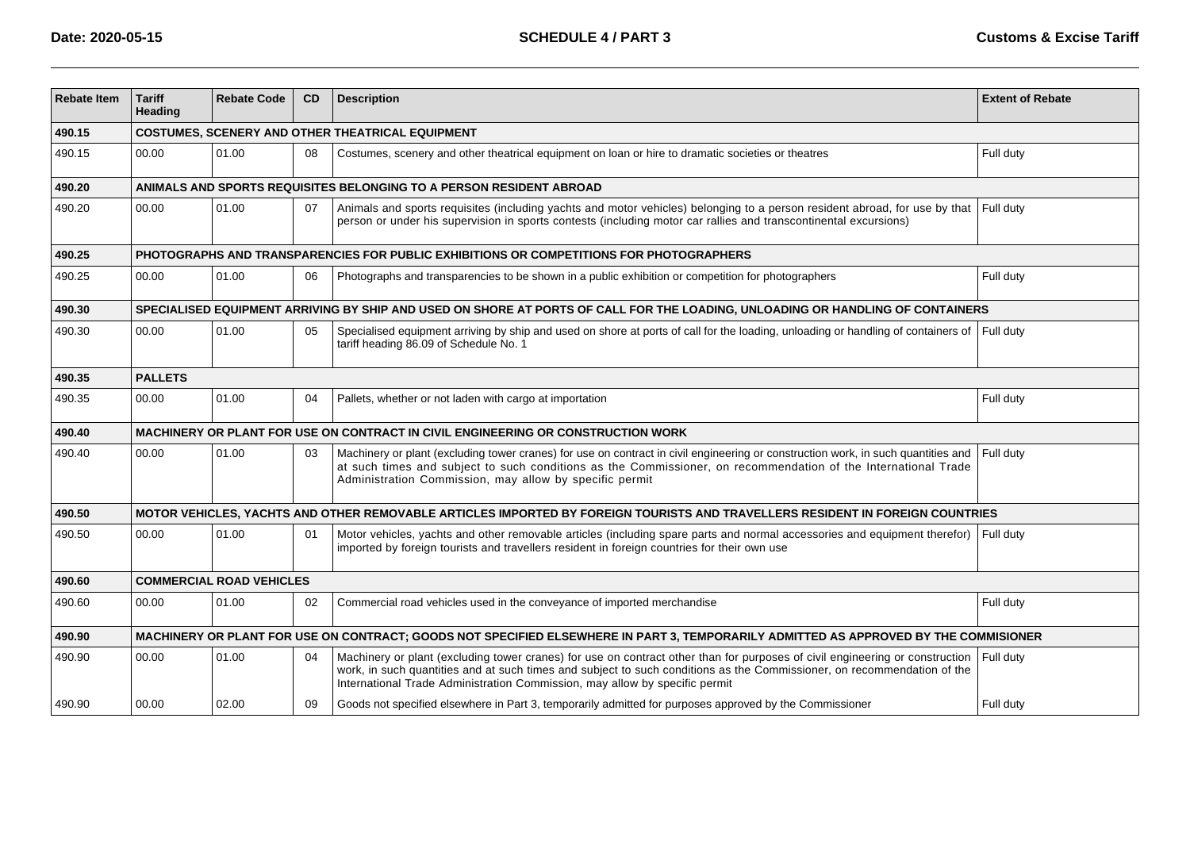| <b>Rebate Item</b> | <b>Tariff</b><br>Heading                                                                                                             | <b>Rebate Code</b>                                      | <b>CD</b> | <b>Description</b>                                                                                                                                                                                                                                                                                                                     | <b>Extent of Rebate</b> |  |  |
|--------------------|--------------------------------------------------------------------------------------------------------------------------------------|---------------------------------------------------------|-----------|----------------------------------------------------------------------------------------------------------------------------------------------------------------------------------------------------------------------------------------------------------------------------------------------------------------------------------------|-------------------------|--|--|
| 490.15             |                                                                                                                                      | <b>COSTUMES, SCENERY AND OTHER THEATRICAL EQUIPMENT</b> |           |                                                                                                                                                                                                                                                                                                                                        |                         |  |  |
| 490.15             | 00.00                                                                                                                                | 01.00                                                   | 08        | Costumes, scenery and other theatrical equipment on loan or hire to dramatic societies or theatres                                                                                                                                                                                                                                     | Full duty               |  |  |
| 490.20             | ANIMALS AND SPORTS REQUISITES BELONGING TO A PERSON RESIDENT ABROAD                                                                  |                                                         |           |                                                                                                                                                                                                                                                                                                                                        |                         |  |  |
| 490.20             | 00.00                                                                                                                                | 01.00                                                   | 07        | Animals and sports requisites (including yachts and motor vehicles) belonging to a person resident abroad, for use by that<br>person or under his supervision in sports contests (including motor car rallies and transcontinental excursions)                                                                                         | Full duty               |  |  |
| 490.25             | PHOTOGRAPHS AND TRANSPARENCIES FOR PUBLIC EXHIBITIONS OR COMPETITIONS FOR PHOTOGRAPHERS                                              |                                                         |           |                                                                                                                                                                                                                                                                                                                                        |                         |  |  |
| 490.25             | 00.00                                                                                                                                | 01.00                                                   | 06        | Photographs and transparencies to be shown in a public exhibition or competition for photographers                                                                                                                                                                                                                                     | Full duty               |  |  |
| 490.30             | SPECIALISED EQUIPMENT ARRIVING BY SHIP AND USED ON SHORE AT PORTS OF CALL FOR THE LOADING, UNLOADING OR HANDLING OF CONTAINERS       |                                                         |           |                                                                                                                                                                                                                                                                                                                                        |                         |  |  |
| 490.30             | 00.00                                                                                                                                | 01.00                                                   | 05        | Specialised equipment arriving by ship and used on shore at ports of call for the loading, unloading or handling of containers of<br>tariff heading 86.09 of Schedule No. 1                                                                                                                                                            | Full duty               |  |  |
| 490.35             | <b>PALLETS</b>                                                                                                                       |                                                         |           |                                                                                                                                                                                                                                                                                                                                        |                         |  |  |
| 490.35             | 00.00                                                                                                                                | 01.00                                                   | 04        | Pallets, whether or not laden with cargo at importation                                                                                                                                                                                                                                                                                | Full duty               |  |  |
| 490.40             | MACHINERY OR PLANT FOR USE ON CONTRACT IN CIVIL ENGINEERING OR CONSTRUCTION WORK                                                     |                                                         |           |                                                                                                                                                                                                                                                                                                                                        |                         |  |  |
| 490.40             | 00.00                                                                                                                                | 01.00                                                   | 03        | Machinery or plant (excluding tower cranes) for use on contract in civil engineering or construction work, in such quantities and<br>at such times and subject to such conditions as the Commissioner, on recommendation of the International Trade<br>Administration Commission, may allow by specific permit                         | Full duty               |  |  |
| 490.50             | MOTOR VEHICLES, YACHTS AND OTHER REMOVABLE ARTICLES IMPORTED BY FOREIGN TOURISTS AND TRAVELLERS RESIDENT IN FOREIGN COUNTRIES        |                                                         |           |                                                                                                                                                                                                                                                                                                                                        |                         |  |  |
| 490.50             | 00.00                                                                                                                                | 01.00                                                   | 01        | Motor vehicles, yachts and other removable articles (including spare parts and normal accessories and equipment therefor)<br>imported by foreign tourists and travellers resident in foreign countries for their own use                                                                                                               | Full duty               |  |  |
| 490.60             | <b>COMMERCIAL ROAD VEHICLES</b>                                                                                                      |                                                         |           |                                                                                                                                                                                                                                                                                                                                        |                         |  |  |
| 490.60             | 00.00                                                                                                                                | 01.00                                                   | 02        | Commercial road vehicles used in the conveyance of imported merchandise                                                                                                                                                                                                                                                                | Full duty               |  |  |
| 490.90             | MACHINERY OR PLANT FOR USE ON CONTRACT; GOODS NOT SPECIFIED ELSEWHERE IN PART 3, TEMPORARILY ADMITTED AS APPROVED BY THE COMMISIONER |                                                         |           |                                                                                                                                                                                                                                                                                                                                        |                         |  |  |
| 490.90             | 00.00                                                                                                                                | 01.00                                                   | 04        | Machinery or plant (excluding tower cranes) for use on contract other than for purposes of civil engineering or construction<br>work, in such quantities and at such times and subject to such conditions as the Commissioner, on recommendation of the<br>International Trade Administration Commission, may allow by specific permit | Full duty               |  |  |
| 490.90             | 00.00                                                                                                                                | 02.00                                                   | 09        | Goods not specified elsewhere in Part 3, temporarily admitted for purposes approved by the Commissioner                                                                                                                                                                                                                                | Full duty               |  |  |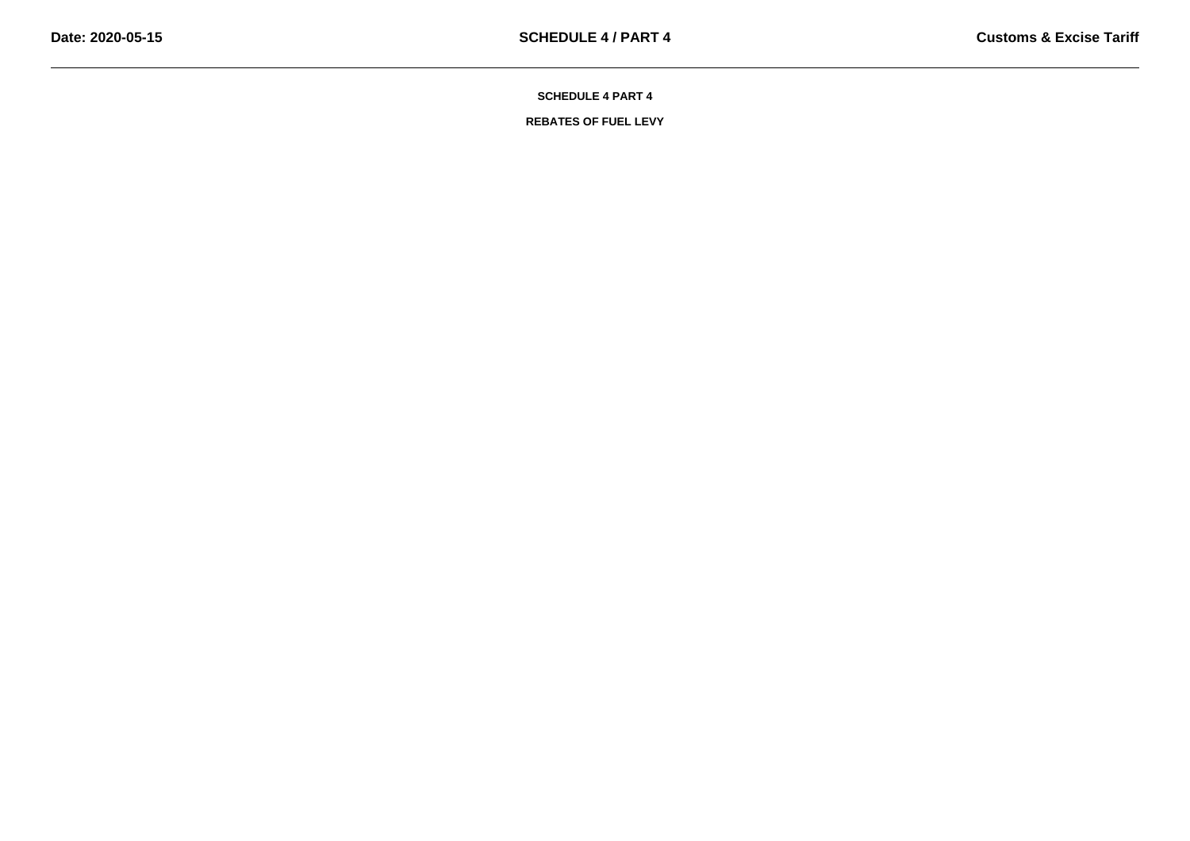**REBATES OF FUEL LEVY**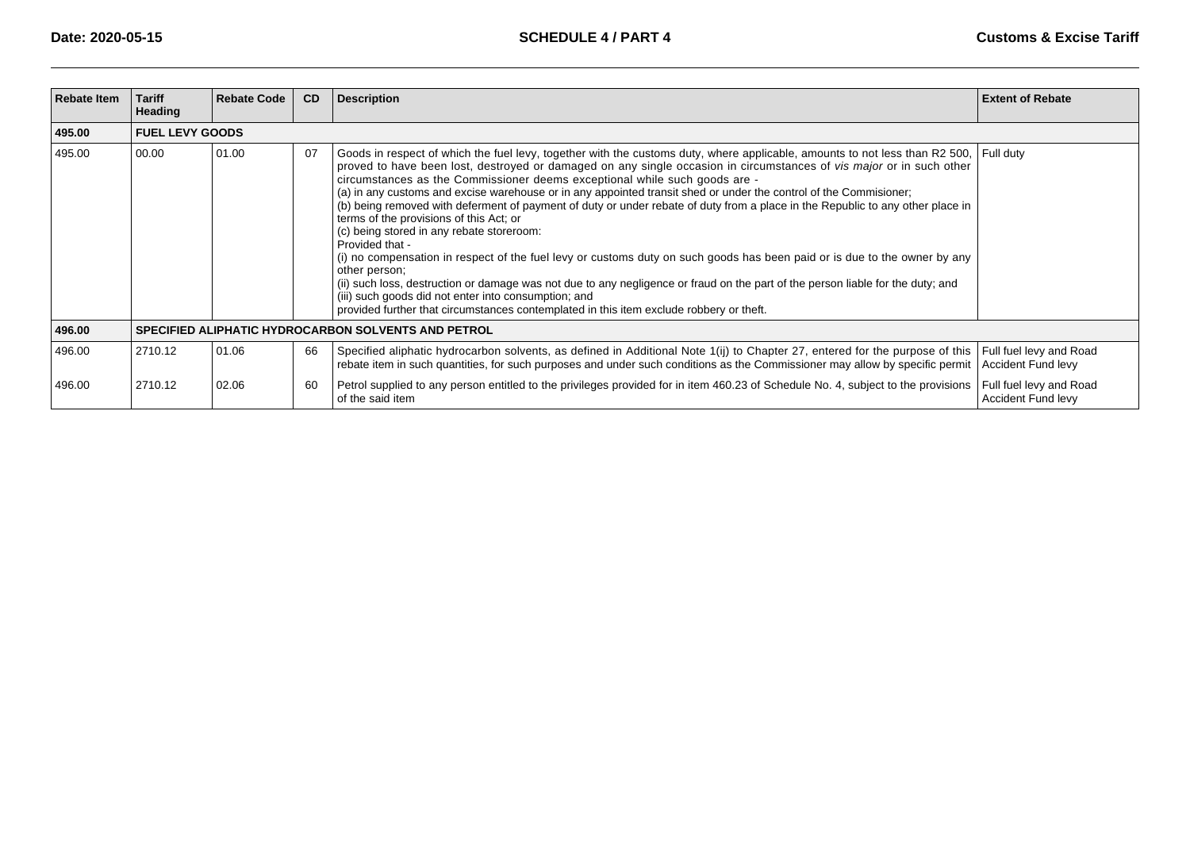| <b>Rebate Item</b> | <b>Tariff</b><br><b>Heading</b>                            | <b>Rebate Code</b>     | CD | <b>Description</b>                                                                                                                                                                                                                                                                                                                                                                                                                                                                                                                                                                                                                                                                                                                                                                                                                                                                                                                                                                                                                                                                                                                                | <b>Extent of Rebate</b>                              |  |  |
|--------------------|------------------------------------------------------------|------------------------|----|---------------------------------------------------------------------------------------------------------------------------------------------------------------------------------------------------------------------------------------------------------------------------------------------------------------------------------------------------------------------------------------------------------------------------------------------------------------------------------------------------------------------------------------------------------------------------------------------------------------------------------------------------------------------------------------------------------------------------------------------------------------------------------------------------------------------------------------------------------------------------------------------------------------------------------------------------------------------------------------------------------------------------------------------------------------------------------------------------------------------------------------------------|------------------------------------------------------|--|--|
| 495.00             |                                                            | <b>FUEL LEVY GOODS</b> |    |                                                                                                                                                                                                                                                                                                                                                                                                                                                                                                                                                                                                                                                                                                                                                                                                                                                                                                                                                                                                                                                                                                                                                   |                                                      |  |  |
| 495.00             | 00.00                                                      | 01.00                  | 07 | Goods in respect of which the fuel levy, together with the customs duty, where applicable, amounts to not less than R2 500, Full duty<br>proved to have been lost, destroyed or damaged on any single occasion in circumstances of vis major or in such other<br>circumstances as the Commissioner deems exceptional while such goods are -<br>(a) in any customs and excise warehouse or in any appointed transit shed or under the control of the Commisioner;<br>(b) being removed with deferment of payment of duty or under rebate of duty from a place in the Republic to any other place in<br>terms of the provisions of this Act; or<br>(c) being stored in any rebate storeroom:<br>Provided that -<br>(i) no compensation in respect of the fuel levy or customs duty on such goods has been paid or is due to the owner by any<br>other person:<br>(ii) such loss, destruction or damage was not due to any negligence or fraud on the part of the person liable for the duty; and<br>(iii) such goods did not enter into consumption; and<br>provided further that circumstances contemplated in this item exclude robbery or theft. |                                                      |  |  |
| 496.00             | <b>SPECIFIED ALIPHATIC HYDROCARBON SOLVENTS AND PETROL</b> |                        |    |                                                                                                                                                                                                                                                                                                                                                                                                                                                                                                                                                                                                                                                                                                                                                                                                                                                                                                                                                                                                                                                                                                                                                   |                                                      |  |  |
| 496.00             | 2710.12                                                    | 01.06                  | 66 | Specified aliphatic hydrocarbon solvents, as defined in Additional Note 1(ij) to Chapter 27, entered for the purpose of this<br>rebate item in such quantities, for such purposes and under such conditions as the Commissioner may allow by specific permit                                                                                                                                                                                                                                                                                                                                                                                                                                                                                                                                                                                                                                                                                                                                                                                                                                                                                      | Full fuel levy and Road<br>Accident Fund levy        |  |  |
| 496.00             | 2710.12                                                    | 02.06                  | 60 | Petrol supplied to any person entitled to the privileges provided for in item 460.23 of Schedule No. 4, subject to the provisions<br>of the said item                                                                                                                                                                                                                                                                                                                                                                                                                                                                                                                                                                                                                                                                                                                                                                                                                                                                                                                                                                                             | Full fuel levy and Road<br><b>Accident Fund levy</b> |  |  |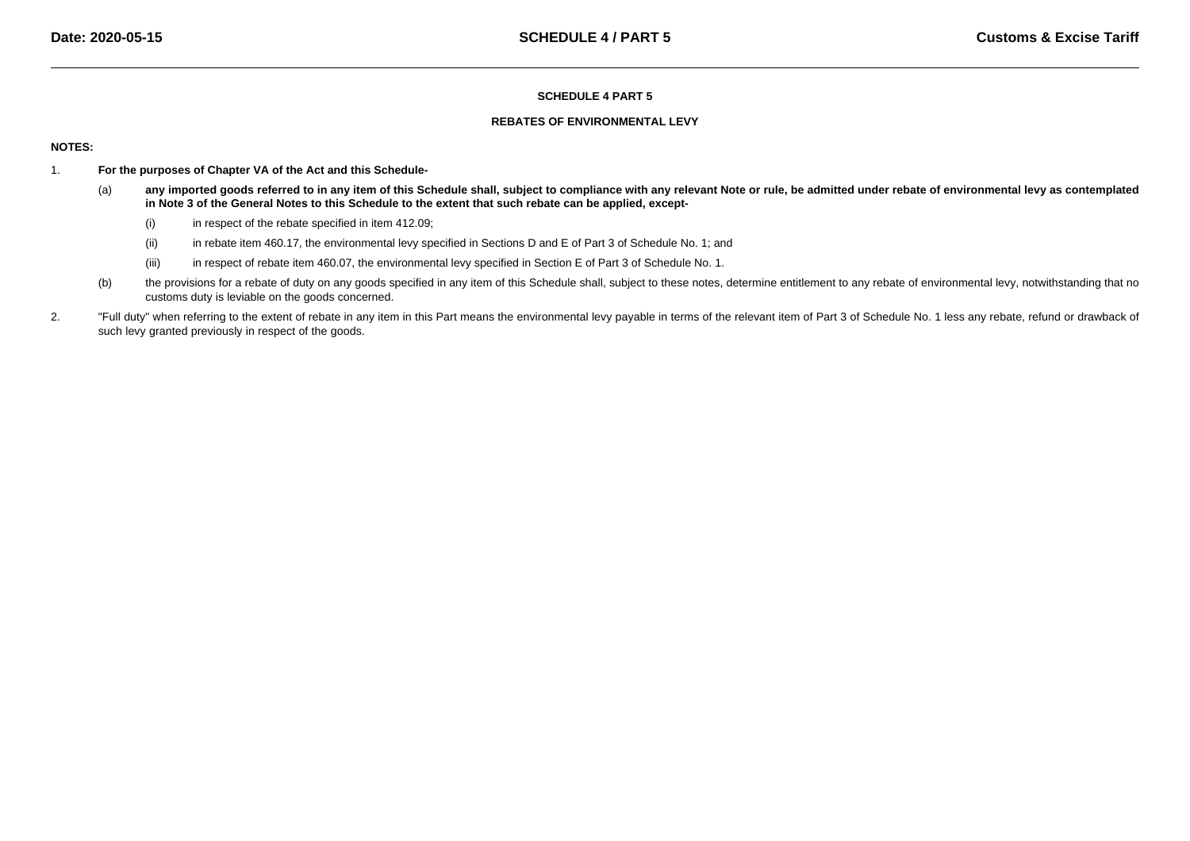### **REBATES OF ENVIRONMENTAL LEVY**

## **NOTES:**

- 1. **For the purposes of Chapter VA of the Act and this Schedule-**
	- (a) **any imported goods referred to in any item of this Schedule shall, subject to compliance with any relevant Note or rule, be admitted under rebate of environmental levy as contemplatedin Note 3 of the General Notes to this Schedule to the extent that such rebate can be applied, except-**
		- (i)in respect of the rebate specified in item 412.09;
		- (ii)in rebate item 460.17, the environmental levy specified in Sections D and E of Part 3 of Schedule No. 1; and
		- (iii)in respect of rebate item 460.07, the environmental levy specified in Section E of Part 3 of Schedule No. 1.
	- (b)the provisions for a rebate of duty on any goods specified in any item of this Schedule shall, subject to these notes, determine entitlement to any rebate of environmental levy, notwithstanding that no customs duty is leviable on the goods concerned.
- 2."Full duty" when referring to the extent of rebate in any item in this Part means the environmental levy payable in terms of the relevant item of Part 3 of Schedule No. 1 less any rebate, refund or drawback of such levy granted previously in respect of the goods.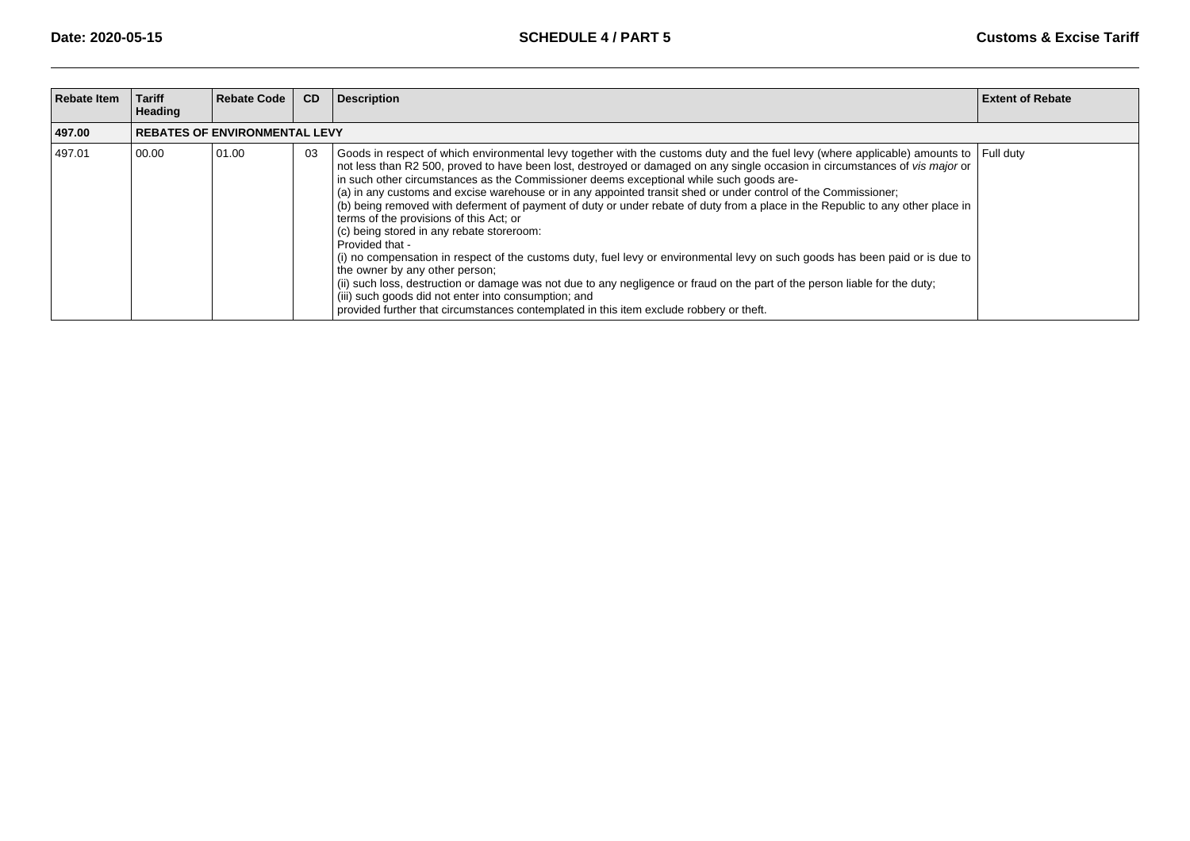| <b>Rebate Item</b> | <b>Tariff</b><br>Heading             | <b>Rebate Code</b> | CD | <b>Description</b>                                                                                                                                                                                                                                                                                                                                                                                                                                                                                                                                                                                                                                                                                                                                                                                                                                                                                                                                                                                                                                                                                                                                                                  | <b>Extent of Rebate</b> |  |
|--------------------|--------------------------------------|--------------------|----|-------------------------------------------------------------------------------------------------------------------------------------------------------------------------------------------------------------------------------------------------------------------------------------------------------------------------------------------------------------------------------------------------------------------------------------------------------------------------------------------------------------------------------------------------------------------------------------------------------------------------------------------------------------------------------------------------------------------------------------------------------------------------------------------------------------------------------------------------------------------------------------------------------------------------------------------------------------------------------------------------------------------------------------------------------------------------------------------------------------------------------------------------------------------------------------|-------------------------|--|
| 497.00             | <b>REBATES OF ENVIRONMENTAL LEVY</b> |                    |    |                                                                                                                                                                                                                                                                                                                                                                                                                                                                                                                                                                                                                                                                                                                                                                                                                                                                                                                                                                                                                                                                                                                                                                                     |                         |  |
| 497.01             | 00.00                                | 01.00              | 03 | Goods in respect of which environmental levy together with the customs duty and the fuel levy (where applicable) amounts to Full duty<br>not less than R2 500, proved to have been lost, destroyed or damaged on any single occasion in circumstances of vis major or<br>in such other circumstances as the Commissioner deems exceptional while such goods are-<br>(a) in any customs and excise warehouse or in any appointed transit shed or under control of the Commissioner;<br>(b) being removed with deferment of payment of duty or under rebate of duty from a place in the Republic to any other place in<br>terms of the provisions of this Act; or<br>(c) being stored in any rebate storeroom:<br>Provided that -<br>(i) no compensation in respect of the customs duty, fuel levy or environmental levy on such goods has been paid or is due to<br>the owner by any other person;<br>(ii) such loss, destruction or damage was not due to any negligence or fraud on the part of the person liable for the duty;<br>(iii) such goods did not enter into consumption; and<br>provided further that circumstances contemplated in this item exclude robbery or theft. |                         |  |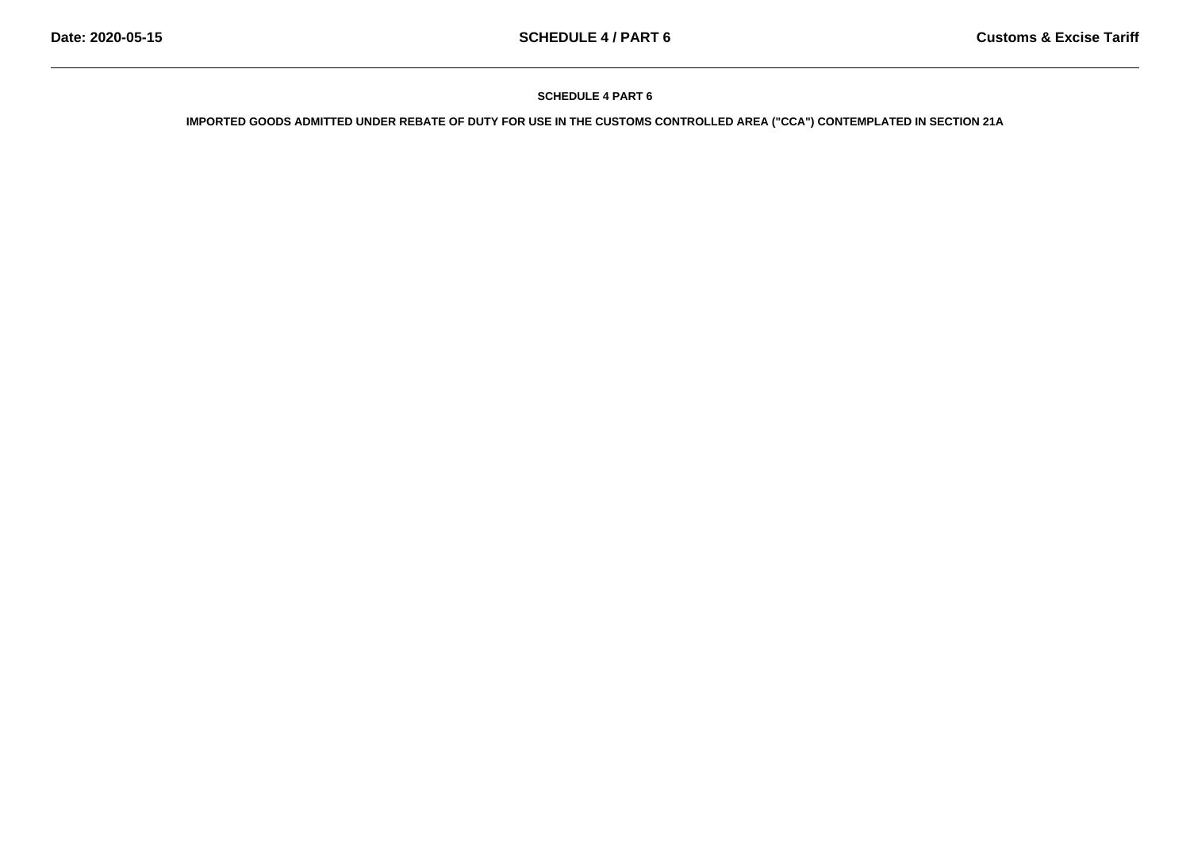**IMPORTED GOODS ADMITTED UNDER REBATE OF DUTY FOR USE IN THE CUSTOMS CONTROLLED AREA ("CCA") CONTEMPLATED IN SECTION 21A**